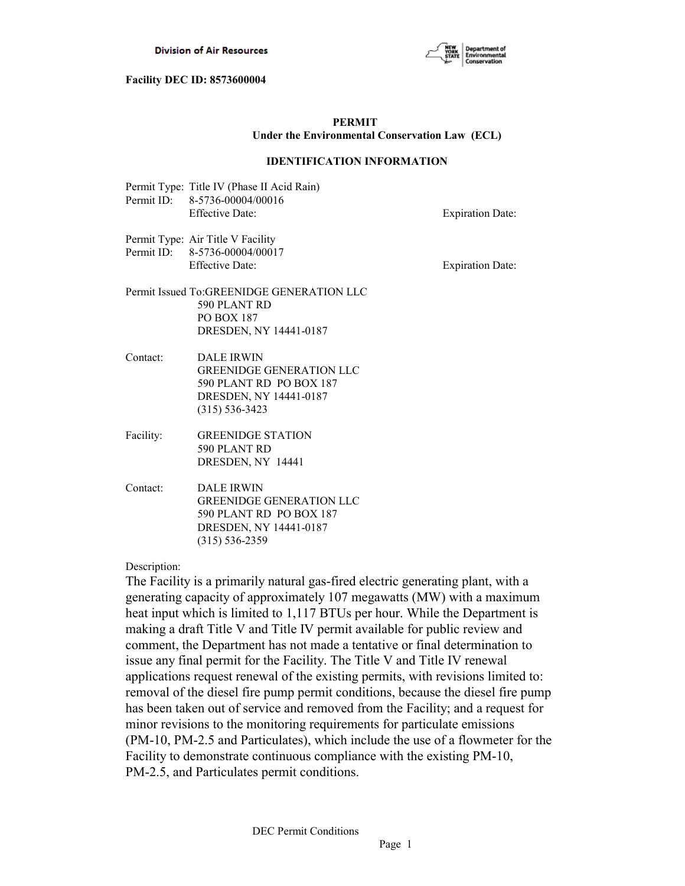

## **PERMIT Under the Environmental Conservation Law (ECL)**

#### **IDENTIFICATION INFORMATION**

Permit Type: Title IV (Phase II Acid Rain) Permit ID: 8-5736-00004/00016 Effective Date: Expiration Date:

Permit Type: Air Title V Facility Permit ID: 8-5736-00004/00017 Effective Date: Expiration Date:

- Permit Issued To:GREENIDGE GENERATION LLC 590 PLANT RD PO BOX 187 DRESDEN, NY 14441-0187
- Contact: DALE IRWIN GREENIDGE GENERATION LLC 590 PLANT RD PO BOX 187 DRESDEN, NY 14441-0187 (315) 536-3423
- Facility: GREENIDGE STATION 590 PLANT RD DRESDEN, NY 14441
- Contact: DALE IRWIN GREENIDGE GENERATION LLC 590 PLANT RD PO BOX 187 DRESDEN, NY 14441-0187 (315) 536-2359

Description:

The Facility is a primarily natural gas-fired electric generating plant, with a generating capacity of approximately 107 megawatts (MW) with a maximum heat input which is limited to 1,117 BTUs per hour. While the Department is making a draft Title V and Title IV permit available for public review and comment, the Department has not made a tentative or final determination to issue any final permit for the Facility. The Title V and Title IV renewal applications request renewal of the existing permits, with revisions limited to: removal of the diesel fire pump permit conditions, because the diesel fire pump has been taken out of service and removed from the Facility; and a request for minor revisions to the monitoring requirements for particulate emissions (PM-10, PM-2.5 and Particulates), which include the use of a flowmeter for the Facility to demonstrate continuous compliance with the existing PM-10, PM-2.5, and Particulates permit conditions.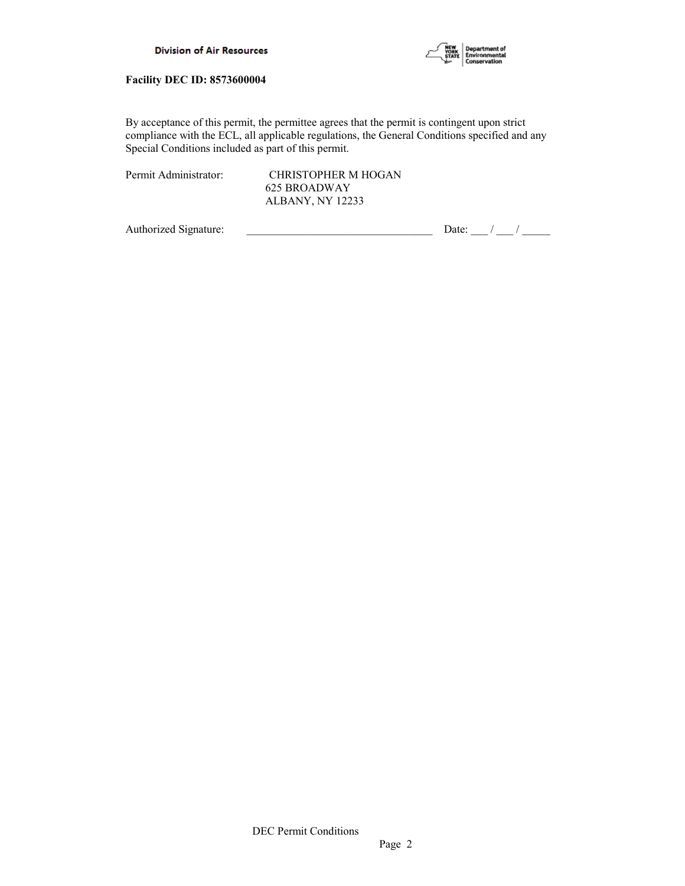

By acceptance of this permit, the permittee agrees that the permit is contingent upon strict compliance with the ECL, all applicable regulations, the General Conditions specified and any Special Conditions included as part of this permit.

| Permit Administrator: | CHRISTOPHER M HOGAN     |  |  |
|-----------------------|-------------------------|--|--|
|                       | 625 BROADWAY            |  |  |
|                       | <b>ALBANY, NY 12233</b> |  |  |

Authorized Signature:  $\frac{1}{\sqrt{2\pi}}$  Date:  $\frac{1}{\sqrt{2\pi}}$  Date:  $\frac{1}{\sqrt{2\pi}}$  /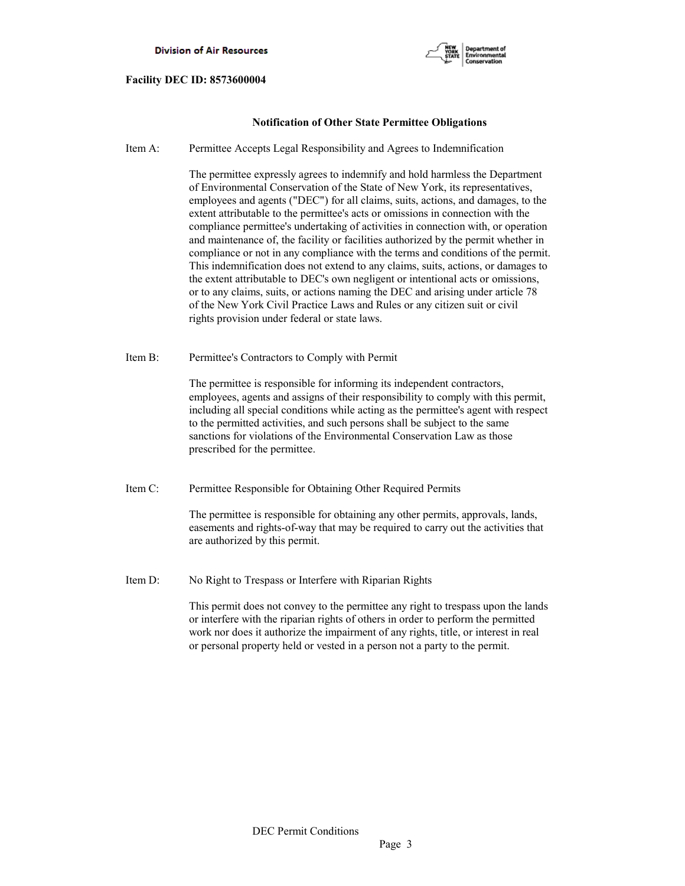

## **Notification of Other State Permittee Obligations**

Item A: Permittee Accepts Legal Responsibility and Agrees to Indemnification

 The permittee expressly agrees to indemnify and hold harmless the Department of Environmental Conservation of the State of New York, its representatives, employees and agents ("DEC") for all claims, suits, actions, and damages, to the extent attributable to the permittee's acts or omissions in connection with the compliance permittee's undertaking of activities in connection with, or operation and maintenance of, the facility or facilities authorized by the permit whether in compliance or not in any compliance with the terms and conditions of the permit. This indemnification does not extend to any claims, suits, actions, or damages to the extent attributable to DEC's own negligent or intentional acts or omissions, or to any claims, suits, or actions naming the DEC and arising under article 78 of the New York Civil Practice Laws and Rules or any citizen suit or civil rights provision under federal or state laws.

Item B: Permittee's Contractors to Comply with Permit

 The permittee is responsible for informing its independent contractors, employees, agents and assigns of their responsibility to comply with this permit, including all special conditions while acting as the permittee's agent with respect to the permitted activities, and such persons shall be subject to the same sanctions for violations of the Environmental Conservation Law as those prescribed for the permittee.

Item C: Permittee Responsible for Obtaining Other Required Permits

 The permittee is responsible for obtaining any other permits, approvals, lands, easements and rights-of-way that may be required to carry out the activities that are authorized by this permit.

Item D: No Right to Trespass or Interfere with Riparian Rights

 This permit does not convey to the permittee any right to trespass upon the lands or interfere with the riparian rights of others in order to perform the permitted work nor does it authorize the impairment of any rights, title, or interest in real or personal property held or vested in a person not a party to the permit.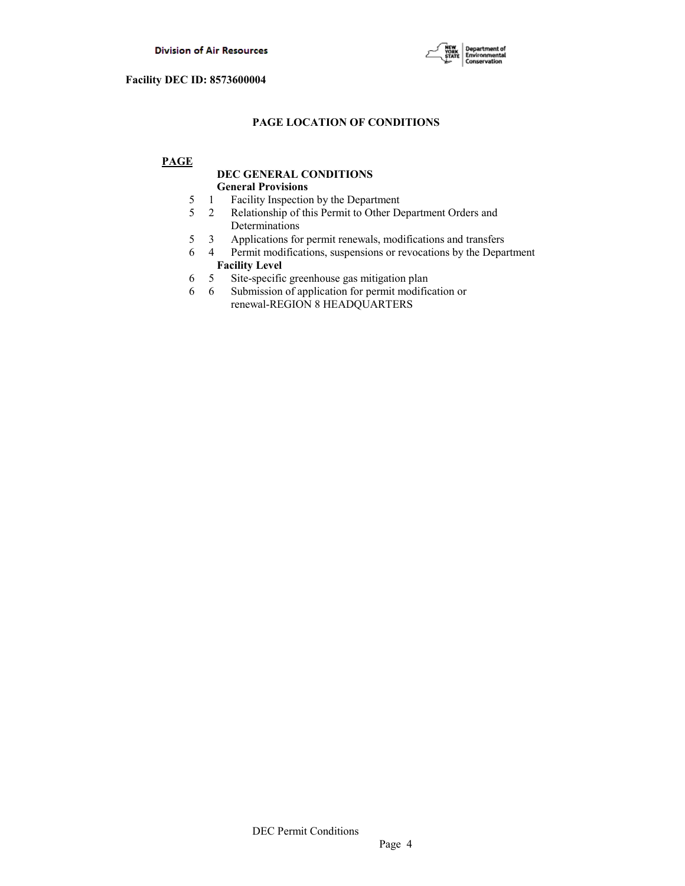

## **PAGE LOCATION OF CONDITIONS**

## **PAGE**

## **DEC GENERAL CONDITIONS General Provisions**

- 5 1 Facility Inspection by the Department
- 5 2 Relationship of this Permit to Other Department Orders and Determinations
- 5 3 Applications for permit renewals, modifications and transfers
- 6 4 Permit modifications, suspensions or revocations by the Department  **Facility Level**
- 6 5 Site-specific greenhouse gas mitigation plan
- 6 6 Submission of application for permit modification or renewal-REGION 8 HEADQUARTERS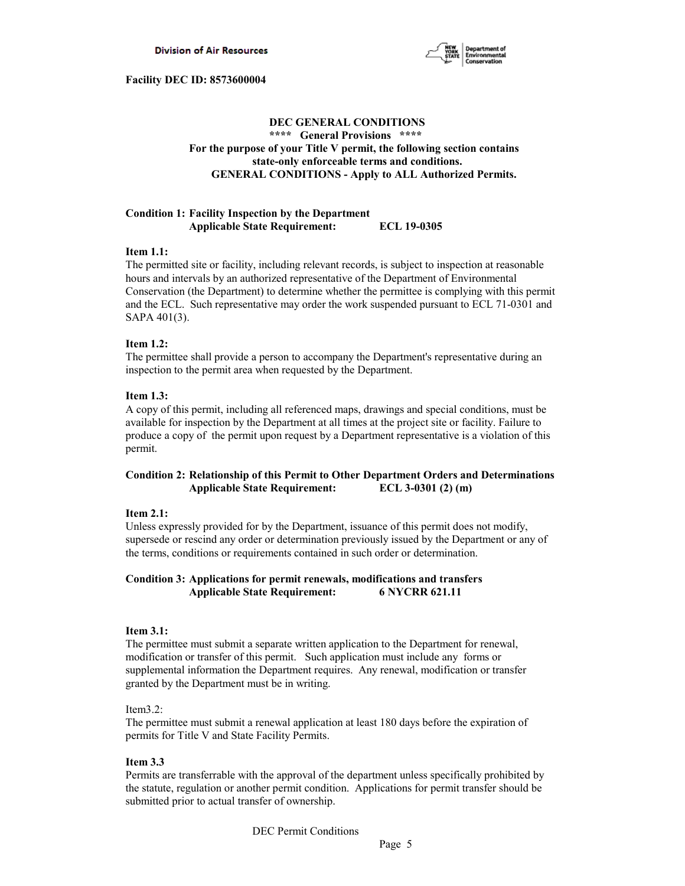

## **DEC GENERAL CONDITIONS \*\*\*\* General Provisions \*\*\*\* For the purpose of your Title V permit, the following section contains state-only enforceable terms and conditions. GENERAL CONDITIONS - Apply to ALL Authorized Permits.**

## **Condition 1: Facility Inspection by the Department Applicable State Requirement: ECL 19-0305**

### **Item 1.1:**

The permitted site or facility, including relevant records, is subject to inspection at reasonable hours and intervals by an authorized representative of the Department of Environmental Conservation (the Department) to determine whether the permittee is complying with this permit and the ECL. Such representative may order the work suspended pursuant to ECL 71-0301 and SAPA 401(3).

### **Item 1.2:**

The permittee shall provide a person to accompany the Department's representative during an inspection to the permit area when requested by the Department.

## **Item 1.3:**

A copy of this permit, including all referenced maps, drawings and special conditions, must be available for inspection by the Department at all times at the project site or facility. Failure to produce a copy of the permit upon request by a Department representative is a violation of this permit.

## **Condition 2: Relationship of this Permit to Other Department Orders and Determinations Applicable State Requirement: ECL 3-0301 (2) (m)**

### **Item 2.1:**

Unless expressly provided for by the Department, issuance of this permit does not modify, supersede or rescind any order or determination previously issued by the Department or any of the terms, conditions or requirements contained in such order or determination.

## **Condition 3: Applications for permit renewals, modifications and transfers Applicable State Requirement: 6 NYCRR 621.11**

### **Item 3.1:**

The permittee must submit a separate written application to the Department for renewal, modification or transfer of this permit. Such application must include any forms or supplemental information the Department requires. Any renewal, modification or transfer granted by the Department must be in writing.

### Item3.2:

The permittee must submit a renewal application at least 180 days before the expiration of permits for Title V and State Facility Permits.

## **Item 3.3**

Permits are transferrable with the approval of the department unless specifically prohibited by the statute, regulation or another permit condition. Applications for permit transfer should be submitted prior to actual transfer of ownership.

DEC Permit Conditions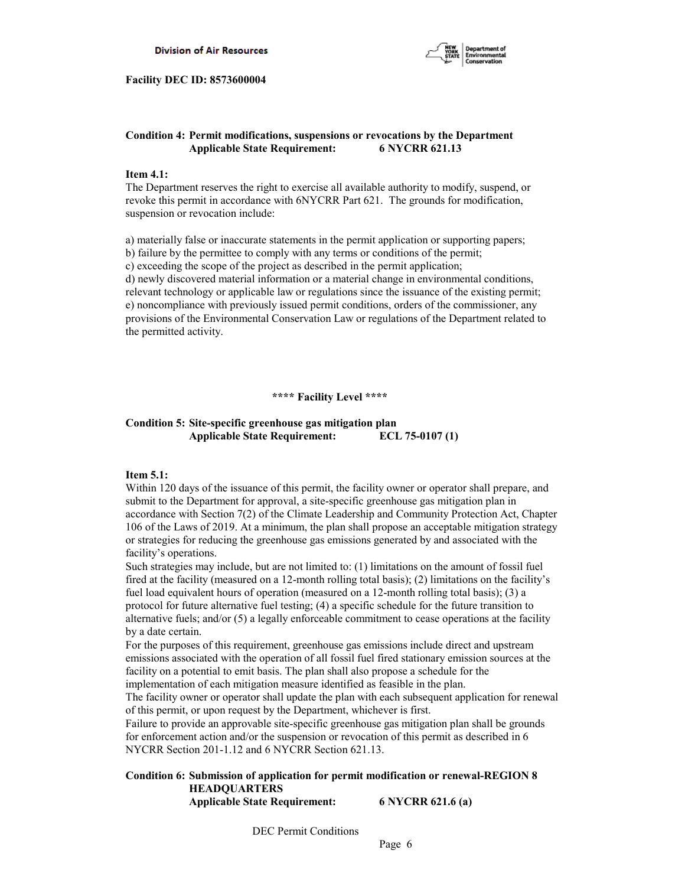

## **Condition 4: Permit modifications, suspensions or revocations by the Department Applicable State Requirement: 6 NYCRR 621.13**

### **Item 4.1:**

The Department reserves the right to exercise all available authority to modify, suspend, or revoke this permit in accordance with 6NYCRR Part 621. The grounds for modification, suspension or revocation include:

a) materially false or inaccurate statements in the permit application or supporting papers; b) failure by the permittee to comply with any terms or conditions of the permit; c) exceeding the scope of the project as described in the permit application; d) newly discovered material information or a material change in environmental conditions, relevant technology or applicable law or regulations since the issuance of the existing permit; e) noncompliance with previously issued permit conditions, orders of the commissioner, any provisions of the Environmental Conservation Law or regulations of the Department related to the permitted activity.

 **\*\*\*\* Facility Level \*\*\*\***

## **Condition 5: Site-specific greenhouse gas mitigation plan Applicable State Requirement: ECL 75-0107 (1)**

### **Item 5.1:**

Within 120 days of the issuance of this permit, the facility owner or operator shall prepare, and submit to the Department for approval, a site-specific greenhouse gas mitigation plan in accordance with Section 7(2) of the Climate Leadership and Community Protection Act, Chapter 106 of the Laws of 2019. At a minimum, the plan shall propose an acceptable mitigation strategy or strategies for reducing the greenhouse gas emissions generated by and associated with the facility's operations.

Such strategies may include, but are not limited to: (1) limitations on the amount of fossil fuel fired at the facility (measured on a 12-month rolling total basis); (2) limitations on the facility's fuel load equivalent hours of operation (measured on a 12-month rolling total basis); (3) a protocol for future alternative fuel testing; (4) a specific schedule for the future transition to alternative fuels; and/or (5) a legally enforceable commitment to cease operations at the facility by a date certain.

For the purposes of this requirement, greenhouse gas emissions include direct and upstream emissions associated with the operation of all fossil fuel fired stationary emission sources at the facility on a potential to emit basis. The plan shall also propose a schedule for the implementation of each mitigation measure identified as feasible in the plan.

The facility owner or operator shall update the plan with each subsequent application for renewal of this permit, or upon request by the Department, whichever is first.

Failure to provide an approvable site-specific greenhouse gas mitigation plan shall be grounds for enforcement action and/or the suspension or revocation of this permit as described in 6 NYCRR Section 201-1.12 and 6 NYCRR Section 621.13.

### **Condition 6: Submission of application for permit modification or renewal-REGION 8 HEADQUARTERS Applicable State Requirement: 6 NYCRR 621.6 (a)**

DEC Permit Conditions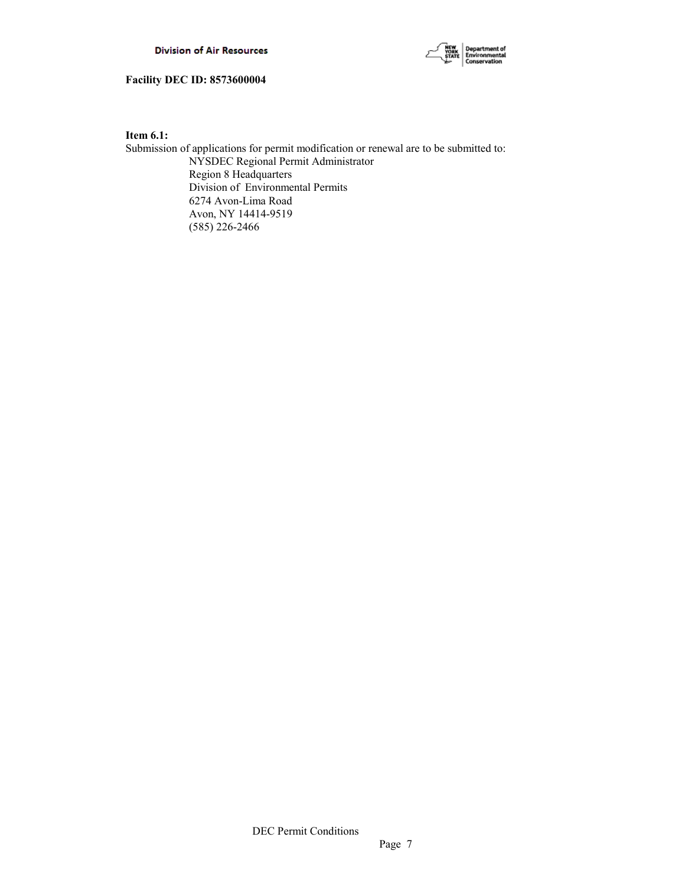

**Item 6.1:**

Submission of applications for permit modification or renewal are to be submitted to: NYSDEC Regional Permit Administrator Region 8 Headquarters Division of Environmental Permits 6274 Avon-Lima Road Avon, NY 14414-9519 (585) 226-2466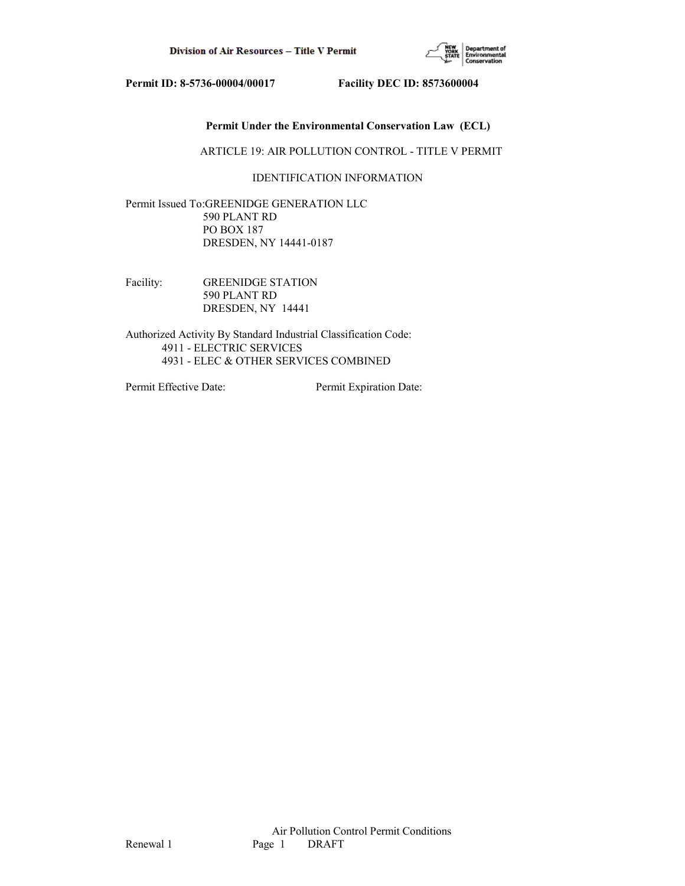

## **Permit Under the Environmental Conservation Law (ECL)**

ARTICLE 19: AIR POLLUTION CONTROL - TITLE V PERMIT

## IDENTIFICATION INFORMATION

Permit Issued To:GREENIDGE GENERATION LLC 590 PLANT RD PO BOX 187 DRESDEN, NY 14441-0187

Facility: GREENIDGE STATION 590 PLANT RD DRESDEN, NY 14441

Authorized Activity By Standard Industrial Classification Code: 4911 - ELECTRIC SERVICES 4931 - ELEC & OTHER SERVICES COMBINED

Permit Effective Date: Permit Expiration Date: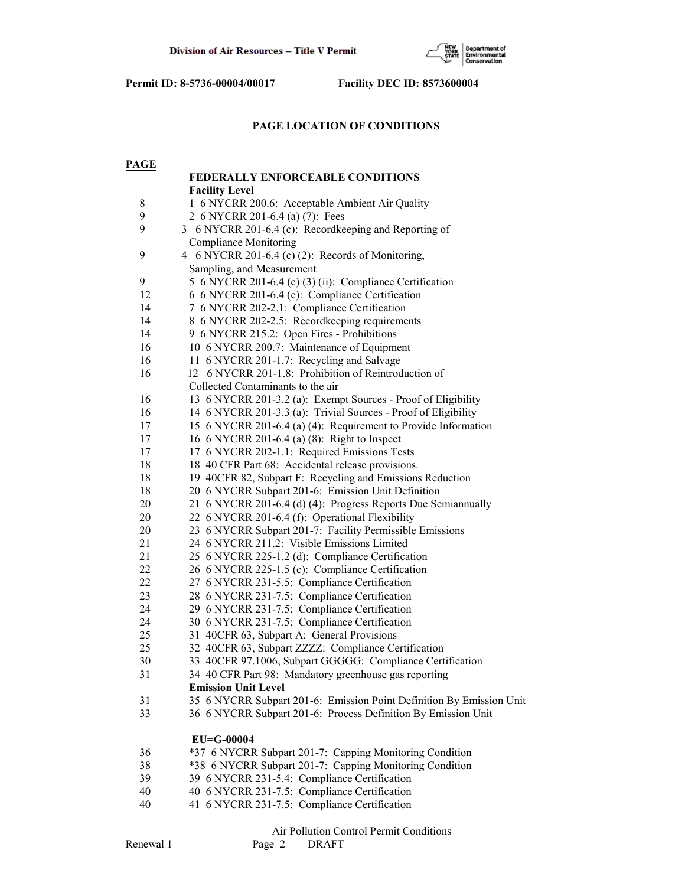

## **PAGE LOCATION OF CONDITIONS**

| <b>PAGE</b> |                                                                      |  |  |  |  |
|-------------|----------------------------------------------------------------------|--|--|--|--|
|             | FEDERALLY ENFORCEABLE CONDITIONS                                     |  |  |  |  |
|             | <b>Facility Level</b>                                                |  |  |  |  |
| $\,$ $\,$   | 1 6 NYCRR 200.6: Acceptable Ambient Air Quality                      |  |  |  |  |
| 9           | 2 6 NYCRR 201-6.4 (a) (7): Fees                                      |  |  |  |  |
| 9           | 3 6 NYCRR 201-6.4 (c): Recordkeeping and Reporting of                |  |  |  |  |
|             | Compliance Monitoring                                                |  |  |  |  |
| 9           | 4 6 NYCRR 201-6.4 (c) (2): Records of Monitoring,                    |  |  |  |  |
|             | Sampling, and Measurement                                            |  |  |  |  |
| 9           | 5 6 NYCRR 201-6.4 (c) (3) (ii): Compliance Certification             |  |  |  |  |
| 12          | 6 6 NYCRR 201-6.4 (e): Compliance Certification                      |  |  |  |  |
| 14          | 7 6 NYCRR 202-2.1: Compliance Certification                          |  |  |  |  |
| 14          | 8 6 NYCRR 202-2.5: Recordkeeping requirements                        |  |  |  |  |
| 14          | 9 6 NYCRR 215.2: Open Fires - Prohibitions                           |  |  |  |  |
| 16          | 10 6 NYCRR 200.7: Maintenance of Equipment                           |  |  |  |  |
| 16          | 11 6 NYCRR 201-1.7: Recycling and Salvage                            |  |  |  |  |
| 16          | 12 6 NYCRR 201-1.8: Prohibition of Reintroduction of                 |  |  |  |  |
|             | Collected Contaminants to the air                                    |  |  |  |  |
| 16          | 13 6 NYCRR 201-3.2 (a): Exempt Sources - Proof of Eligibility        |  |  |  |  |
| 16          | 14 6 NYCRR 201-3.3 (a): Trivial Sources - Proof of Eligibility       |  |  |  |  |
| 17          | 15 6 NYCRR 201-6.4 (a) (4): Requirement to Provide Information       |  |  |  |  |
| 17          | 16 6 NYCRR 201-6.4 (a) (8): Right to Inspect                         |  |  |  |  |
| 17          | 17 6 NYCRR 202-1.1: Required Emissions Tests                         |  |  |  |  |
| 18          | 18 40 CFR Part 68: Accidental release provisions.                    |  |  |  |  |
| 18          | 19 40CFR 82, Subpart F: Recycling and Emissions Reduction            |  |  |  |  |
| 18          | 20 6 NYCRR Subpart 201-6: Emission Unit Definition                   |  |  |  |  |
| 20          | 21 6 NYCRR 201-6.4 (d) (4): Progress Reports Due Semiannually        |  |  |  |  |
| 20          | 22 6 NYCRR 201-6.4 (f): Operational Flexibility                      |  |  |  |  |
| 20          | 23 6 NYCRR Subpart 201-7: Facility Permissible Emissions             |  |  |  |  |
| 21          | 24 6 NYCRR 211.2: Visible Emissions Limited                          |  |  |  |  |
| 21          | 25 6 NYCRR 225-1.2 (d): Compliance Certification                     |  |  |  |  |
| 22          | 26 6 NYCRR 225-1.5 (c): Compliance Certification                     |  |  |  |  |
| 22          | 27 6 NYCRR 231-5.5: Compliance Certification                         |  |  |  |  |
| 23          | 28 6 NYCRR 231-7.5: Compliance Certification                         |  |  |  |  |
| 24          | 29 6 NYCRR 231-7.5: Compliance Certification                         |  |  |  |  |
| 24          | 30 6 NYCRR 231-7.5: Compliance Certification                         |  |  |  |  |
| 25          | 31 40CFR 63, Subpart A: General Provisions                           |  |  |  |  |
| 25          | 32 40CFR 63, Subpart ZZZZ: Compliance Certification                  |  |  |  |  |
| $30\,$      | 33 40CFR 97.1006, Subpart GGGGG: Compliance Certification            |  |  |  |  |
| 31          | 34 40 CFR Part 98: Mandatory greenhouse gas reporting                |  |  |  |  |
|             | <b>Emission Unit Level</b>                                           |  |  |  |  |
| 31          | 35 6 NYCRR Subpart 201-6: Emission Point Definition By Emission Unit |  |  |  |  |
| 33          | 36 6 NYCRR Subpart 201-6: Process Definition By Emission Unit        |  |  |  |  |
|             |                                                                      |  |  |  |  |
|             | EU=G-00004                                                           |  |  |  |  |
| 36          | *37 6 NYCRR Subpart 201-7: Capping Monitoring Condition              |  |  |  |  |
| 38          | *38 6 NYCRR Subpart 201-7: Capping Monitoring Condition              |  |  |  |  |
| 39          | 39 6 NYCRR 231-5.4: Compliance Certification                         |  |  |  |  |
| 40          | 40 6 NYCRR 231-7.5: Compliance Certification                         |  |  |  |  |
| 40          | 41 6 NYCRR 231-7.5: Compliance Certification                         |  |  |  |  |
|             |                                                                      |  |  |  |  |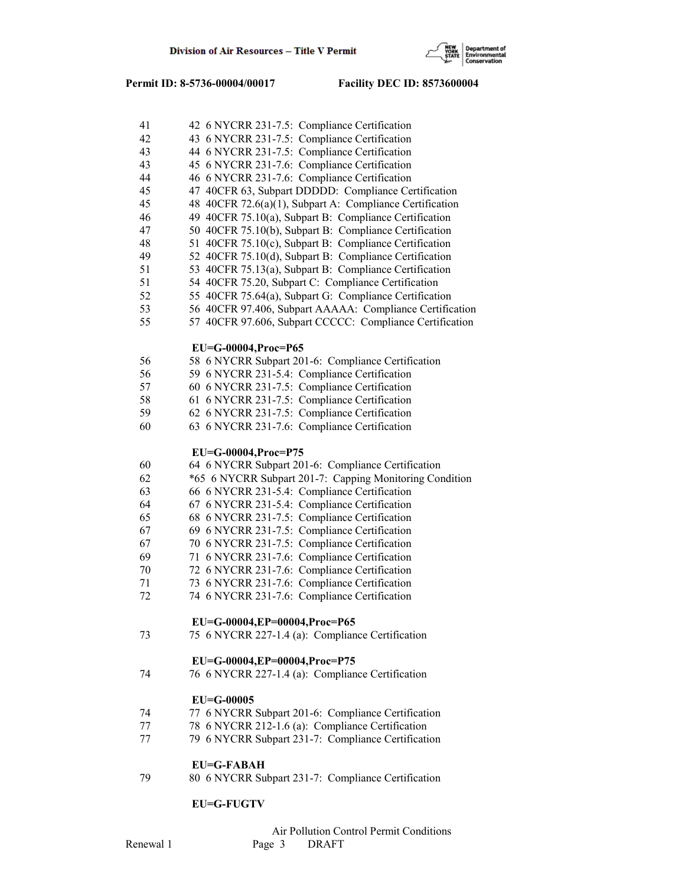

| 41 | 42 6 NYCRR 231-7.5: Compliance Certification             |
|----|----------------------------------------------------------|
| 42 | 43 6 NYCRR 231-7.5: Compliance Certification             |
| 43 | 44 6 NYCRR 231-7.5: Compliance Certification             |
| 43 | 45 6 NYCRR 231-7.6: Compliance Certification             |
| 44 | 46 6 NYCRR 231-7.6: Compliance Certification             |
| 45 | 47 40CFR 63, Subpart DDDDD: Compliance Certification     |
| 45 | 48 40CFR 72.6(a)(1), Subpart A: Compliance Certification |
| 46 | 49 40CFR 75.10(a), Subpart B: Compliance Certification   |
| 47 | 50 40CFR 75.10(b), Subpart B: Compliance Certification   |
| 48 | 51 40CFR 75.10(c), Subpart B: Compliance Certification   |
| 49 | 52 40CFR 75.10(d), Subpart B: Compliance Certification   |
| 51 | 53 40CFR 75.13(a), Subpart B: Compliance Certification   |
| 51 | 54 40CFR 75.20, Subpart C: Compliance Certification      |
| 52 | 55 40CFR 75.64(a), Subpart G: Compliance Certification   |
| 53 | 56 40CFR 97.406, Subpart AAAAA: Compliance Certification |
| 55 | 57 40CFR 97.606, Subpart CCCCC: Compliance Certification |
|    |                                                          |
|    | EU=G-00004, Proc=P65                                     |
| 56 | 58 6 NYCRR Subpart 201-6: Compliance Certification       |
| 56 | 59 6 NYCRR 231-5.4: Compliance Certification             |
| 57 | 60 6 NYCRR 231-7.5: Compliance Certification             |
| 58 | 61 6 NYCRR 231-7.5: Compliance Certification             |
| 59 | 62 6 NYCRR 231-7.5: Compliance Certification             |
| 60 | 63 6 NYCRR 231-7.6: Compliance Certification             |
|    |                                                          |
|    | EU=G-00004, Proc=P75                                     |
| 60 | 64 6 NYCRR Subpart 201-6: Compliance Certification       |
| 62 | *65 6 NYCRR Subpart 201-7: Capping Monitoring Condition  |
| 63 | 66 6 NYCRR 231-5.4: Compliance Certification             |
| 64 | 67 6 NYCRR 231-5.4: Compliance Certification             |
| 65 | 68 6 NYCRR 231-7.5: Compliance Certification             |
| 67 | 69 6 NYCRR 231-7.5: Compliance Certification             |
| 67 | 70 6 NYCRR 231-7.5: Compliance Certification             |
| 69 | 71 6 NYCRR 231-7.6: Compliance Certification             |
| 70 | 72 6 NYCRR 231-7.6: Compliance Certification             |
| 71 | 73 6 NYCRR 231-7.6: Compliance Certification             |
| 72 | 74 6 NYCRR 231-7.6: Compliance Certification             |
|    |                                                          |
|    | EU=G-00004,EP=00004,Proc=P65                             |
| 73 | 75 6 NYCRR 227-1.4 (a): Compliance Certification         |
|    |                                                          |
|    | EU=G-00004,EP=00004,Proc=P75                             |
| 74 | 76 6 NYCRR 227-1.4 (a): Compliance Certification         |
|    |                                                          |
|    | $EU=G-00005$                                             |
| 74 | 77 6 NYCRR Subpart 201-6: Compliance Certification       |
| 77 | 78 6 NYCRR 212-1.6 (a): Compliance Certification         |
| 77 | 79 6 NYCRR Subpart 231-7: Compliance Certification       |
|    |                                                          |
|    | <b>EU=G-FABAH</b>                                        |
| 79 | 80 6 NYCRR Subpart 231-7: Compliance Certification       |
|    |                                                          |
|    |                                                          |

## **EU=G-FUGTV**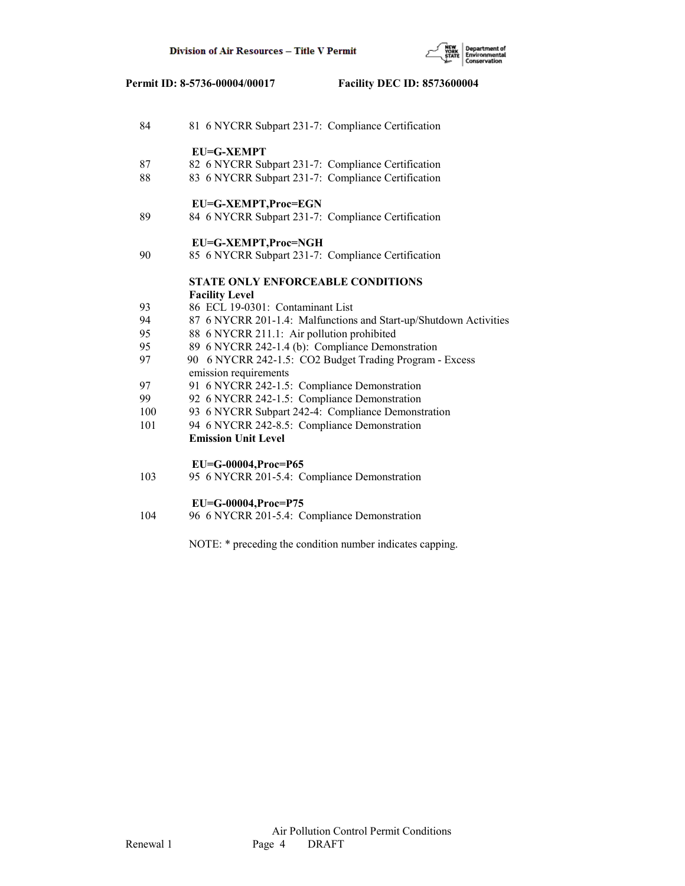

| 84  | 81 6 NYCRR Subpart 231-7: Compliance Certification                               |  |  |  |  |
|-----|----------------------------------------------------------------------------------|--|--|--|--|
|     | <b>EU=G-XEMPT</b>                                                                |  |  |  |  |
| 87  | 82 6 NYCRR Subpart 231-7: Compliance Certification                               |  |  |  |  |
| 88  | 83 6 NYCRR Subpart 231-7: Compliance Certification                               |  |  |  |  |
|     | EU=G-XEMPT,Proc=EGN                                                              |  |  |  |  |
| 89  | 84 6 NYCRR Subpart 231-7: Compliance Certification                               |  |  |  |  |
|     | EU=G-XEMPT, Proc=NGH                                                             |  |  |  |  |
| 90  | 85 6 NYCRR Subpart 231-7: Compliance Certification                               |  |  |  |  |
|     | <b>STATE ONLY ENFORCEABLE CONDITIONS</b>                                         |  |  |  |  |
|     | <b>Facility Level</b>                                                            |  |  |  |  |
| 93  | 86 ECL 19-0301: Contaminant List                                                 |  |  |  |  |
| 94  | 87 6 NYCRR 201-1.4: Malfunctions and Start-up/Shutdown Activities                |  |  |  |  |
| 95  | 88 6 NYCRR 211.1: Air pollution prohibited                                       |  |  |  |  |
| 95  | 89 6 NYCRR 242-1.4 (b): Compliance Demonstration                                 |  |  |  |  |
| 97  | 90 6 NYCRR 242-1.5: CO2 Budget Trading Program - Excess<br>emission requirements |  |  |  |  |
| 97  | 91 6 NYCRR 242-1.5: Compliance Demonstration                                     |  |  |  |  |
| 99  | 92 6 NYCRR 242-1.5: Compliance Demonstration                                     |  |  |  |  |
| 100 | 93 6 NYCRR Subpart 242-4: Compliance Demonstration                               |  |  |  |  |
| 101 | 94 6 NYCRR 242-8.5: Compliance Demonstration                                     |  |  |  |  |
|     | <b>Emission Unit Level</b>                                                       |  |  |  |  |
|     | EU=G-00004, Proc=P65                                                             |  |  |  |  |
| 103 | 95 6 NYCRR 201-5.4: Compliance Demonstration                                     |  |  |  |  |
|     | EU=G-00004, Proc=P75                                                             |  |  |  |  |
| 104 | 96 6 NYCRR 201-5.4: Compliance Demonstration                                     |  |  |  |  |

NOTE: \* preceding the condition number indicates capping.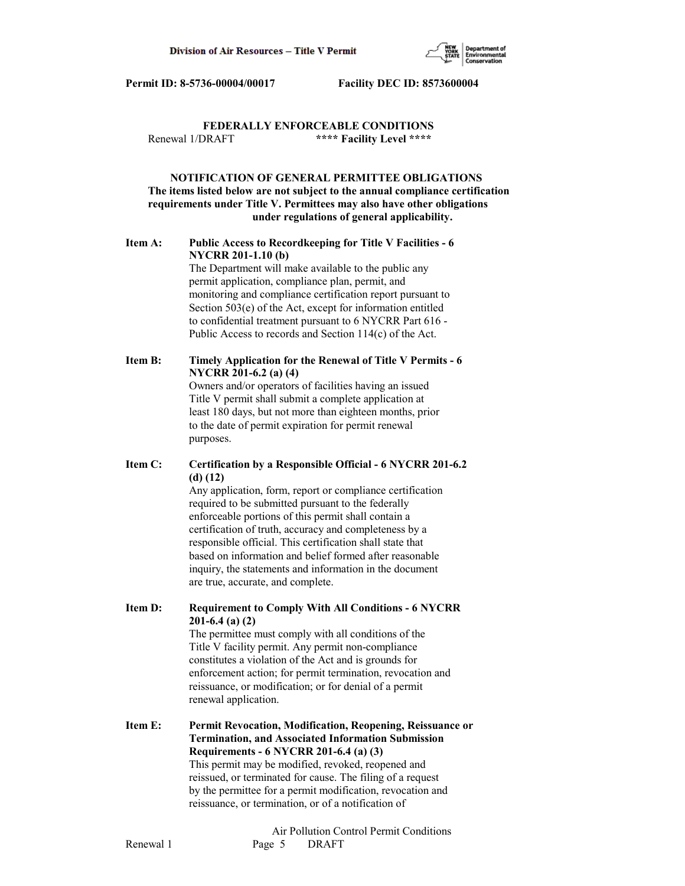

## **FEDERALLY ENFORCEABLE CONDITIONS** Renewal 1/DRAFT **\*\*\*\* Facility Level \*\*\*\***

## **NOTIFICATION OF GENERAL PERMITTEE OBLIGATIONS The items listed below are not subject to the annual compliance certification requirements under Title V. Permittees may also have other obligations under regulations of general applicability.**

## **Item A: Public Access to Recordkeeping for Title V Facilities - 6 NYCRR 201-1.10 (b)**

 The Department will make available to the public any permit application, compliance plan, permit, and monitoring and compliance certification report pursuant to Section 503(e) of the Act, except for information entitled to confidential treatment pursuant to 6 NYCRR Part 616 - Public Access to records and Section 114(c) of the Act.

# **Item B: Timely Application for the Renewal of Title V Permits - 6 NYCRR 201-6.2 (a) (4)** Owners and/or operators of facilities having an issued

 Title V permit shall submit a complete application at least 180 days, but not more than eighteen months, prior to the date of permit expiration for permit renewal purposes.

## **Item C: Certification by a Responsible Official - 6 NYCRR 201-6.2 (d) (12)**

 Any application, form, report or compliance certification required to be submitted pursuant to the federally enforceable portions of this permit shall contain a certification of truth, accuracy and completeness by a responsible official. This certification shall state that based on information and belief formed after reasonable inquiry, the statements and information in the document are true, accurate, and complete.

**Item D: Requirement to Comply With All Conditions - 6 NYCRR 201-6.4 (a) (2)**

> The permittee must comply with all conditions of the Title V facility permit. Any permit non-compliance constitutes a violation of the Act and is grounds for enforcement action; for permit termination, revocation and reissuance, or modification; or for denial of a permit renewal application.

## **Item E: Permit Revocation, Modification, Reopening, Reissuance or Termination, and Associated Information Submission Requirements - 6 NYCRR 201-6.4 (a) (3)** This permit may be modified, revoked, reopened and reissued, or terminated for cause. The filing of a request by the permittee for a permit modification, revocation and reissuance, or termination, or of a notification of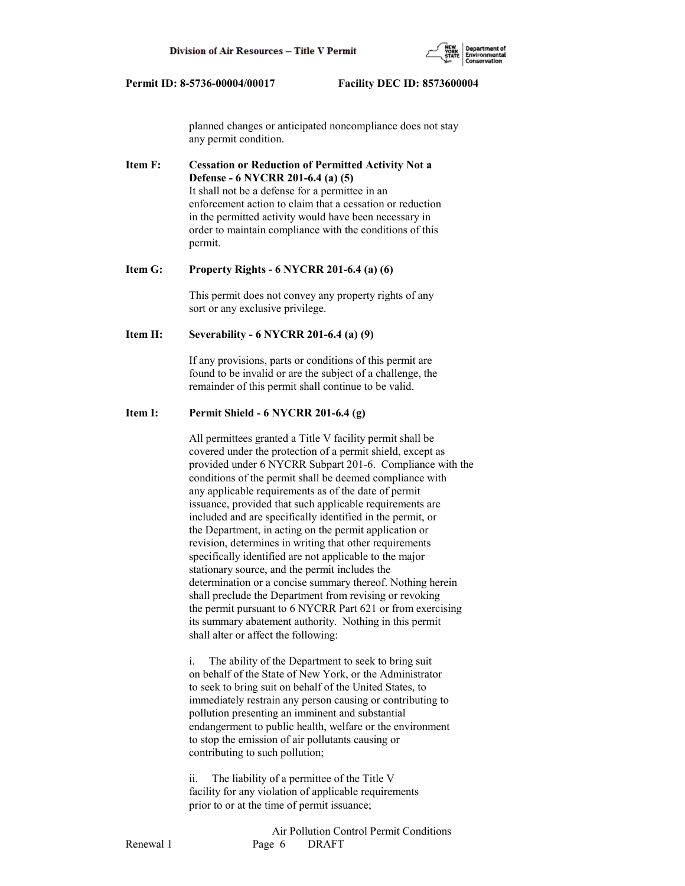

 planned changes or anticipated noncompliance does not stay any permit condition.

**Item F: Cessation or Reduction of Permitted Activity Not a Defense - 6 NYCRR 201-6.4 (a) (5)** It shall not be a defense for a permittee in an enforcement action to claim that a cessation or reduction in the permitted activity would have been necessary in order to maintain compliance with the conditions of this permit.

## **Item G: Property Rights - 6 NYCRR 201-6.4 (a) (6)**

 This permit does not convey any property rights of any sort or any exclusive privilege.

### **Item H: Severability - 6 NYCRR 201-6.4 (a) (9)**

 If any provisions, parts or conditions of this permit are found to be invalid or are the subject of a challenge, the remainder of this permit shall continue to be valid.

#### **Item I: Permit Shield - 6 NYCRR 201-6.4 (g)**

 All permittees granted a Title V facility permit shall be covered under the protection of a permit shield, except as provided under 6 NYCRR Subpart 201-6. Compliance with the conditions of the permit shall be deemed compliance with any applicable requirements as of the date of permit issuance, provided that such applicable requirements are included and are specifically identified in the permit, or the Department, in acting on the permit application or revision, determines in writing that other requirements specifically identified are not applicable to the major stationary source, and the permit includes the determination or a concise summary thereof. Nothing herein shall preclude the Department from revising or revoking the permit pursuant to 6 NYCRR Part 621 or from exercising its summary abatement authority. Nothing in this permit shall alter or affect the following:

 i. The ability of the Department to seek to bring suit on behalf of the State of New York, or the Administrator to seek to bring suit on behalf of the United States, to immediately restrain any person causing or contributing to pollution presenting an imminent and substantial endangerment to public health, welfare or the environment to stop the emission of air pollutants causing or contributing to such pollution;

 ii. The liability of a permittee of the Title V facility for any violation of applicable requirements prior to or at the time of permit issuance;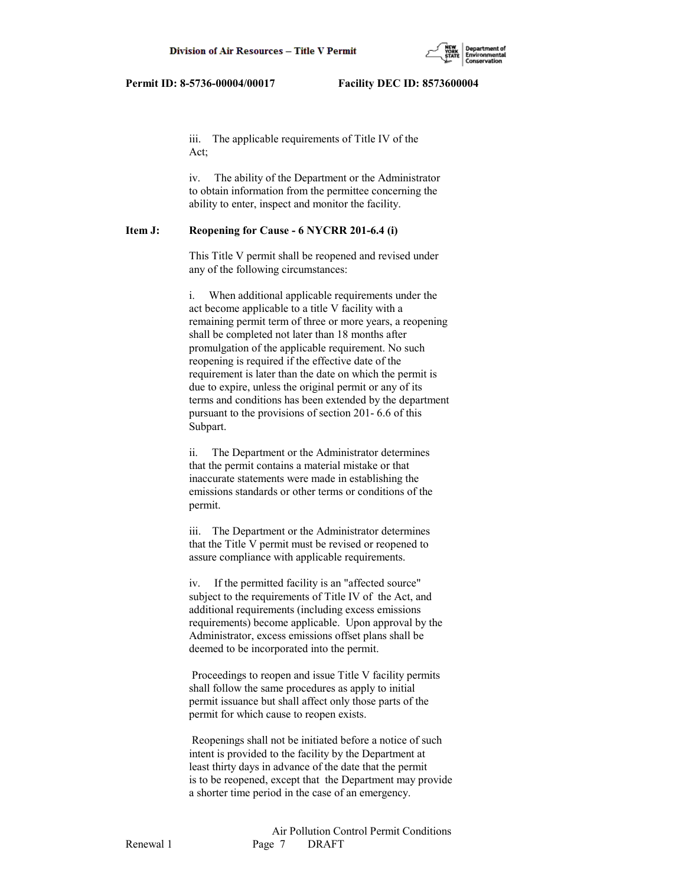

 iii. The applicable requirements of Title IV of the Act;

 iv. The ability of the Department or the Administrator to obtain information from the permittee concerning the ability to enter, inspect and monitor the facility.

#### **Item J: Reopening for Cause - 6 NYCRR 201-6.4 (i)**

 This Title V permit shall be reopened and revised under any of the following circumstances:

 i. When additional applicable requirements under the act become applicable to a title V facility with a remaining permit term of three or more years, a reopening shall be completed not later than 18 months after promulgation of the applicable requirement. No such reopening is required if the effective date of the requirement is later than the date on which the permit is due to expire, unless the original permit or any of its terms and conditions has been extended by the department pursuant to the provisions of section 201- 6.6 of this Subpart.

 ii. The Department or the Administrator determines that the permit contains a material mistake or that inaccurate statements were made in establishing the emissions standards or other terms or conditions of the permit.

 iii. The Department or the Administrator determines that the Title V permit must be revised or reopened to assure compliance with applicable requirements.

 iv. If the permitted facility is an "affected source" subject to the requirements of Title IV of the Act, and additional requirements (including excess emissions requirements) become applicable. Upon approval by the Administrator, excess emissions offset plans shall be deemed to be incorporated into the permit.

 Proceedings to reopen and issue Title V facility permits shall follow the same procedures as apply to initial permit issuance but shall affect only those parts of the permit for which cause to reopen exists.

 Reopenings shall not be initiated before a notice of such intent is provided to the facility by the Department at least thirty days in advance of the date that the permit is to be reopened, except that the Department may provide a shorter time period in the case of an emergency.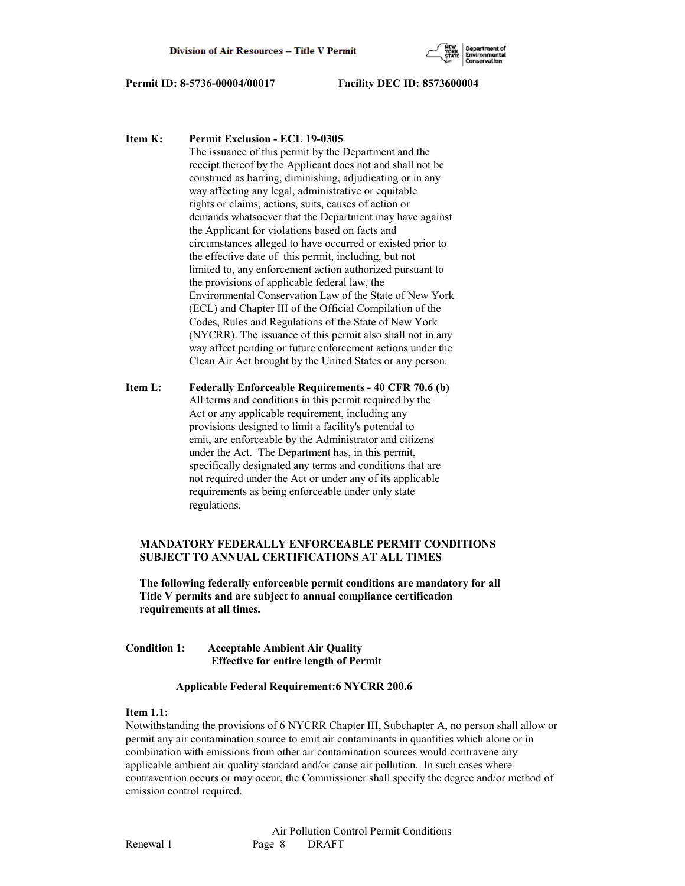

**Item K: Permit Exclusion - ECL 19-0305**

 The issuance of this permit by the Department and the receipt thereof by the Applicant does not and shall not be construed as barring, diminishing, adjudicating or in any way affecting any legal, administrative or equitable rights or claims, actions, suits, causes of action or demands whatsoever that the Department may have against the Applicant for violations based on facts and circumstances alleged to have occurred or existed prior to the effective date of this permit, including, but not limited to, any enforcement action authorized pursuant to the provisions of applicable federal law, the Environmental Conservation Law of the State of New York (ECL) and Chapter III of the Official Compilation of the Codes, Rules and Regulations of the State of New York (NYCRR). The issuance of this permit also shall not in any way affect pending or future enforcement actions under the Clean Air Act brought by the United States or any person.

**Item L: Federally Enforceable Requirements - 40 CFR 70.6 (b)** All terms and conditions in this permit required by the Act or any applicable requirement, including any provisions designed to limit a facility's potential to emit, are enforceable by the Administrator and citizens under the Act. The Department has, in this permit, specifically designated any terms and conditions that are not required under the Act or under any of its applicable requirements as being enforceable under only state regulations.

## **MANDATORY FEDERALLY ENFORCEABLE PERMIT CONDITIONS SUBJECT TO ANNUAL CERTIFICATIONS AT ALL TIMES**

 **The following federally enforceable permit conditions are mandatory for all Title V permits and are subject to annual compliance certification requirements at all times.**

## **Condition 1: Acceptable Ambient Air Quality Effective for entire length of Permit**

### **Applicable Federal Requirement:6 NYCRR 200.6**

## **Item 1.1:**

Notwithstanding the provisions of 6 NYCRR Chapter III, Subchapter A, no person shall allow or permit any air contamination source to emit air contaminants in quantities which alone or in combination with emissions from other air contamination sources would contravene any applicable ambient air quality standard and/or cause air pollution. In such cases where contravention occurs or may occur, the Commissioner shall specify the degree and/or method of emission control required.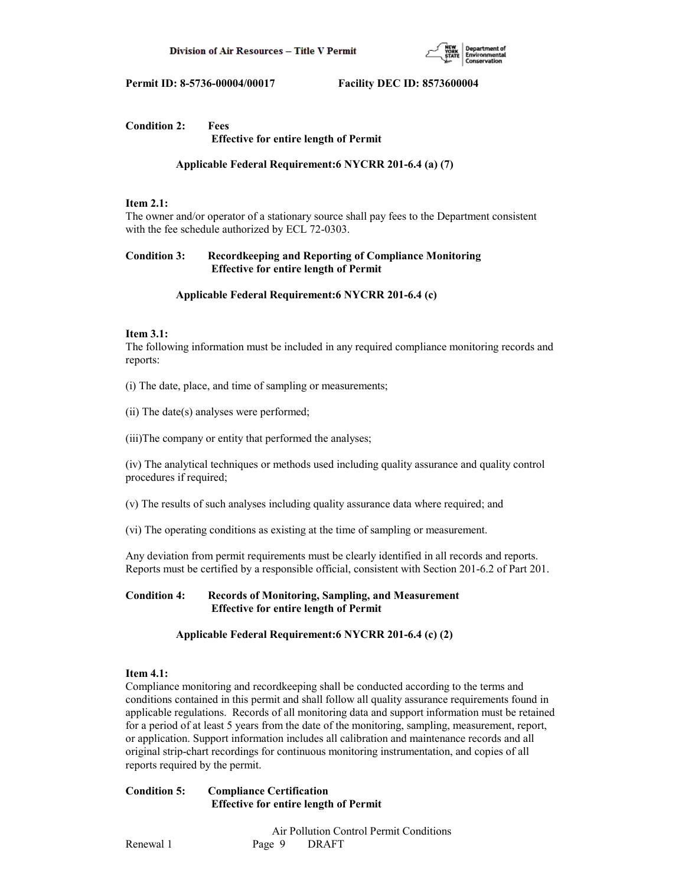

### **Condition 2: Fees Effective for entire length of Permit**

 **Applicable Federal Requirement:6 NYCRR 201-6.4 (a) (7)**

## **Item 2.1:**

The owner and/or operator of a stationary source shall pay fees to the Department consistent with the fee schedule authorized by ECL 72-0303.

## **Condition 3: Recordkeeping and Reporting of Compliance Monitoring Effective for entire length of Permit**

## **Applicable Federal Requirement:6 NYCRR 201-6.4 (c)**

## **Item 3.1:**

The following information must be included in any required compliance monitoring records and reports:

(i) The date, place, and time of sampling or measurements;

(ii) The date(s) analyses were performed;

(iii)The company or entity that performed the analyses;

(iv) The analytical techniques or methods used including quality assurance and quality control procedures if required;

(v) The results of such analyses including quality assurance data where required; and

(vi) The operating conditions as existing at the time of sampling or measurement.

Any deviation from permit requirements must be clearly identified in all records and reports. Reports must be certified by a responsible official, consistent with Section 201-6.2 of Part 201.

## **Condition 4: Records of Monitoring, Sampling, and Measurement Effective for entire length of Permit**

## **Applicable Federal Requirement:6 NYCRR 201-6.4 (c) (2)**

### **Item 4.1:**

Compliance monitoring and recordkeeping shall be conducted according to the terms and conditions contained in this permit and shall follow all quality assurance requirements found in applicable regulations. Records of all monitoring data and support information must be retained for a period of at least 5 years from the date of the monitoring, sampling, measurement, report, or application. Support information includes all calibration and maintenance records and all original strip-chart recordings for continuous monitoring instrumentation, and copies of all reports required by the permit.

**Condition 5: Compliance Certification Effective for entire length of Permit**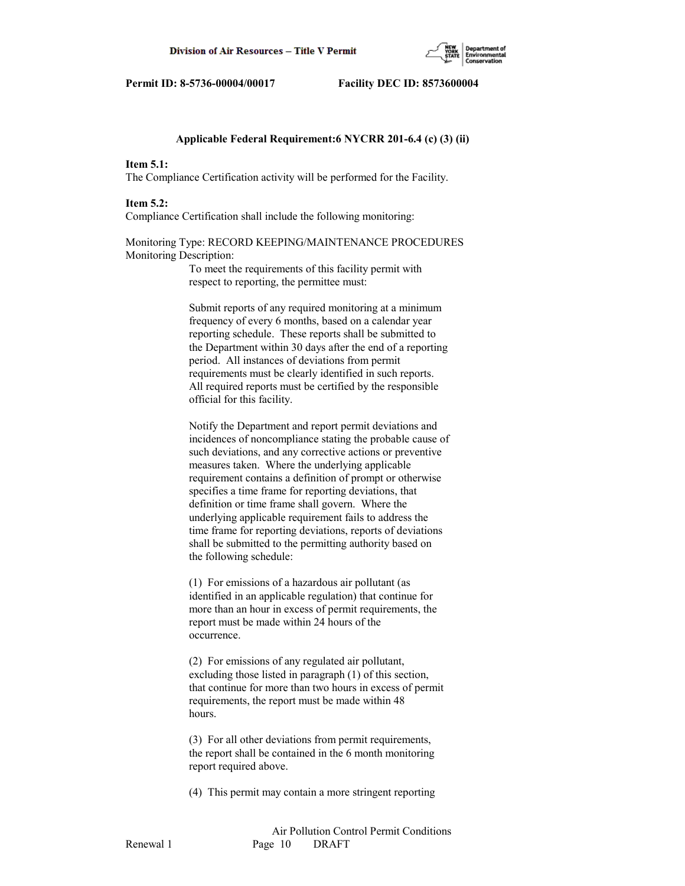

#### **Applicable Federal Requirement:6 NYCRR 201-6.4 (c) (3) (ii)**

#### **Item 5.1:**

The Compliance Certification activity will be performed for the Facility.

#### **Item 5.2:**

Compliance Certification shall include the following monitoring:

## Monitoring Type: RECORD KEEPING/MAINTENANCE PROCEDURES Monitoring Description:

 To meet the requirements of this facility permit with respect to reporting, the permittee must:

 Submit reports of any required monitoring at a minimum frequency of every 6 months, based on a calendar year reporting schedule. These reports shall be submitted to the Department within 30 days after the end of a reporting period. All instances of deviations from permit requirements must be clearly identified in such reports. All required reports must be certified by the responsible official for this facility.

 Notify the Department and report permit deviations and incidences of noncompliance stating the probable cause of such deviations, and any corrective actions or preventive measures taken. Where the underlying applicable requirement contains a definition of prompt or otherwise specifies a time frame for reporting deviations, that definition or time frame shall govern. Where the underlying applicable requirement fails to address the time frame for reporting deviations, reports of deviations shall be submitted to the permitting authority based on the following schedule:

 (1) For emissions of a hazardous air pollutant (as identified in an applicable regulation) that continue for more than an hour in excess of permit requirements, the report must be made within 24 hours of the occurrence.

 (2) For emissions of any regulated air pollutant, excluding those listed in paragraph (1) of this section, that continue for more than two hours in excess of permit requirements, the report must be made within 48 hours.

 (3) For all other deviations from permit requirements, the report shall be contained in the 6 month monitoring report required above.

(4) This permit may contain a more stringent reporting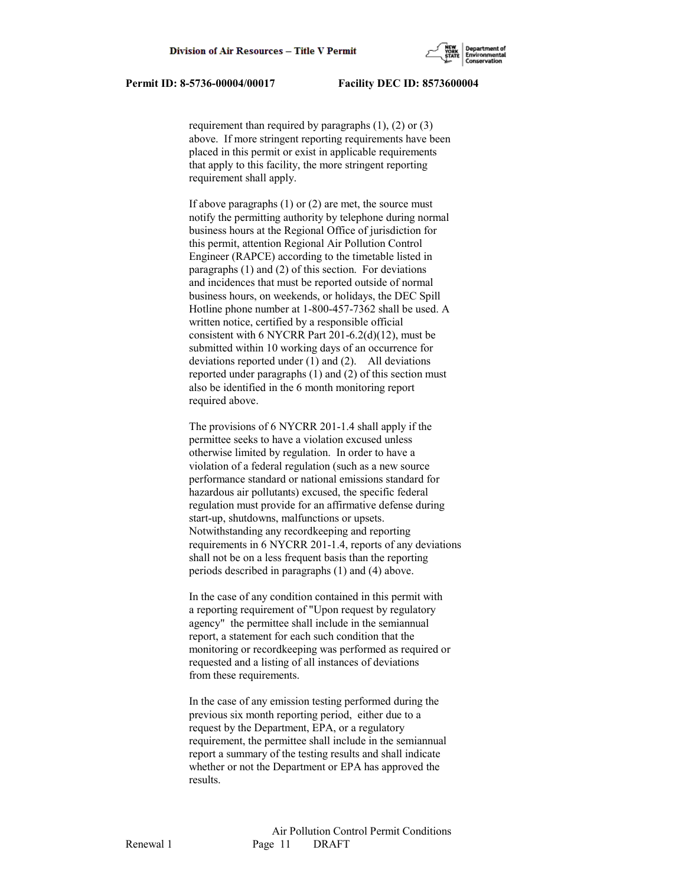

requirement than required by paragraphs  $(1)$ ,  $(2)$  or  $(3)$  above. If more stringent reporting requirements have been placed in this permit or exist in applicable requirements that apply to this facility, the more stringent reporting requirement shall apply.

If above paragraphs  $(1)$  or  $(2)$  are met, the source must notify the permitting authority by telephone during normal business hours at the Regional Office of jurisdiction for this permit, attention Regional Air Pollution Control Engineer (RAPCE) according to the timetable listed in paragraphs (1) and (2) of this section. For deviations and incidences that must be reported outside of normal business hours, on weekends, or holidays, the DEC Spill Hotline phone number at 1-800-457-7362 shall be used. A written notice, certified by a responsible official consistent with 6 NYCRR Part 201-6.2(d)(12), must be submitted within 10 working days of an occurrence for deviations reported under (1) and (2). All deviations reported under paragraphs (1) and (2) of this section must also be identified in the 6 month monitoring report required above.

 The provisions of 6 NYCRR 201-1.4 shall apply if the permittee seeks to have a violation excused unless otherwise limited by regulation. In order to have a violation of a federal regulation (such as a new source performance standard or national emissions standard for hazardous air pollutants) excused, the specific federal regulation must provide for an affirmative defense during start-up, shutdowns, malfunctions or upsets. Notwithstanding any recordkeeping and reporting requirements in 6 NYCRR 201-1.4, reports of any deviations shall not be on a less frequent basis than the reporting periods described in paragraphs (1) and (4) above.

 In the case of any condition contained in this permit with a reporting requirement of "Upon request by regulatory agency" the permittee shall include in the semiannual report, a statement for each such condition that the monitoring or recordkeeping was performed as required or requested and a listing of all instances of deviations from these requirements.

 In the case of any emission testing performed during the previous six month reporting period, either due to a request by the Department, EPA, or a regulatory requirement, the permittee shall include in the semiannual report a summary of the testing results and shall indicate whether or not the Department or EPA has approved the results.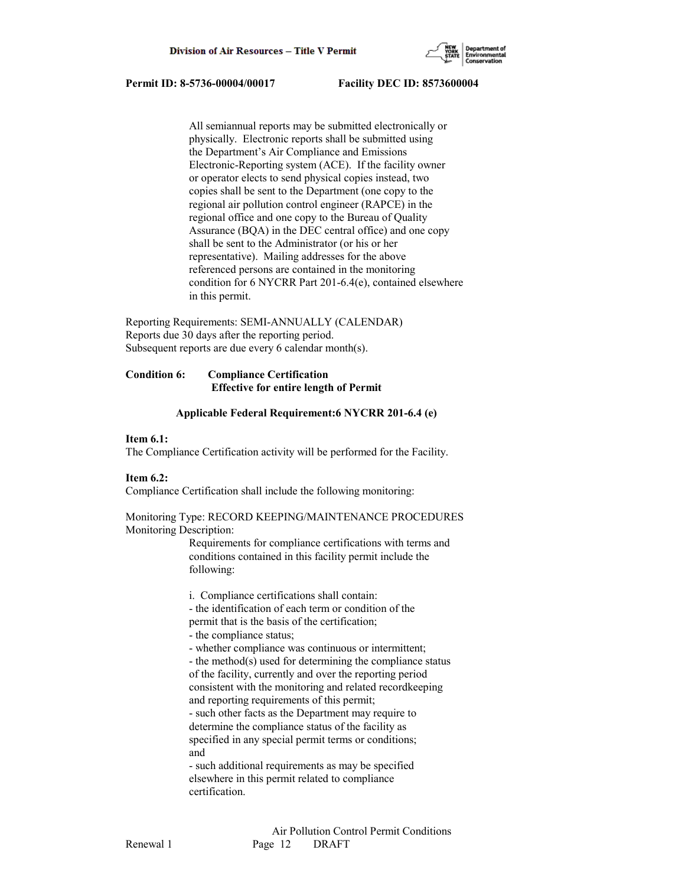

 All semiannual reports may be submitted electronically or physically. Electronic reports shall be submitted using the Department's Air Compliance and Emissions Electronic-Reporting system (ACE). If the facility owner or operator elects to send physical copies instead, two copies shall be sent to the Department (one copy to the regional air pollution control engineer (RAPCE) in the regional office and one copy to the Bureau of Quality Assurance (BQA) in the DEC central office) and one copy shall be sent to the Administrator (or his or her representative). Mailing addresses for the above referenced persons are contained in the monitoring condition for 6 NYCRR Part 201-6.4(e), contained elsewhere in this permit.

Reporting Requirements: SEMI-ANNUALLY (CALENDAR) Reports due 30 days after the reporting period. Subsequent reports are due every 6 calendar month(s).

## **Condition 6: Compliance Certification Effective for entire length of Permit**

### **Applicable Federal Requirement:6 NYCRR 201-6.4 (e)**

#### **Item 6.1:**

The Compliance Certification activity will be performed for the Facility.

### **Item 6.2:**

Compliance Certification shall include the following monitoring:

### Monitoring Type: RECORD KEEPING/MAINTENANCE PROCEDURES Monitoring Description:

 Requirements for compliance certifications with terms and conditions contained in this facility permit include the following:

 i. Compliance certifications shall contain: - the identification of each term or condition of the

- permit that is the basis of the certification;
- the compliance status;

- whether compliance was continuous or intermittent;

 - the method(s) used for determining the compliance status of the facility, currently and over the reporting period consistent with the monitoring and related recordkeeping and reporting requirements of this permit;

 - such other facts as the Department may require to determine the compliance status of the facility as specified in any special permit terms or conditions; and

 - such additional requirements as may be specified elsewhere in this permit related to compliance certification.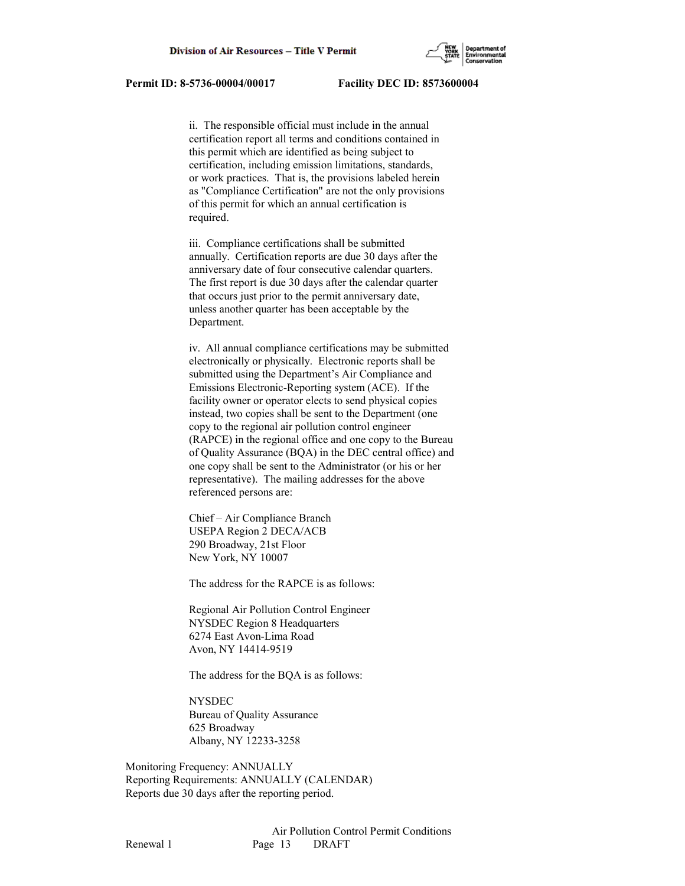

 ii. The responsible official must include in the annual certification report all terms and conditions contained in this permit which are identified as being subject to certification, including emission limitations, standards, or work practices. That is, the provisions labeled herein as "Compliance Certification" are not the only provisions of this permit for which an annual certification is required.

 iii. Compliance certifications shall be submitted annually. Certification reports are due 30 days after the anniversary date of four consecutive calendar quarters. The first report is due 30 days after the calendar quarter that occurs just prior to the permit anniversary date, unless another quarter has been acceptable by the Department.

 iv. All annual compliance certifications may be submitted electronically or physically. Electronic reports shall be submitted using the Department's Air Compliance and Emissions Electronic-Reporting system (ACE). If the facility owner or operator elects to send physical copies instead, two copies shall be sent to the Department (one copy to the regional air pollution control engineer (RAPCE) in the regional office and one copy to the Bureau of Quality Assurance (BQA) in the DEC central office) and one copy shall be sent to the Administrator (or his or her representative). The mailing addresses for the above referenced persons are:

 Chief – Air Compliance Branch USEPA Region 2 DECA/ACB 290 Broadway, 21st Floor New York, NY 10007

The address for the RAPCE is as follows:

 Regional Air Pollution Control Engineer NYSDEC Region 8 Headquarters 6274 East Avon-Lima Road Avon, NY 14414-9519

The address for the BQA is as follows:

 NYSDEC Bureau of Quality Assurance 625 Broadway Albany, NY 12233-3258

Monitoring Frequency: ANNUALLY Reporting Requirements: ANNUALLY (CALENDAR) Reports due 30 days after the reporting period.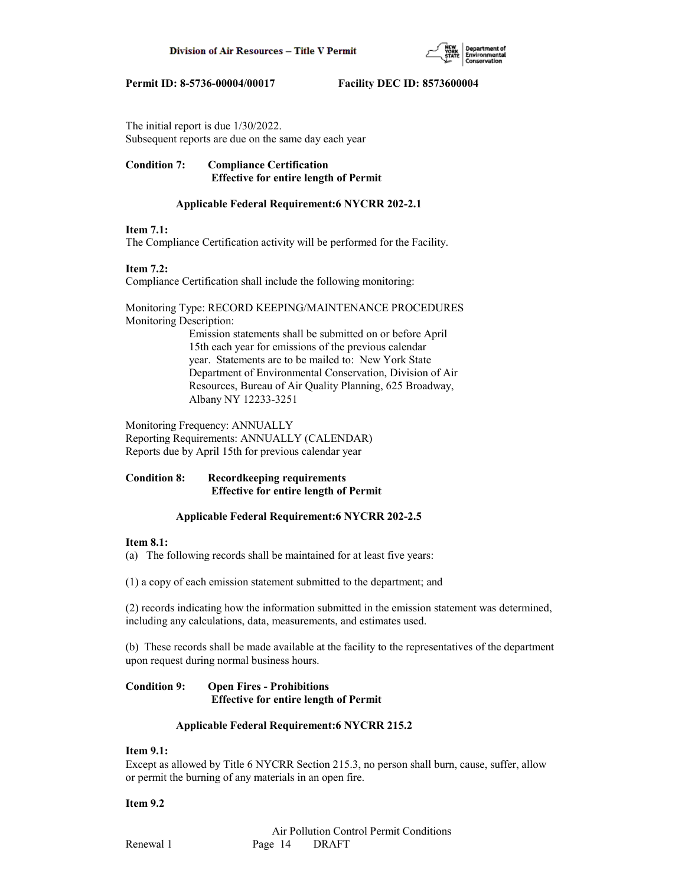

The initial report is due 1/30/2022. Subsequent reports are due on the same day each year

## **Condition 7: Compliance Certification Effective for entire length of Permit**

## **Applicable Federal Requirement:6 NYCRR 202-2.1**

## **Item 7.1:**

The Compliance Certification activity will be performed for the Facility.

## **Item 7.2:**

Compliance Certification shall include the following monitoring:

Monitoring Type: RECORD KEEPING/MAINTENANCE PROCEDURES Monitoring Description: Emission statements shall be submitted on or before April 15th each year for emissions of the previous calendar year. Statements are to be mailed to: New York State Department of Environmental Conservation, Division of Air Resources, Bureau of Air Quality Planning, 625 Broadway,

Albany NY 12233-3251

Monitoring Frequency: ANNUALLY Reporting Requirements: ANNUALLY (CALENDAR) Reports due by April 15th for previous calendar year

### **Condition 8: Recordkeeping requirements Effective for entire length of Permit**

## **Applicable Federal Requirement:6 NYCRR 202-2.5**

## **Item 8.1:**

(a) The following records shall be maintained for at least five years:

(1) a copy of each emission statement submitted to the department; and

(2) records indicating how the information submitted in the emission statement was determined, including any calculations, data, measurements, and estimates used.

(b) These records shall be made available at the facility to the representatives of the department upon request during normal business hours.

## **Condition 9: Open Fires - Prohibitions Effective for entire length of Permit**

## **Applicable Federal Requirement:6 NYCRR 215.2**

## **Item 9.1:**

Except as allowed by Title 6 NYCRR Section 215.3, no person shall burn, cause, suffer, allow or permit the burning of any materials in an open fire.

## **Item 9.2**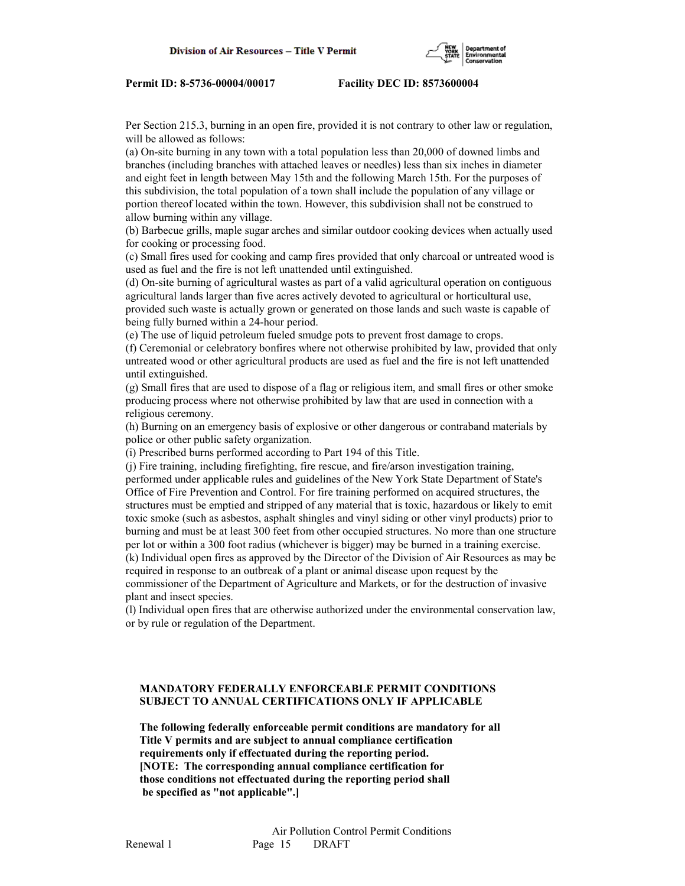

Per Section 215.3, burning in an open fire, provided it is not contrary to other law or regulation, will be allowed as follows:

(a) On-site burning in any town with a total population less than 20,000 of downed limbs and branches (including branches with attached leaves or needles) less than six inches in diameter and eight feet in length between May 15th and the following March 15th. For the purposes of this subdivision, the total population of a town shall include the population of any village or portion thereof located within the town. However, this subdivision shall not be construed to allow burning within any village.

(b) Barbecue grills, maple sugar arches and similar outdoor cooking devices when actually used for cooking or processing food.

(c) Small fires used for cooking and camp fires provided that only charcoal or untreated wood is used as fuel and the fire is not left unattended until extinguished.

(d) On-site burning of agricultural wastes as part of a valid agricultural operation on contiguous agricultural lands larger than five acres actively devoted to agricultural or horticultural use, provided such waste is actually grown or generated on those lands and such waste is capable of being fully burned within a 24-hour period.

(e) The use of liquid petroleum fueled smudge pots to prevent frost damage to crops.

(f) Ceremonial or celebratory bonfires where not otherwise prohibited by law, provided that only untreated wood or other agricultural products are used as fuel and the fire is not left unattended until extinguished.

(g) Small fires that are used to dispose of a flag or religious item, and small fires or other smoke producing process where not otherwise prohibited by law that are used in connection with a religious ceremony.

(h) Burning on an emergency basis of explosive or other dangerous or contraband materials by police or other public safety organization.

(i) Prescribed burns performed according to Part 194 of this Title.

(j) Fire training, including firefighting, fire rescue, and fire/arson investigation training, performed under applicable rules and guidelines of the New York State Department of State's Office of Fire Prevention and Control. For fire training performed on acquired structures, the structures must be emptied and stripped of any material that is toxic, hazardous or likely to emit toxic smoke (such as asbestos, asphalt shingles and vinyl siding or other vinyl products) prior to burning and must be at least 300 feet from other occupied structures. No more than one structure per lot or within a 300 foot radius (whichever is bigger) may be burned in a training exercise.

(k) Individual open fires as approved by the Director of the Division of Air Resources as may be required in response to an outbreak of a plant or animal disease upon request by the commissioner of the Department of Agriculture and Markets, or for the destruction of invasive plant and insect species.

(l) Individual open fires that are otherwise authorized under the environmental conservation law, or by rule or regulation of the Department.

## **MANDATORY FEDERALLY ENFORCEABLE PERMIT CONDITIONS SUBJECT TO ANNUAL CERTIFICATIONS ONLY IF APPLICABLE**

 **The following federally enforceable permit conditions are mandatory for all Title V permits and are subject to annual compliance certification requirements only if effectuated during the reporting period. [NOTE: The corresponding annual compliance certification for those conditions not effectuated during the reporting period shall be specified as "not applicable".]**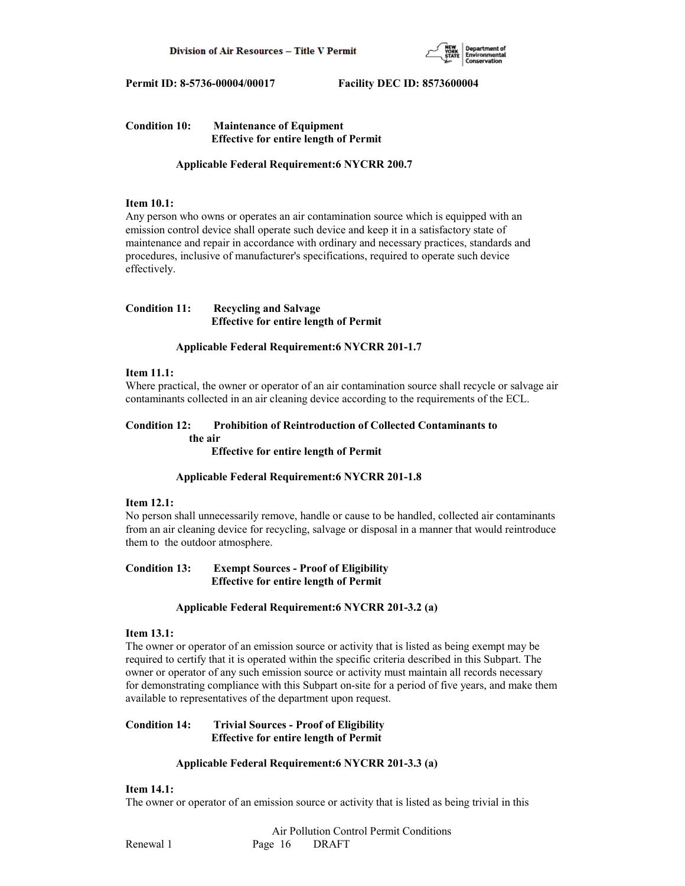

## **Condition 10: Maintenance of Equipment Effective for entire length of Permit**

 **Applicable Federal Requirement:6 NYCRR 200.7**

### **Item 10.1:**

Any person who owns or operates an air contamination source which is equipped with an emission control device shall operate such device and keep it in a satisfactory state of maintenance and repair in accordance with ordinary and necessary practices, standards and procedures, inclusive of manufacturer's specifications, required to operate such device effectively.

### **Condition 11: Recycling and Salvage Effective for entire length of Permit**

### **Applicable Federal Requirement:6 NYCRR 201-1.7**

## **Item 11.1:**

Where practical, the owner or operator of an air contamination source shall recycle or salvage air contaminants collected in an air cleaning device according to the requirements of the ECL.

### **Condition 12: Prohibition of Reintroduction of Collected Contaminants to the air**

 **Effective for entire length of Permit**

### **Applicable Federal Requirement:6 NYCRR 201-1.8**

### **Item 12.1:**

No person shall unnecessarily remove, handle or cause to be handled, collected air contaminants from an air cleaning device for recycling, salvage or disposal in a manner that would reintroduce them to the outdoor atmosphere.

**Condition 13: Exempt Sources - Proof of Eligibility Effective for entire length of Permit**

### **Applicable Federal Requirement:6 NYCRR 201-3.2 (a)**

## **Item 13.1:**

The owner or operator of an emission source or activity that is listed as being exempt may be required to certify that it is operated within the specific criteria described in this Subpart. The owner or operator of any such emission source or activity must maintain all records necessary for demonstrating compliance with this Subpart on-site for a period of five years, and make them available to representatives of the department upon request.

## **Condition 14: Trivial Sources - Proof of Eligibility Effective for entire length of Permit**

## **Applicable Federal Requirement:6 NYCRR 201-3.3 (a)**

## **Item 14.1:**

The owner or operator of an emission source or activity that is listed as being trivial in this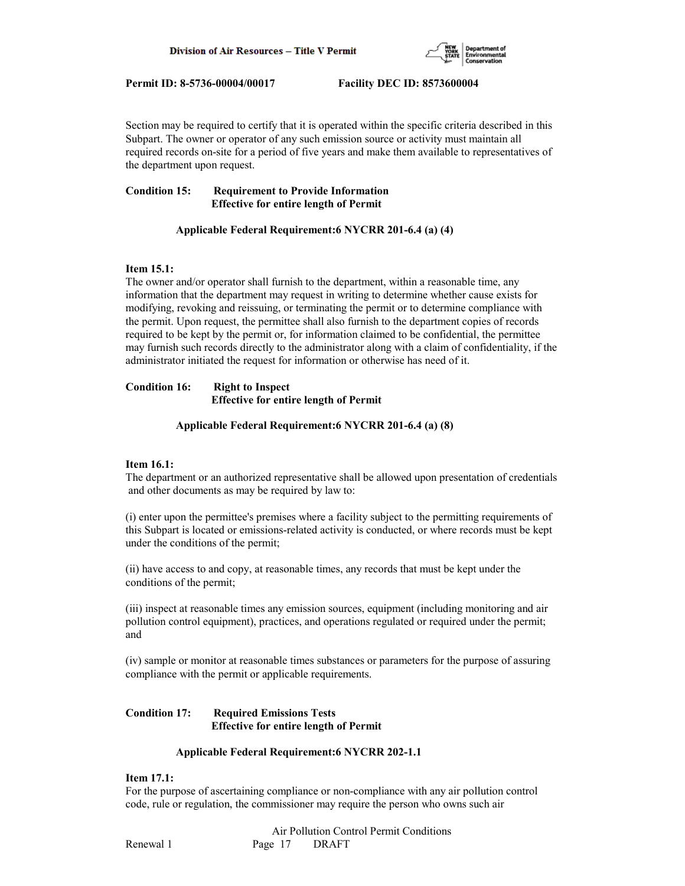

Section may be required to certify that it is operated within the specific criteria described in this Subpart. The owner or operator of any such emission source or activity must maintain all required records on-site for a period of five years and make them available to representatives of the department upon request.

## **Condition 15: Requirement to Provide Information Effective for entire length of Permit**

### **Applicable Federal Requirement:6 NYCRR 201-6.4 (a) (4)**

### **Item 15.1:**

The owner and/or operator shall furnish to the department, within a reasonable time, any information that the department may request in writing to determine whether cause exists for modifying, revoking and reissuing, or terminating the permit or to determine compliance with the permit. Upon request, the permittee shall also furnish to the department copies of records required to be kept by the permit or, for information claimed to be confidential, the permittee may furnish such records directly to the administrator along with a claim of confidentiality, if the administrator initiated the request for information or otherwise has need of it.

### **Condition 16: Right to Inspect Effective for entire length of Permit**

#### **Applicable Federal Requirement:6 NYCRR 201-6.4 (a) (8)**

### **Item 16.1:**

The department or an authorized representative shall be allowed upon presentation of credentials and other documents as may be required by law to:

(i) enter upon the permittee's premises where a facility subject to the permitting requirements of this Subpart is located or emissions-related activity is conducted, or where records must be kept under the conditions of the permit;

(ii) have access to and copy, at reasonable times, any records that must be kept under the conditions of the permit;

(iii) inspect at reasonable times any emission sources, equipment (including monitoring and air pollution control equipment), practices, and operations regulated or required under the permit; and

(iv) sample or monitor at reasonable times substances or parameters for the purpose of assuring compliance with the permit or applicable requirements.

## **Condition 17: Required Emissions Tests Effective for entire length of Permit**

### **Applicable Federal Requirement:6 NYCRR 202-1.1**

### **Item 17.1:**

For the purpose of ascertaining compliance or non-compliance with any air pollution control code, rule or regulation, the commissioner may require the person who owns such air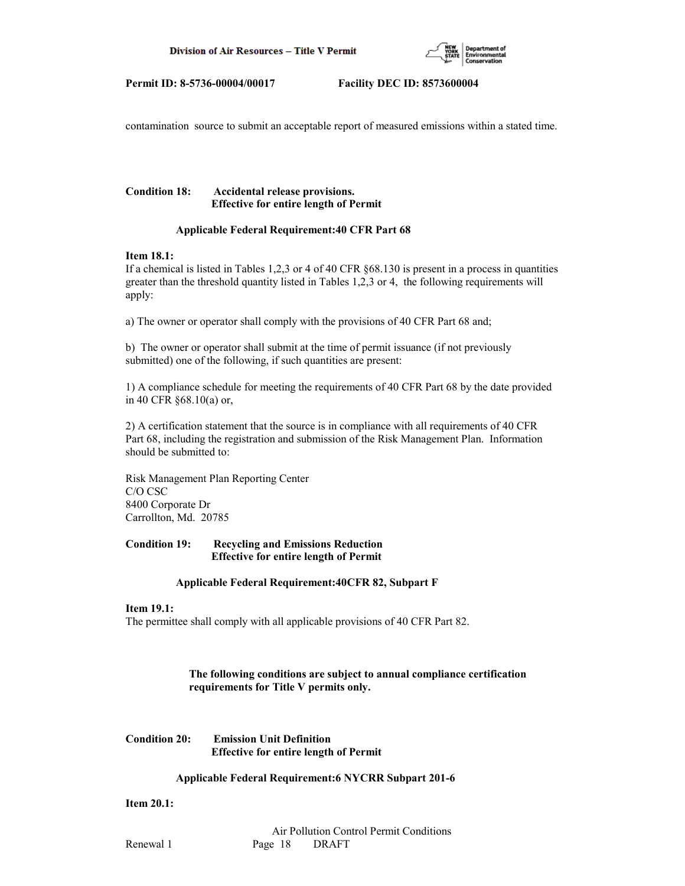

contamination source to submit an acceptable report of measured emissions within a stated time.

## **Condition 18: Accidental release provisions. Effective for entire length of Permit**

### **Applicable Federal Requirement:40 CFR Part 68**

#### **Item 18.1:**

If a chemical is listed in Tables 1,2,3 or 4 of 40 CFR §68.130 is present in a process in quantities greater than the threshold quantity listed in Tables 1,2,3 or 4, the following requirements will apply:

a) The owner or operator shall comply with the provisions of 40 CFR Part 68 and;

b) The owner or operator shall submit at the time of permit issuance (if not previously submitted) one of the following, if such quantities are present:

1) A compliance schedule for meeting the requirements of 40 CFR Part 68 by the date provided in 40 CFR §68.10(a) or,

2) A certification statement that the source is in compliance with all requirements of 40 CFR Part 68, including the registration and submission of the Risk Management Plan. Information should be submitted to:

Risk Management Plan Reporting Center C/O CSC 8400 Corporate Dr Carrollton, Md. 20785

### **Condition 19: Recycling and Emissions Reduction Effective for entire length of Permit**

### **Applicable Federal Requirement:40CFR 82, Subpart F**

### **Item 19.1:**

The permittee shall comply with all applicable provisions of 40 CFR Part 82.

## **The following conditions are subject to annual compliance certification requirements for Title V permits only.**

**Condition 20: Emission Unit Definition Effective for entire length of Permit**

### **Applicable Federal Requirement:6 NYCRR Subpart 201-6**

**Item 20.1:**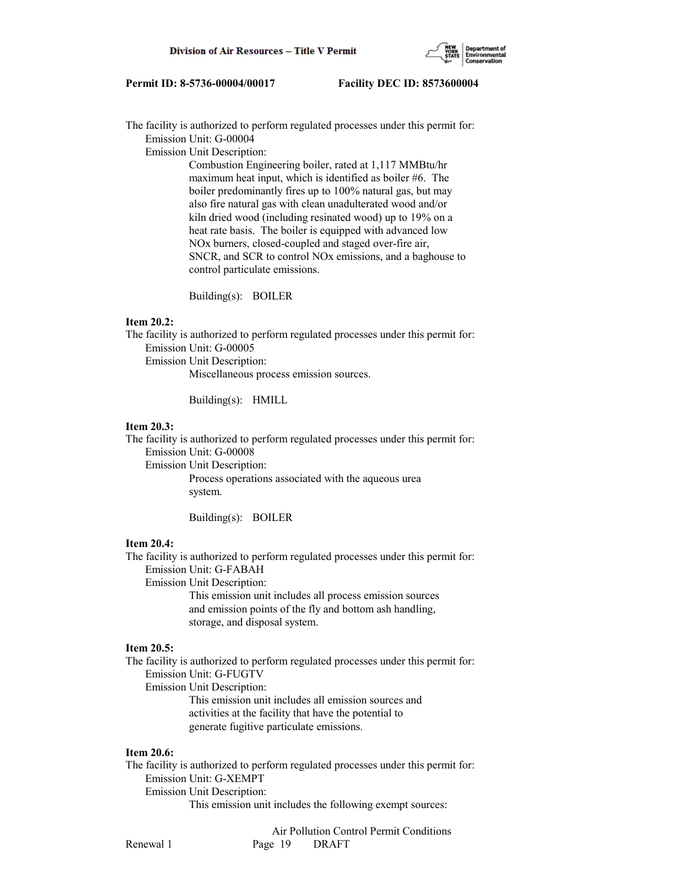

The facility is authorized to perform regulated processes under this permit for: Emission Unit: G-00004

Emission Unit Description:

 Combustion Engineering boiler, rated at 1,117 MMBtu/hr maximum heat input, which is identified as boiler #6. The boiler predominantly fires up to 100% natural gas, but may also fire natural gas with clean unadulterated wood and/or kiln dried wood (including resinated wood) up to 19% on a heat rate basis. The boiler is equipped with advanced low NOx burners, closed-coupled and staged over-fire air, SNCR, and SCR to control NOx emissions, and a baghouse to control particulate emissions.

Building(s): BOILER

#### **Item 20.2:**

The facility is authorized to perform regulated processes under this permit for: Emission Unit: G-00005

Emission Unit Description:

Miscellaneous process emission sources.

Building(s): HMILL

#### **Item 20.3:**

The facility is authorized to perform regulated processes under this permit for: Emission Unit: G-00008

Emission Unit Description:

 Process operations associated with the aqueous urea system.

Building(s): BOILER

#### **Item 20.4:**

The facility is authorized to perform regulated processes under this permit for: Emission Unit: G-FABAH Emission Unit Description:

> This emission unit includes all process emission sources and emission points of the fly and bottom ash handling, storage, and disposal system.

## **Item 20.5:**

The facility is authorized to perform regulated processes under this permit for: Emission Unit: G-FUGTV Emission Unit Description: This emission unit includes all emission sources and activities at the facility that have the potential to

generate fugitive particulate emissions.

#### **Item 20.6:**

The facility is authorized to perform regulated processes under this permit for: Emission Unit: G-XEMPT Emission Unit Description: This emission unit includes the following exempt sources: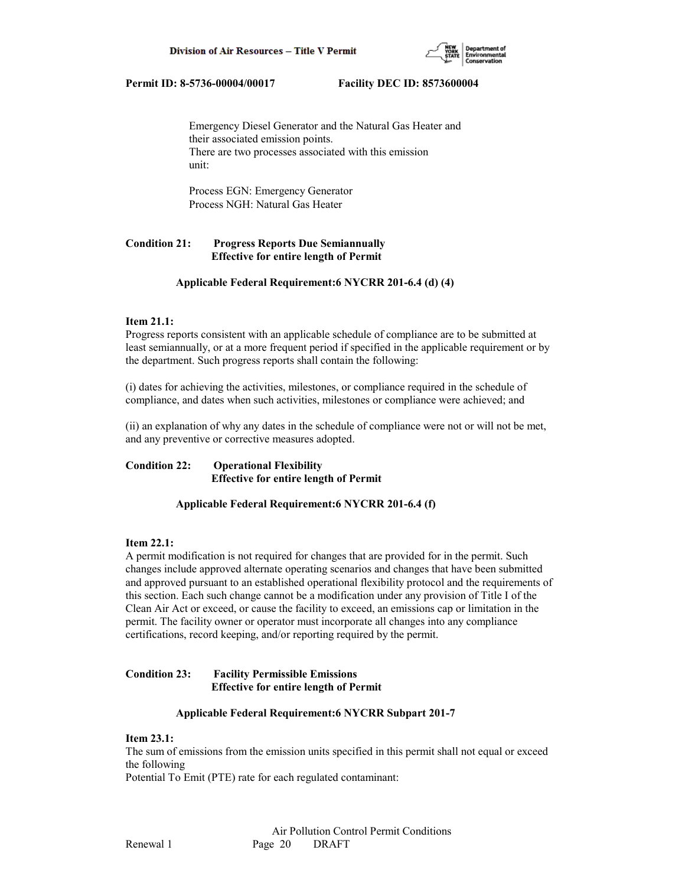

 Emergency Diesel Generator and the Natural Gas Heater and their associated emission points. There are two processes associated with this emission unit:

 Process EGN: Emergency Generator Process NGH: Natural Gas Heater

## **Condition 21: Progress Reports Due Semiannually Effective for entire length of Permit**

#### **Applicable Federal Requirement:6 NYCRR 201-6.4 (d) (4)**

## **Item 21.1:**

Progress reports consistent with an applicable schedule of compliance are to be submitted at least semiannually, or at a more frequent period if specified in the applicable requirement or by the department. Such progress reports shall contain the following:

(i) dates for achieving the activities, milestones, or compliance required in the schedule of compliance, and dates when such activities, milestones or compliance were achieved; and

(ii) an explanation of why any dates in the schedule of compliance were not or will not be met, and any preventive or corrective measures adopted.

## **Condition 22: Operational Flexibility Effective for entire length of Permit**

### **Applicable Federal Requirement:6 NYCRR 201-6.4 (f)**

#### **Item 22.1:**

A permit modification is not required for changes that are provided for in the permit. Such changes include approved alternate operating scenarios and changes that have been submitted and approved pursuant to an established operational flexibility protocol and the requirements of this section. Each such change cannot be a modification under any provision of Title I of the Clean Air Act or exceed, or cause the facility to exceed, an emissions cap or limitation in the permit. The facility owner or operator must incorporate all changes into any compliance certifications, record keeping, and/or reporting required by the permit.

### **Condition 23: Facility Permissible Emissions Effective for entire length of Permit**

#### **Applicable Federal Requirement:6 NYCRR Subpart 201-7**

## **Item 23.1:**

The sum of emissions from the emission units specified in this permit shall not equal or exceed the following

Potential To Emit (PTE) rate for each regulated contaminant: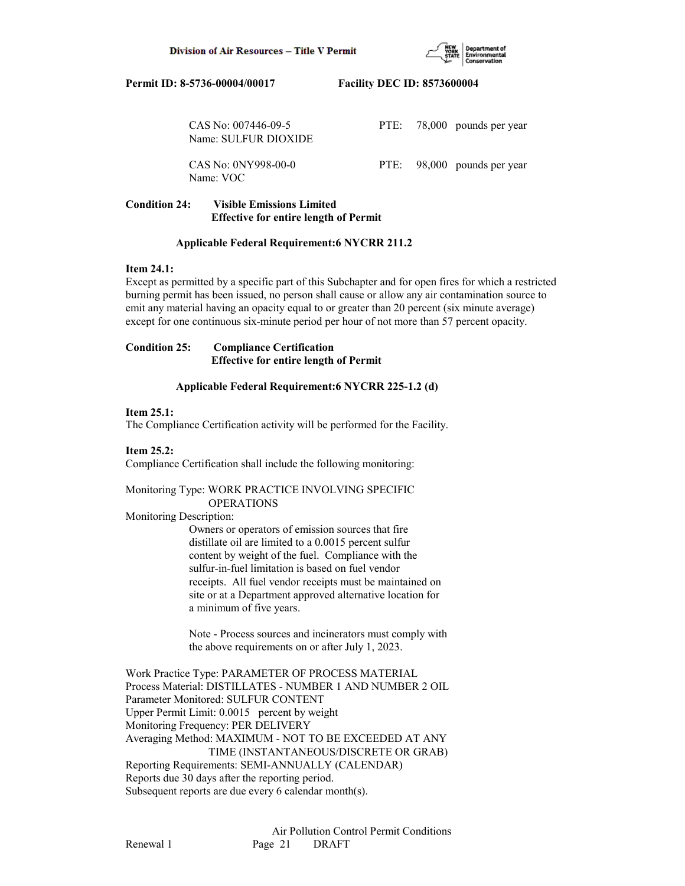

| CAS No: $007446-09-5$<br>Name: SULFUR DIOXIDE |  | PTE: 78,000 pounds per year |
|-----------------------------------------------|--|-----------------------------|
| CAS No: 0NY998-00-0<br>Name: VOC              |  | PTE: 98,000 pounds per year |

## **Condition 24: Visible Emissions Limited Effective for entire length of Permit**

### **Applicable Federal Requirement:6 NYCRR 211.2**

### **Item 24.1:**

Except as permitted by a specific part of this Subchapter and for open fires for which a restricted burning permit has been issued, no person shall cause or allow any air contamination source to emit any material having an opacity equal to or greater than 20 percent (six minute average) except for one continuous six-minute period per hour of not more than 57 percent opacity.

### **Condition 25: Compliance Certification Effective for entire length of Permit**

## **Applicable Federal Requirement:6 NYCRR 225-1.2 (d)**

## **Item 25.1:**

The Compliance Certification activity will be performed for the Facility.

## **Item 25.2:**

Compliance Certification shall include the following monitoring:

## Monitoring Type: WORK PRACTICE INVOLVING SPECIFIC OPERATIONS

Monitoring Description:

 Owners or operators of emission sources that fire distillate oil are limited to a 0.0015 percent sulfur content by weight of the fuel. Compliance with the sulfur-in-fuel limitation is based on fuel vendor receipts. All fuel vendor receipts must be maintained on site or at a Department approved alternative location for a minimum of five years.

 Note - Process sources and incinerators must comply with the above requirements on or after July 1, 2023.

Work Practice Type: PARAMETER OF PROCESS MATERIAL Process Material: DISTILLATES - NUMBER 1 AND NUMBER 2 OIL Parameter Monitored: SULFUR CONTENT Upper Permit Limit: 0.0015 percent by weight Monitoring Frequency: PER DELIVERY Averaging Method: MAXIMUM - NOT TO BE EXCEEDED AT ANY TIME (INSTANTANEOUS/DISCRETE OR GRAB) Reporting Requirements: SEMI-ANNUALLY (CALENDAR) Reports due 30 days after the reporting period. Subsequent reports are due every 6 calendar month(s).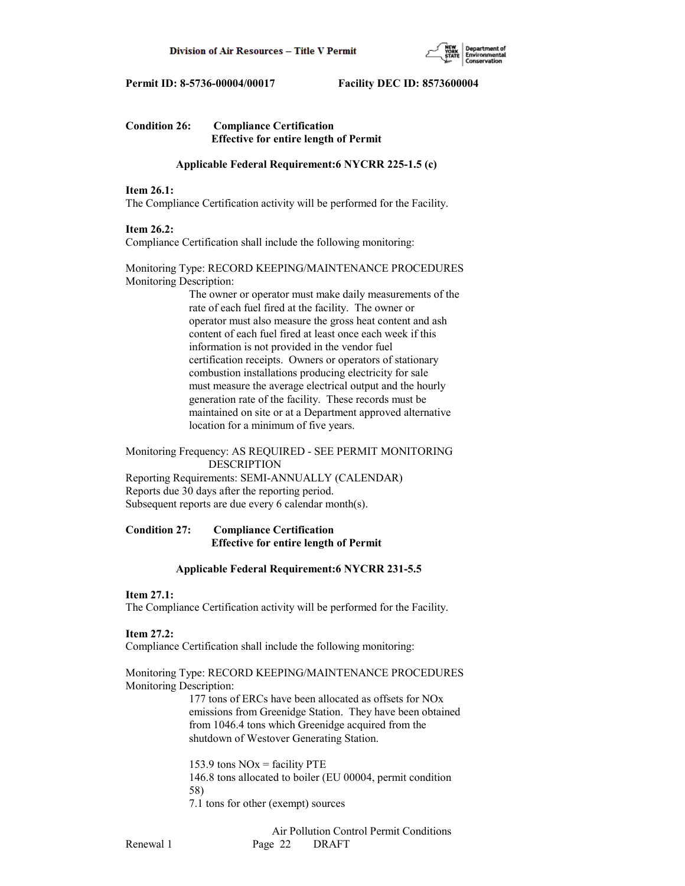

## **Condition 26: Compliance Certification Effective for entire length of Permit**

### **Applicable Federal Requirement:6 NYCRR 225-1.5 (c)**

## **Item 26.1:**

The Compliance Certification activity will be performed for the Facility.

## **Item 26.2:**

Compliance Certification shall include the following monitoring:

## Monitoring Type: RECORD KEEPING/MAINTENANCE PROCEDURES Monitoring Description:

 The owner or operator must make daily measurements of the rate of each fuel fired at the facility. The owner or operator must also measure the gross heat content and ash content of each fuel fired at least once each week if this information is not provided in the vendor fuel certification receipts. Owners or operators of stationary combustion installations producing electricity for sale must measure the average electrical output and the hourly generation rate of the facility. These records must be maintained on site or at a Department approved alternative location for a minimum of five years.

### Monitoring Frequency: AS REQUIRED - SEE PERMIT MONITORING DESCRIPTION

Reporting Requirements: SEMI-ANNUALLY (CALENDAR) Reports due 30 days after the reporting period. Subsequent reports are due every 6 calendar month(s).

## **Condition 27: Compliance Certification Effective for entire length of Permit**

### **Applicable Federal Requirement:6 NYCRR 231-5.5**

## **Item 27.1:**

The Compliance Certification activity will be performed for the Facility.

### **Item 27.2:**

Compliance Certification shall include the following monitoring:

## Monitoring Type: RECORD KEEPING/MAINTENANCE PROCEDURES Monitoring Description:

 177 tons of ERCs have been allocated as offsets for NOx emissions from Greenidge Station. They have been obtained from 1046.4 tons which Greenidge acquired from the shutdown of Westover Generating Station.

153.9 tons  $NOx =$  facility PTE 146.8 tons allocated to boiler (EU 00004, permit condition 58) 7.1 tons for other (exempt) sources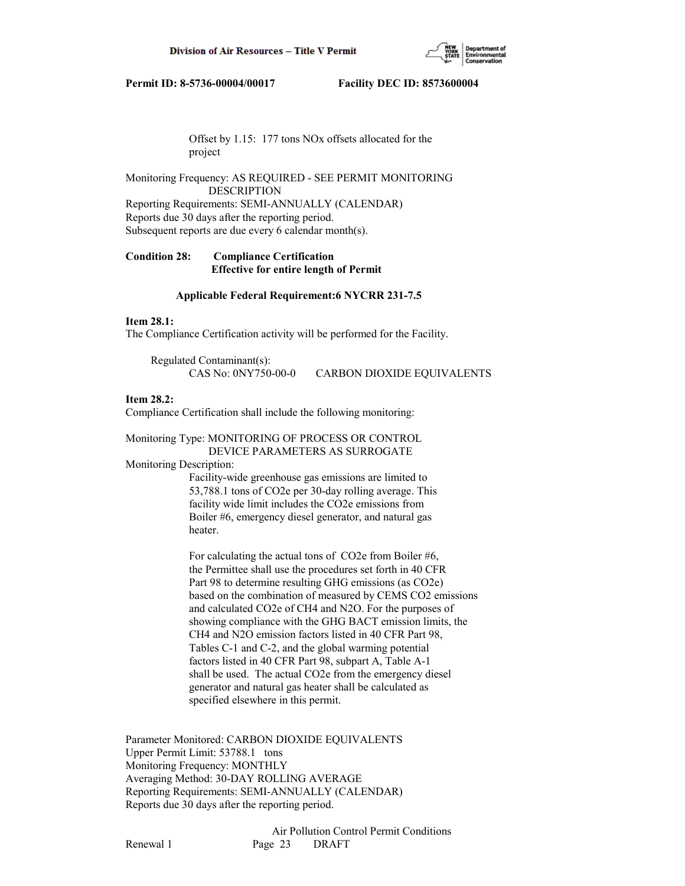

 Offset by 1.15: 177 tons NOx offsets allocated for the project

Monitoring Frequency: AS REQUIRED - SEE PERMIT MONITORING DESCRIPTION

Reporting Requirements: SEMI-ANNUALLY (CALENDAR) Reports due 30 days after the reporting period. Subsequent reports are due every 6 calendar month(s).

**Condition 28: Compliance Certification Effective for entire length of Permit**

#### **Applicable Federal Requirement:6 NYCRR 231-7.5**

#### **Item 28.1:**

The Compliance Certification activity will be performed for the Facility.

 Regulated Contaminant(s): CAS No: 0NY750-00-0 CARBON DIOXIDE EQUIVALENTS

#### **Item 28.2:**

Compliance Certification shall include the following monitoring:

#### Monitoring Type: MONITORING OF PROCESS OR CONTROL DEVICE PARAMETERS AS SURROGATE

Monitoring Description:

 Facility-wide greenhouse gas emissions are limited to 53,788.1 tons of CO2e per 30-day rolling average. This facility wide limit includes the CO2e emissions from Boiler #6, emergency diesel generator, and natural gas heater.

 For calculating the actual tons of CO2e from Boiler #6, the Permittee shall use the procedures set forth in 40 CFR Part 98 to determine resulting GHG emissions (as CO2e) based on the combination of measured by CEMS CO2 emissions and calculated CO2e of CH4 and N2O. For the purposes of showing compliance with the GHG BACT emission limits, the CH4 and N2O emission factors listed in 40 CFR Part 98, Tables C-1 and C-2, and the global warming potential factors listed in 40 CFR Part 98, subpart A, Table A-1 shall be used. The actual CO2e from the emergency diesel generator and natural gas heater shall be calculated as specified elsewhere in this permit.

Parameter Monitored: CARBON DIOXIDE EQUIVALENTS Upper Permit Limit: 53788.1 tons Monitoring Frequency: MONTHLY Averaging Method: 30-DAY ROLLING AVERAGE Reporting Requirements: SEMI-ANNUALLY (CALENDAR) Reports due 30 days after the reporting period.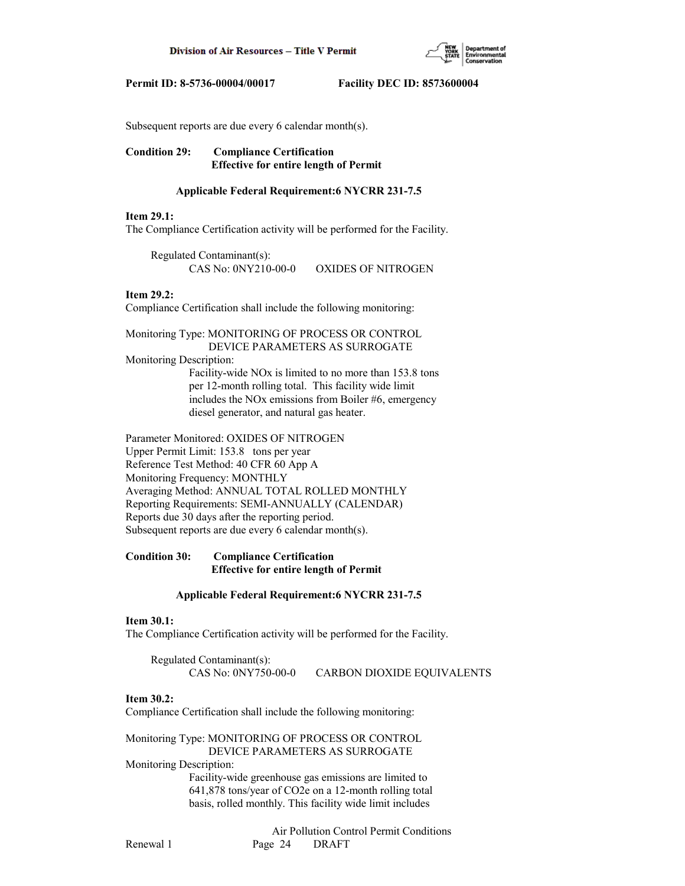

Subsequent reports are due every 6 calendar month(s).

## **Condition 29: Compliance Certification Effective for entire length of Permit**

### **Applicable Federal Requirement:6 NYCRR 231-7.5**

#### **Item 29.1:**

The Compliance Certification activity will be performed for the Facility.

 Regulated Contaminant(s): CAS No: 0NY210-00-0 OXIDES OF NITROGEN

#### **Item 29.2:**

Compliance Certification shall include the following monitoring:

#### Monitoring Type: MONITORING OF PROCESS OR CONTROL DEVICE PARAMETERS AS SURROGATE

Monitoring Description:

 Facility-wide NOx is limited to no more than 153.8 tons per 12-month rolling total. This facility wide limit includes the NOx emissions from Boiler #6, emergency diesel generator, and natural gas heater.

Parameter Monitored: OXIDES OF NITROGEN Upper Permit Limit: 153.8 tons per year Reference Test Method: 40 CFR 60 App A Monitoring Frequency: MONTHLY Averaging Method: ANNUAL TOTAL ROLLED MONTHLY Reporting Requirements: SEMI-ANNUALLY (CALENDAR) Reports due 30 days after the reporting period. Subsequent reports are due every 6 calendar month(s).

## **Condition 30: Compliance Certification Effective for entire length of Permit**

### **Applicable Federal Requirement:6 NYCRR 231-7.5**

### **Item 30.1:**

The Compliance Certification activity will be performed for the Facility.

 Regulated Contaminant(s): CAS No: 0NY750-00-0 CARBON DIOXIDE EQUIVALENTS

### **Item 30.2:**

Compliance Certification shall include the following monitoring:

## Monitoring Type: MONITORING OF PROCESS OR CONTROL DEVICE PARAMETERS AS SURROGATE

Monitoring Description:

 Facility-wide greenhouse gas emissions are limited to 641,878 tons/year of CO2e on a 12-month rolling total basis, rolled monthly. This facility wide limit includes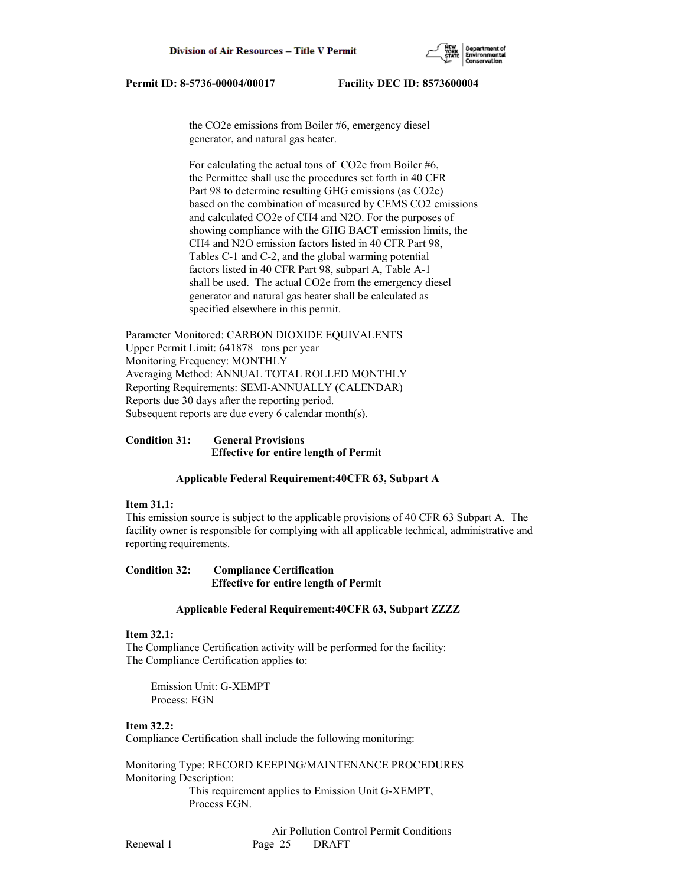

 the CO2e emissions from Boiler #6, emergency diesel generator, and natural gas heater.

 For calculating the actual tons of CO2e from Boiler #6, the Permittee shall use the procedures set forth in 40 CFR Part 98 to determine resulting GHG emissions (as CO2e) based on the combination of measured by CEMS CO2 emissions and calculated CO2e of CH4 and N2O. For the purposes of showing compliance with the GHG BACT emission limits, the CH4 and N2O emission factors listed in 40 CFR Part 98, Tables C-1 and C-2, and the global warming potential factors listed in 40 CFR Part 98, subpart A, Table A-1 shall be used. The actual CO2e from the emergency diesel generator and natural gas heater shall be calculated as specified elsewhere in this permit.

Parameter Monitored: CARBON DIOXIDE EQUIVALENTS Upper Permit Limit: 641878 tons per year Monitoring Frequency: MONTHLY Averaging Method: ANNUAL TOTAL ROLLED MONTHLY Reporting Requirements: SEMI-ANNUALLY (CALENDAR) Reports due 30 days after the reporting period. Subsequent reports are due every 6 calendar month(s).

### **Condition 31: General Provisions Effective for entire length of Permit**

#### **Applicable Federal Requirement:40CFR 63, Subpart A**

#### **Item 31.1:**

This emission source is subject to the applicable provisions of 40 CFR 63 Subpart A. The facility owner is responsible for complying with all applicable technical, administrative and reporting requirements.

### **Condition 32: Compliance Certification Effective for entire length of Permit**

#### **Applicable Federal Requirement:40CFR 63, Subpart ZZZZ**

#### **Item 32.1:**

The Compliance Certification activity will be performed for the facility: The Compliance Certification applies to:

 Emission Unit: G-XEMPT Process: EGN

## **Item 32.2:**

Compliance Certification shall include the following monitoring:

Monitoring Type: RECORD KEEPING/MAINTENANCE PROCEDURES Monitoring Description: This requirement applies to Emission Unit G-XEMPT, Process EGN.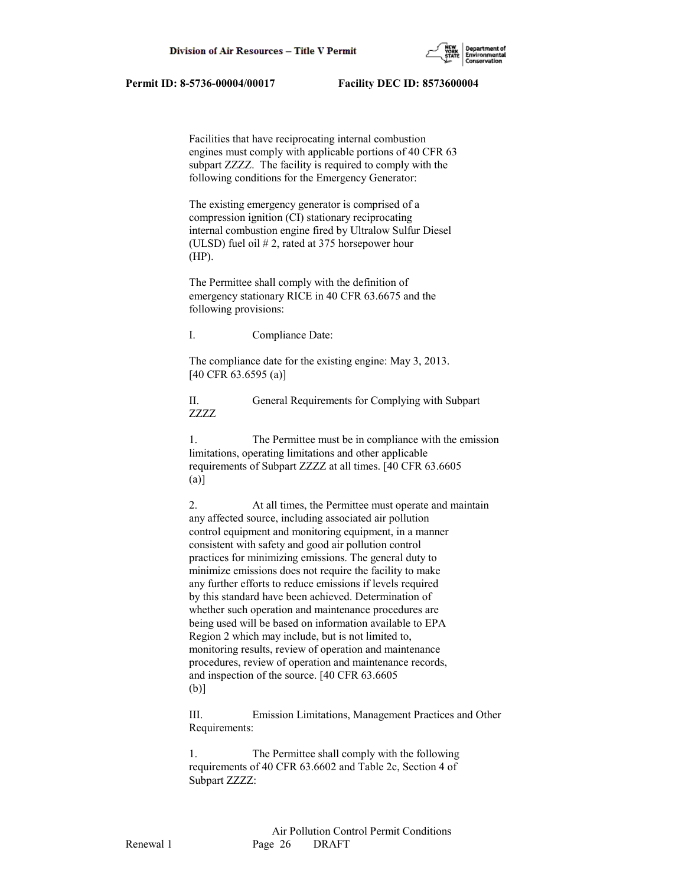

 Facilities that have reciprocating internal combustion engines must comply with applicable portions of 40 CFR 63 subpart ZZZZ. The facility is required to comply with the following conditions for the Emergency Generator:

 The existing emergency generator is comprised of a compression ignition (CI) stationary reciprocating internal combustion engine fired by Ultralow Sulfur Diesel (ULSD) fuel oil # 2, rated at 375 horsepower hour (HP).

 The Permittee shall comply with the definition of emergency stationary RICE in 40 CFR 63.6675 and the following provisions:

I. Compliance Date:

 The compliance date for the existing engine: May 3, 2013. [40 CFR 63.6595 (a)]

 II. General Requirements for Complying with Subpart ZZZZ

 1. The Permittee must be in compliance with the emission limitations, operating limitations and other applicable requirements of Subpart ZZZZ at all times. [40 CFR 63.6605 (a)]

 2. At all times, the Permittee must operate and maintain any affected source, including associated air pollution control equipment and monitoring equipment, in a manner consistent with safety and good air pollution control practices for minimizing emissions. The general duty to minimize emissions does not require the facility to make any further efforts to reduce emissions if levels required by this standard have been achieved. Determination of whether such operation and maintenance procedures are being used will be based on information available to EPA Region 2 which may include, but is not limited to, monitoring results, review of operation and maintenance procedures, review of operation and maintenance records, and inspection of the source. [40 CFR 63.6605 (b)]

 III. Emission Limitations, Management Practices and Other Requirements:

 1. The Permittee shall comply with the following requirements of 40 CFR 63.6602 and Table 2c, Section 4 of Subpart ZZZZ: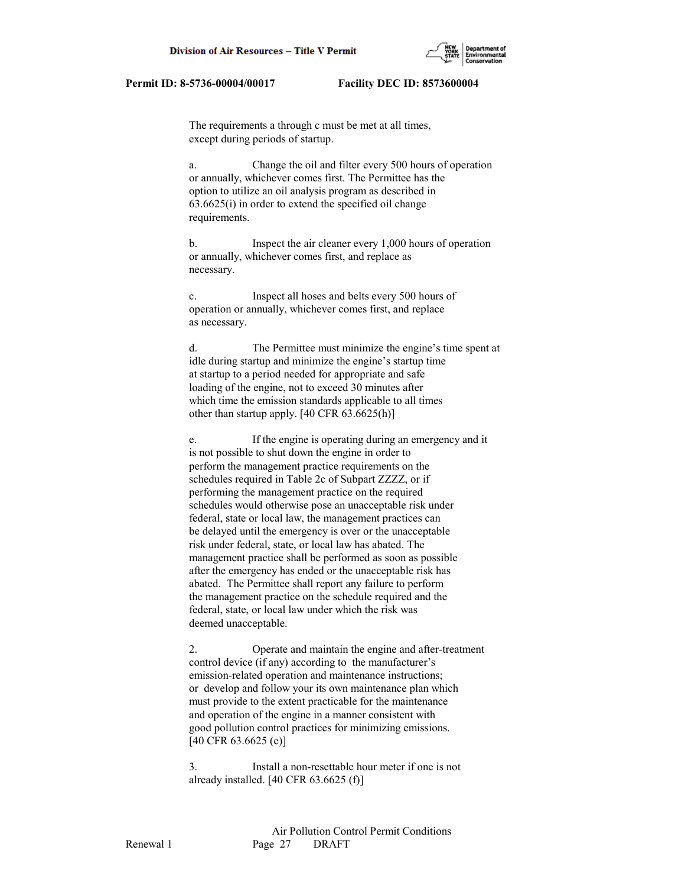

 The requirements a through c must be met at all times, except during periods of startup.

 a. Change the oil and filter every 500 hours of operation or annually, whichever comes first. The Permittee has the option to utilize an oil analysis program as described in 63.6625(i) in order to extend the specified oil change requirements.

 b. Inspect the air cleaner every 1,000 hours of operation or annually, whichever comes first, and replace as necessary.

 c. Inspect all hoses and belts every 500 hours of operation or annually, whichever comes first, and replace as necessary.

 d. The Permittee must minimize the engine's time spent at idle during startup and minimize the engine's startup time at startup to a period needed for appropriate and safe loading of the engine, not to exceed 30 minutes after which time the emission standards applicable to all times other than startup apply. [40 CFR 63.6625(h)]

 e. If the engine is operating during an emergency and it is not possible to shut down the engine in order to perform the management practice requirements on the schedules required in Table 2c of Subpart ZZZZ, or if performing the management practice on the required schedules would otherwise pose an unacceptable risk under federal, state or local law, the management practices can be delayed until the emergency is over or the unacceptable risk under federal, state, or local law has abated. The management practice shall be performed as soon as possible after the emergency has ended or the unacceptable risk has abated. The Permittee shall report any failure to perform the management practice on the schedule required and the federal, state, or local law under which the risk was deemed unacceptable.

 2. Operate and maintain the engine and after-treatment control device (if any) according to the manufacturer's emission-related operation and maintenance instructions; or develop and follow your its own maintenance plan which must provide to the extent practicable for the maintenance and operation of the engine in a manner consistent with good pollution control practices for minimizing emissions. [40 CFR 63.6625 (e)]

 3. Install a non-resettable hour meter if one is not already installed. [40 CFR 63.6625 (f)]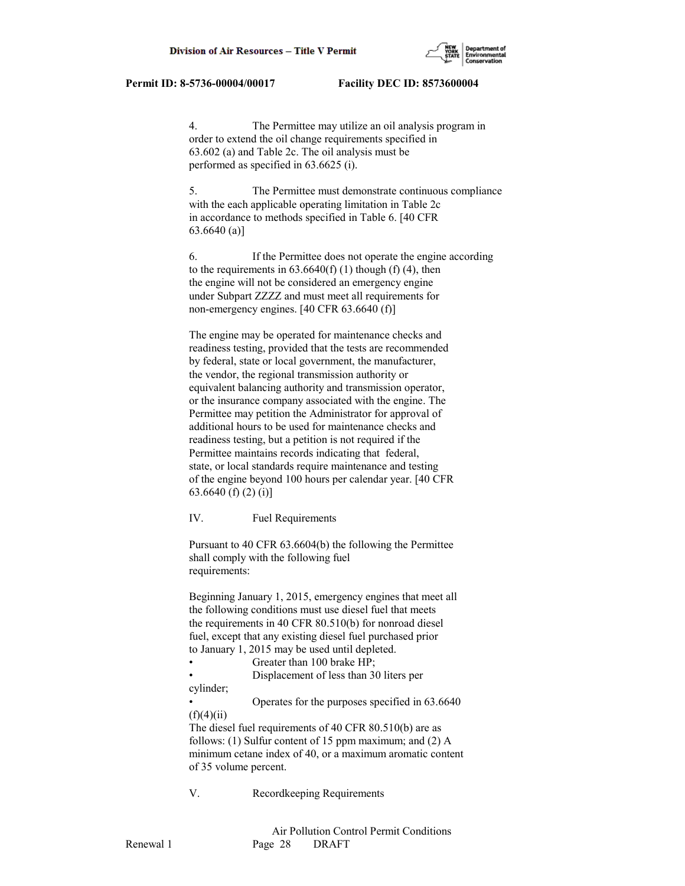4. The Permittee may utilize an oil analysis program in order to extend the oil change requirements specified in 63.602 (a) and Table 2c. The oil analysis must be performed as specified in 63.6625 (i).

 5. The Permittee must demonstrate continuous compliance with the each applicable operating limitation in Table 2c in accordance to methods specified in Table 6. [40 CFR 63.6640 (a)]

 6. If the Permittee does not operate the engine according to the requirements in  $63.6640(f)$  (1) though (f) (4), then the engine will not be considered an emergency engine under Subpart ZZZZ and must meet all requirements for non-emergency engines. [40 CFR 63.6640 (f)]

 The engine may be operated for maintenance checks and readiness testing, provided that the tests are recommended by federal, state or local government, the manufacturer, the vendor, the regional transmission authority or equivalent balancing authority and transmission operator, or the insurance company associated with the engine. The Permittee may petition the Administrator for approval of additional hours to be used for maintenance checks and readiness testing, but a petition is not required if the Permittee maintains records indicating that federal, state, or local standards require maintenance and testing of the engine beyond 100 hours per calendar year. [40 CFR 63.6640 (f) (2) (i)]

IV. Fuel Requirements

 Pursuant to 40 CFR 63.6604(b) the following the Permittee shall comply with the following fuel requirements:

 Beginning January 1, 2015, emergency engines that meet all the following conditions must use diesel fuel that meets the requirements in 40 CFR 80.510(b) for nonroad diesel fuel, except that any existing diesel fuel purchased prior to January 1, 2015 may be used until depleted.

Greater than 100 brake HP;

 • Displacement of less than 30 liters per cylinder;

 • Operates for the purposes specified in 63.6640  $(f)(4)(ii)$ 

 The diesel fuel requirements of 40 CFR 80.510(b) are as follows: (1) Sulfur content of 15 ppm maximum; and (2) A minimum cetane index of 40, or a maximum aromatic content of 35 volume percent.

V. Recordkeeping Requirements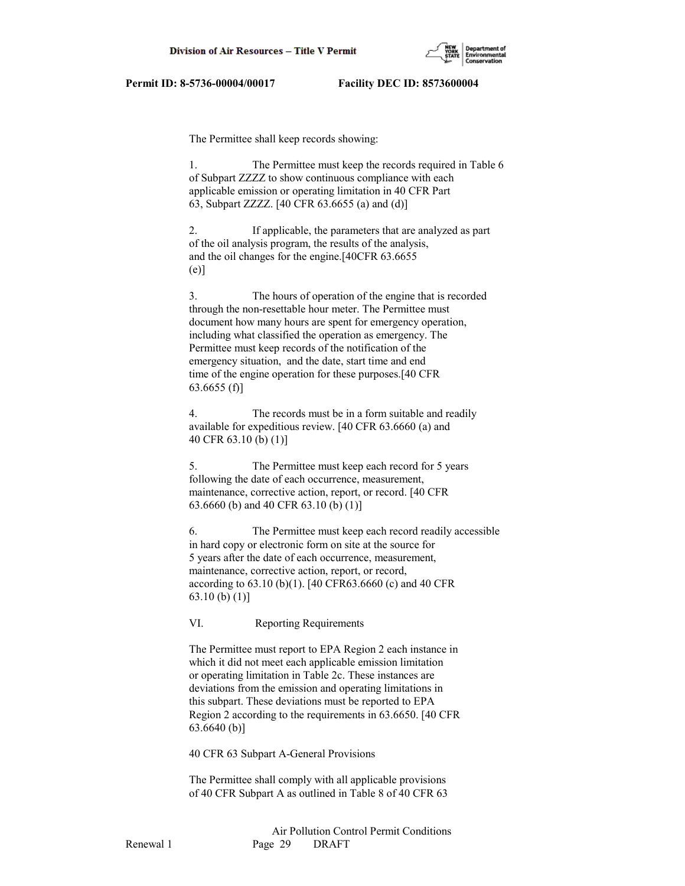

The Permittee shall keep records showing:

 1. The Permittee must keep the records required in Table 6 of Subpart ZZZZ to show continuous compliance with each applicable emission or operating limitation in 40 CFR Part 63, Subpart ZZZZ. [40 CFR 63.6655 (a) and (d)]

 2. If applicable, the parameters that are analyzed as part of the oil analysis program, the results of the analysis, and the oil changes for the engine.[40CFR 63.6655 (e)]

 3. The hours of operation of the engine that is recorded through the non-resettable hour meter. The Permittee must document how many hours are spent for emergency operation, including what classified the operation as emergency. The Permittee must keep records of the notification of the emergency situation, and the date, start time and end time of the engine operation for these purposes.[40 CFR 63.6655 (f)]

 4. The records must be in a form suitable and readily available for expeditious review. [40 CFR 63.6660 (a) and 40 CFR 63.10 (b) (1)]

 5. The Permittee must keep each record for 5 years following the date of each occurrence, measurement, maintenance, corrective action, report, or record. [40 CFR 63.6660 (b) and 40 CFR 63.10 (b) (1)]

 6. The Permittee must keep each record readily accessible in hard copy or electronic form on site at the source for 5 years after the date of each occurrence, measurement, maintenance, corrective action, report, or record, according to 63.10 (b)(1). [40 CFR63.6660 (c) and 40 CFR 63.10 (b) (1)]

VI. Reporting Requirements

 The Permittee must report to EPA Region 2 each instance in which it did not meet each applicable emission limitation or operating limitation in Table 2c. These instances are deviations from the emission and operating limitations in this subpart. These deviations must be reported to EPA Region 2 according to the requirements in 63.6650. [40 CFR 63.6640 (b)]

40 CFR 63 Subpart A-General Provisions

 The Permittee shall comply with all applicable provisions of 40 CFR Subpart A as outlined in Table 8 of 40 CFR 63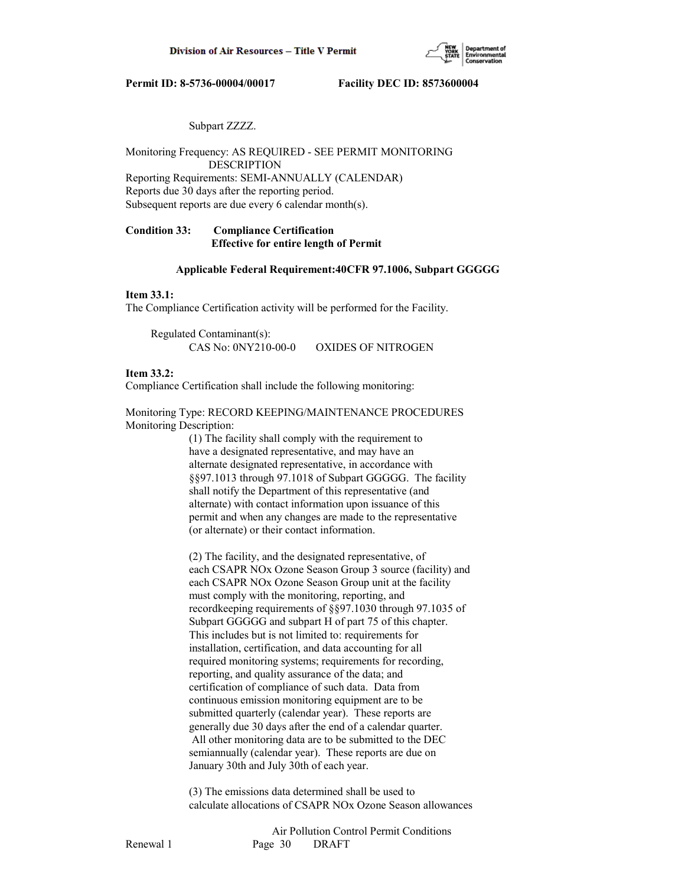

## Subpart ZZZZ.

Monitoring Frequency: AS REQUIRED - SEE PERMIT MONITORING DESCRIPTION Reporting Requirements: SEMI-ANNUALLY (CALENDAR) Reports due 30 days after the reporting period.

Subsequent reports are due every 6 calendar month(s).

# **Condition 33: Compliance Certification Effective for entire length of Permit**

## **Applicable Federal Requirement:40CFR 97.1006, Subpart GGGGG**

## **Item 33.1:**

The Compliance Certification activity will be performed for the Facility.

 Regulated Contaminant(s): CAS No: 0NY210-00-0 OXIDES OF NITROGEN

# **Item 33.2:**

Compliance Certification shall include the following monitoring:

Monitoring Type: RECORD KEEPING/MAINTENANCE PROCEDURES Monitoring Description:

> (1) The facility shall comply with the requirement to have a designated representative, and may have an alternate designated representative, in accordance with §§97.1013 through 97.1018 of Subpart GGGGG. The facility shall notify the Department of this representative (and alternate) with contact information upon issuance of this permit and when any changes are made to the representative (or alternate) or their contact information.

 (2) The facility, and the designated representative, of each CSAPR NOx Ozone Season Group 3 source (facility) and each CSAPR NOx Ozone Season Group unit at the facility must comply with the monitoring, reporting, and recordkeeping requirements of §§97.1030 through 97.1035 of Subpart GGGGG and subpart H of part 75 of this chapter. This includes but is not limited to: requirements for installation, certification, and data accounting for all required monitoring systems; requirements for recording, reporting, and quality assurance of the data; and certification of compliance of such data. Data from continuous emission monitoring equipment are to be submitted quarterly (calendar year). These reports are generally due 30 days after the end of a calendar quarter. All other monitoring data are to be submitted to the DEC semiannually (calendar year). These reports are due on January 30th and July 30th of each year.

 (3) The emissions data determined shall be used to calculate allocations of CSAPR NOx Ozone Season allowances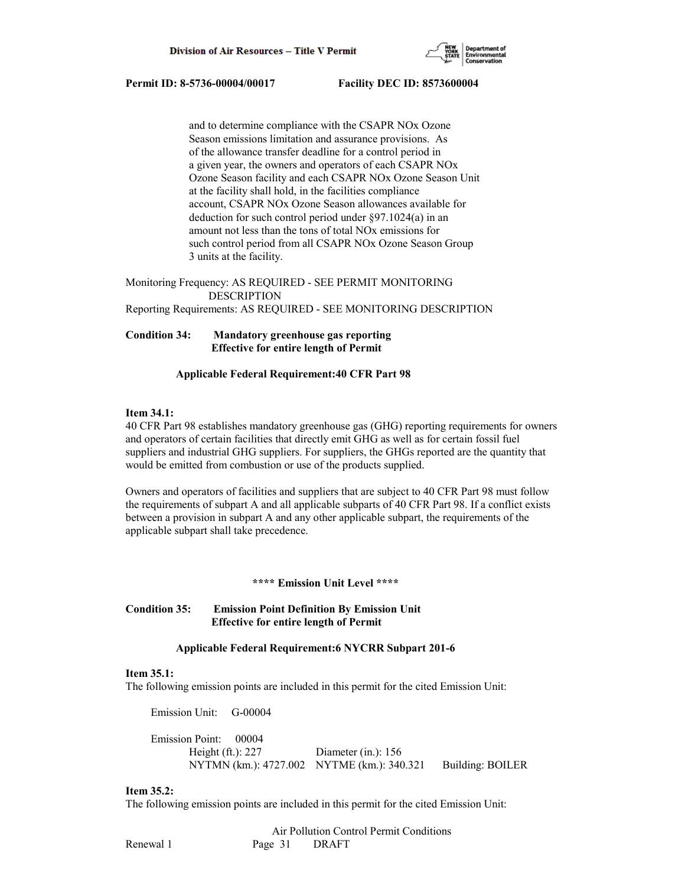

 and to determine compliance with the CSAPR NOx Ozone Season emissions limitation and assurance provisions. As of the allowance transfer deadline for a control period in a given year, the owners and operators of each CSAPR NOx Ozone Season facility and each CSAPR NOx Ozone Season Unit at the facility shall hold, in the facilities compliance account, CSAPR NOx Ozone Season allowances available for deduction for such control period under §97.1024(a) in an amount not less than the tons of total NOx emissions for such control period from all CSAPR NOx Ozone Season Group 3 units at the facility.

Monitoring Frequency: AS REQUIRED - SEE PERMIT MONITORING DESCRIPTION Reporting Requirements: AS REQUIRED - SEE MONITORING DESCRIPTION

# **Condition 34: Mandatory greenhouse gas reporting Effective for entire length of Permit**

## **Applicable Federal Requirement:40 CFR Part 98**

## **Item 34.1:**

40 CFR Part 98 establishes mandatory greenhouse gas (GHG) reporting requirements for owners and operators of certain facilities that directly emit GHG as well as for certain fossil fuel suppliers and industrial GHG suppliers. For suppliers, the GHGs reported are the quantity that would be emitted from combustion or use of the products supplied.

Owners and operators of facilities and suppliers that are subject to 40 CFR Part 98 must follow the requirements of subpart A and all applicable subparts of 40 CFR Part 98. If a conflict exists between a provision in subpart A and any other applicable subpart, the requirements of the applicable subpart shall take precedence.

# **\*\*\*\* Emission Unit Level \*\*\*\***

# **Condition 35: Emission Point Definition By Emission Unit Effective for entire length of Permit**

## **Applicable Federal Requirement:6 NYCRR Subpart 201-6**

### **Item 35.1:**

The following emission points are included in this permit for the cited Emission Unit:

Emission Unit: G-00004

 Emission Point: 00004 Height (ft.): 227 Diameter (in.): 156 NYTMN (km.): 4727.002 NYTME (km.): 340.321 Building: BOILER

### **Item 35.2:**

The following emission points are included in this permit for the cited Emission Unit:

|           |         | Air Pollution Control Permit Conditions |
|-----------|---------|-----------------------------------------|
| Renewal 1 | Page 31 | DRAFT                                   |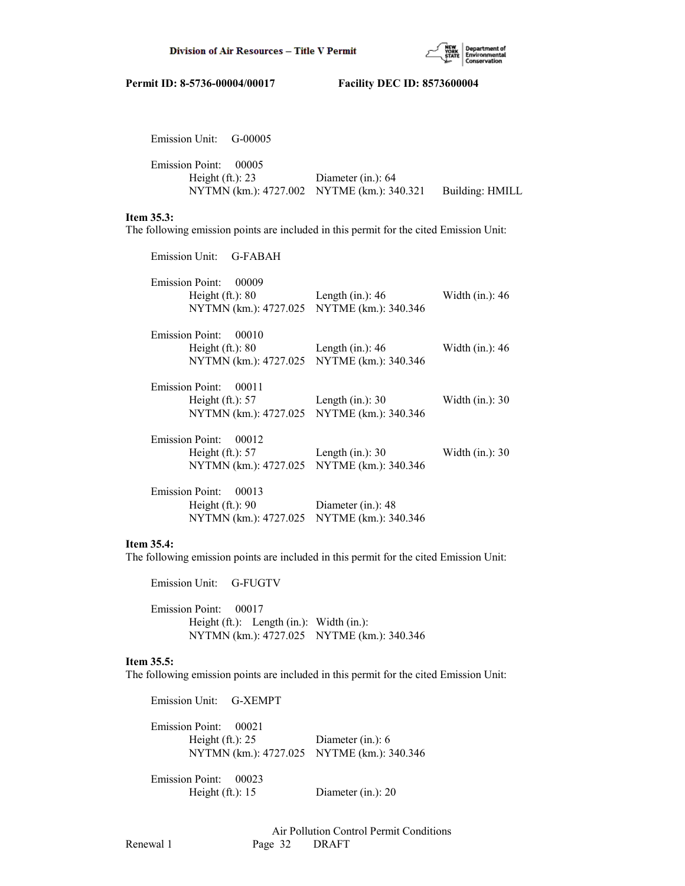

| Emission Unit: G-00005                      |                                                                    |                 |
|---------------------------------------------|--------------------------------------------------------------------|-----------------|
| Emission Point: 00005<br>Height $(ft.): 23$ | Diameter (in.): $64$<br>NYTMN (km.): 4727.002 NYTME (km.): 340.321 | Building: HMILL |
|                                             |                                                                    |                 |

# **Item 35.3:**

The following emission points are included in this permit for the cited Emission Unit:

| Emission Unit: G-FABAH                                                                                                       |                                            |                    |
|------------------------------------------------------------------------------------------------------------------------------|--------------------------------------------|--------------------|
| Emission Point: 00009<br>Height $(ft.): 80$<br>NYTMN (km.): 4727.025 NYTME (km.): 340.346                                    | Length (in.): $46$                         | Width (in.): 46    |
| Emission Point: 00010<br>Height $(ft.): 80$<br>NYTMN (km.): 4727.025 NYTME (km.): 340.346                                    | Length (in.): $46$                         | Width $(in.)$ : 46 |
| Emission Point: 00011<br>Height $(\text{ft.})$ : 57 Length $(\text{in.})$ : 30<br>NYTMN (km.): 4727.025 NYTME (km.): 340.346 |                                            | Width $(in.)$ : 30 |
| Emission Point: 00012<br>Height $(\text{ft.})$ : 57 Length $(\text{in.})$ : 30<br>NYTMN (km.): 4727.025 NYTME (km.): 340.346 |                                            | Width $(in.)$ : 30 |
| Emission Point: 00013<br>Height $(ft.)$ : 90<br>NYTMN (km.): 4727.025                                                        | Diameter (in.): 48<br>NYTME (km.): 340.346 |                    |

# **Item 35.4:**

The following emission points are included in this permit for the cited Emission Unit:

 Emission Unit: G-FUGTV Emission Point: 00017 Height (ft.): Length (in.): Width (in.): NYTMN (km.): 4727.025 NYTME (km.): 340.346

### **Item 35.5:**

The following emission points are included in this permit for the cited Emission Unit:

 Emission Unit: G-XEMPT Emission Point: 00021 Height (ft.): 25 Diameter (in.): 6 NYTMN (km.): 4727.025 NYTME (km.): 340.346 Emission Point: 00023 Height (ft.): 15 Diameter (in.): 20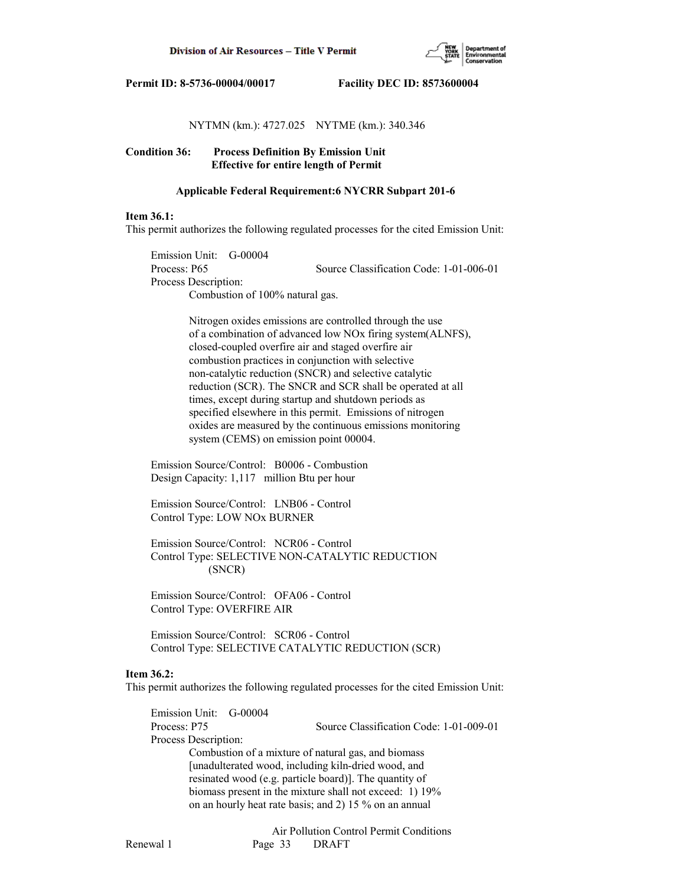

# NYTMN (km.): 4727.025 NYTME (km.): 340.346

**Condition 36: Process Definition By Emission Unit Effective for entire length of Permit**

## **Applicable Federal Requirement:6 NYCRR Subpart 201-6**

### **Item 36.1:**

This permit authorizes the following regulated processes for the cited Emission Unit:

 Emission Unit: G-00004 Process: P65 Source Classification Code: 1-01-006-01 Process Description: Combustion of 100% natural gas.

> Nitrogen oxides emissions are controlled through the use of a combination of advanced low NOx firing system(ALNFS), closed-coupled overfire air and staged overfire air combustion practices in conjunction with selective non-catalytic reduction (SNCR) and selective catalytic reduction (SCR). The SNCR and SCR shall be operated at all times, except during startup and shutdown periods as specified elsewhere in this permit. Emissions of nitrogen oxides are measured by the continuous emissions monitoring system (CEMS) on emission point 00004.

 Emission Source/Control: B0006 - Combustion Design Capacity: 1,117 million Btu per hour

 Emission Source/Control: LNB06 - Control Control Type: LOW NOx BURNER

 Emission Source/Control: NCR06 - Control Control Type: SELECTIVE NON-CATALYTIC REDUCTION (SNCR)

 Emission Source/Control: OFA06 - Control Control Type: OVERFIRE AIR

 Emission Source/Control: SCR06 - Control Control Type: SELECTIVE CATALYTIC REDUCTION (SCR)

### **Item 36.2:**

This permit authorizes the following regulated processes for the cited Emission Unit:

 Emission Unit: G-00004 Process: P75 Source Classification Code: 1-01-009-01 Process Description: Combustion of a mixture of natural gas, and biomass [unadulterated wood, including kiln-dried wood, and resinated wood (e.g. particle board)]. The quantity of biomass present in the mixture shall not exceed: 1) 19% on an hourly heat rate basis; and 2) 15 % on an annual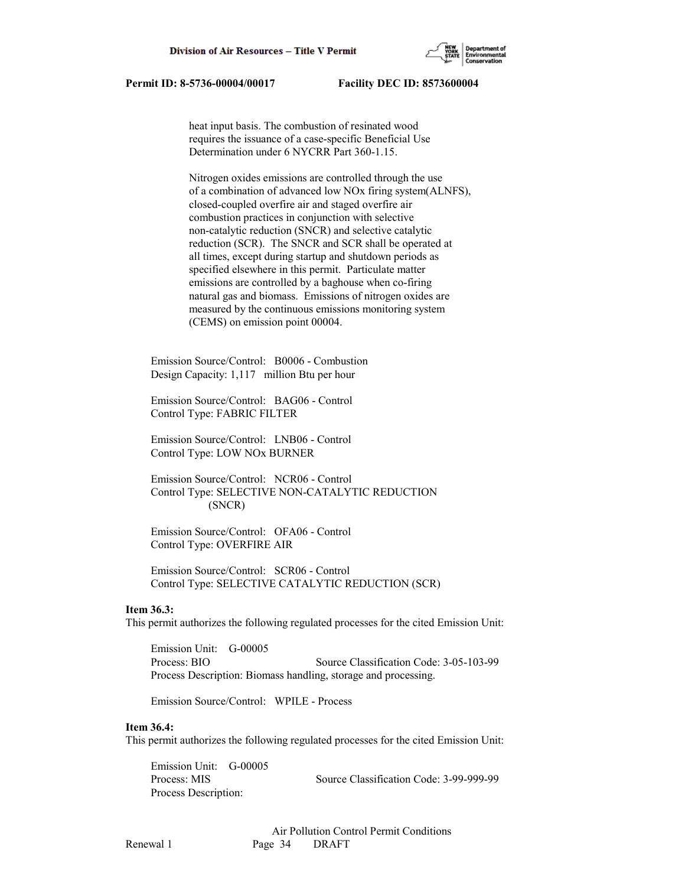

 heat input basis. The combustion of resinated wood requires the issuance of a case-specific Beneficial Use Determination under 6 NYCRR Part 360-1.15.

 Nitrogen oxides emissions are controlled through the use of a combination of advanced low NOx firing system(ALNFS), closed-coupled overfire air and staged overfire air combustion practices in conjunction with selective non-catalytic reduction (SNCR) and selective catalytic reduction (SCR). The SNCR and SCR shall be operated at all times, except during startup and shutdown periods as specified elsewhere in this permit. Particulate matter emissions are controlled by a baghouse when co-firing natural gas and biomass. Emissions of nitrogen oxides are measured by the continuous emissions monitoring system (CEMS) on emission point 00004.

 Emission Source/Control: B0006 - Combustion Design Capacity: 1,117 million Btu per hour

 Emission Source/Control: BAG06 - Control Control Type: FABRIC FILTER

 Emission Source/Control: LNB06 - Control Control Type: LOW NOx BURNER

 Emission Source/Control: NCR06 - Control Control Type: SELECTIVE NON-CATALYTIC REDUCTION (SNCR)

 Emission Source/Control: OFA06 - Control Control Type: OVERFIRE AIR

 Emission Source/Control: SCR06 - Control Control Type: SELECTIVE CATALYTIC REDUCTION (SCR)

### **Item 36.3:**

This permit authorizes the following regulated processes for the cited Emission Unit:

 Emission Unit: G-00005 Process: BIO Source Classification Code: 3-05-103-99 Process Description: Biomass handling, storage and processing.

Emission Source/Control: WPILE - Process

# **Item 36.4:**

This permit authorizes the following regulated processes for the cited Emission Unit:

 Emission Unit: G-00005 Process: MIS Source Classification Code: 3-99-999-99 Process Description: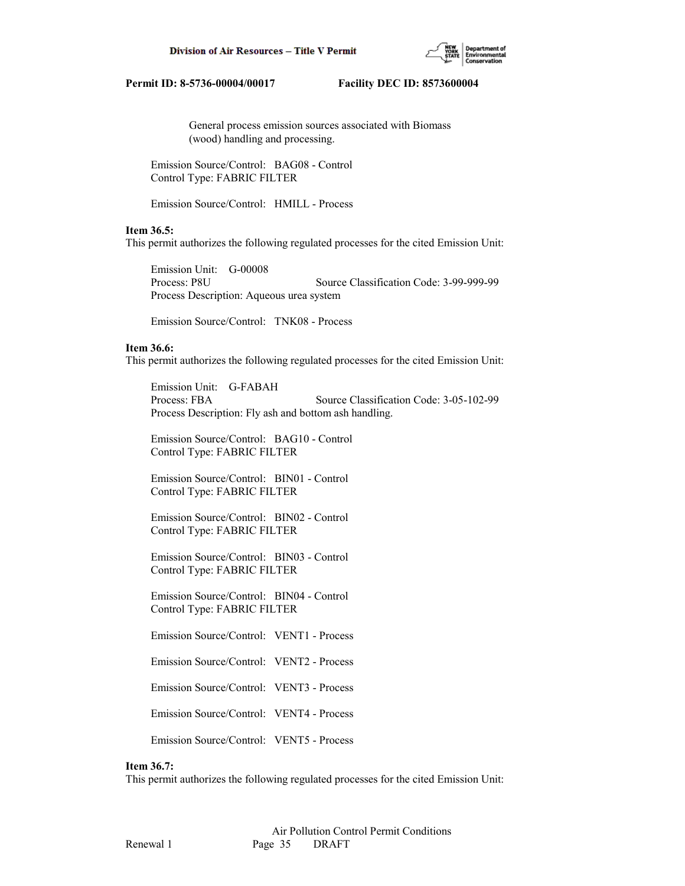

 General process emission sources associated with Biomass (wood) handling and processing.

 Emission Source/Control: BAG08 - Control Control Type: FABRIC FILTER

Emission Source/Control: HMILL - Process

## **Item 36.5:**

This permit authorizes the following regulated processes for the cited Emission Unit:

 Emission Unit: G-00008 Process: P8U Source Classification Code: 3-99-999-99 Process Description: Aqueous urea system

Emission Source/Control: TNK08 - Process

## **Item 36.6:**

This permit authorizes the following regulated processes for the cited Emission Unit:

 Emission Unit: G-FABAH Process: FBA Source Classification Code: 3-05-102-99 Process Description: Fly ash and bottom ash handling.

 Emission Source/Control: BAG10 - Control Control Type: FABRIC FILTER

 Emission Source/Control: BIN01 - Control Control Type: FABRIC FILTER

 Emission Source/Control: BIN02 - Control Control Type: FABRIC FILTER

 Emission Source/Control: BIN03 - Control Control Type: FABRIC FILTER

 Emission Source/Control: BIN04 - Control Control Type: FABRIC FILTER

Emission Source/Control: VENT1 - Process

Emission Source/Control: VENT2 - Process

Emission Source/Control: VENT3 - Process

Emission Source/Control: VENT4 - Process

Emission Source/Control: VENT5 - Process

### **Item 36.7:**

This permit authorizes the following regulated processes for the cited Emission Unit: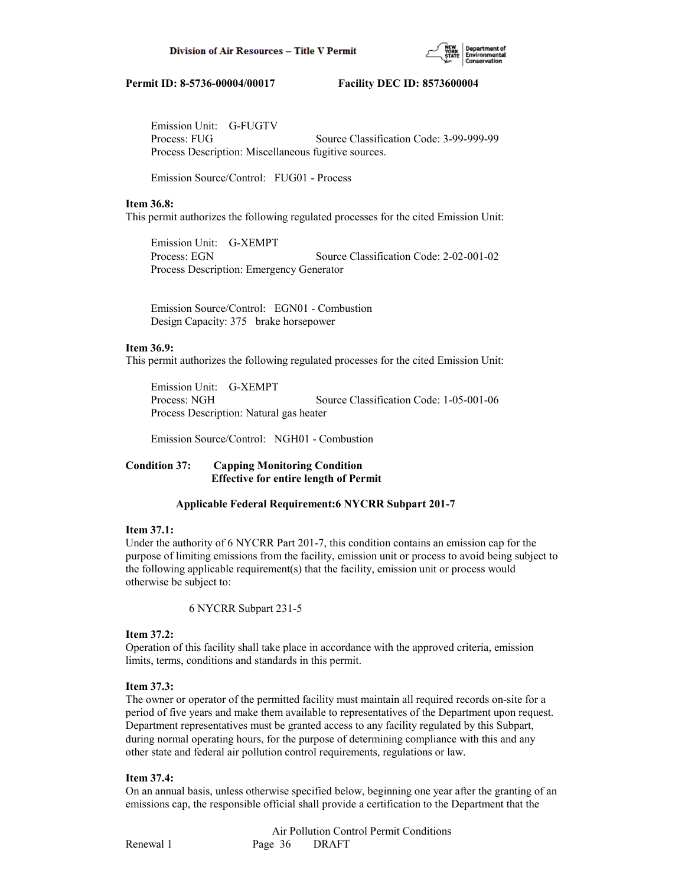

 Emission Unit: G-FUGTV Process: FUG Source Classification Code: 3-99-999-99 Process Description: Miscellaneous fugitive sources.

Emission Source/Control: FUG01 - Process

# **Item 36.8:**

This permit authorizes the following regulated processes for the cited Emission Unit:

 Emission Unit: G-XEMPT Process: EGN Source Classification Code: 2-02-001-02 Process Description: Emergency Generator

 Emission Source/Control: EGN01 - Combustion Design Capacity: 375 brake horsepower

# **Item 36.9:**

This permit authorizes the following regulated processes for the cited Emission Unit:

 Emission Unit: G-XEMPT Process: NGH Source Classification Code: 1-05-001-06 Process Description: Natural gas heater

Emission Source/Control: NGH01 - Combustion

# **Condition 37: Capping Monitoring Condition Effective for entire length of Permit**

# **Applicable Federal Requirement:6 NYCRR Subpart 201-7**

# **Item 37.1:**

Under the authority of 6 NYCRR Part 201-7, this condition contains an emission cap for the purpose of limiting emissions from the facility, emission unit or process to avoid being subject to the following applicable requirement(s) that the facility, emission unit or process would otherwise be subject to:

6 NYCRR Subpart 231-5

## **Item 37.2:**

Operation of this facility shall take place in accordance with the approved criteria, emission limits, terms, conditions and standards in this permit.

# **Item 37.3:**

The owner or operator of the permitted facility must maintain all required records on-site for a period of five years and make them available to representatives of the Department upon request. Department representatives must be granted access to any facility regulated by this Subpart, during normal operating hours, for the purpose of determining compliance with this and any other state and federal air pollution control requirements, regulations or law.

# **Item 37.4:**

On an annual basis, unless otherwise specified below, beginning one year after the granting of an emissions cap, the responsible official shall provide a certification to the Department that the

 Air Pollution Control Permit Conditions Renewal 1 Page 36 DRAFT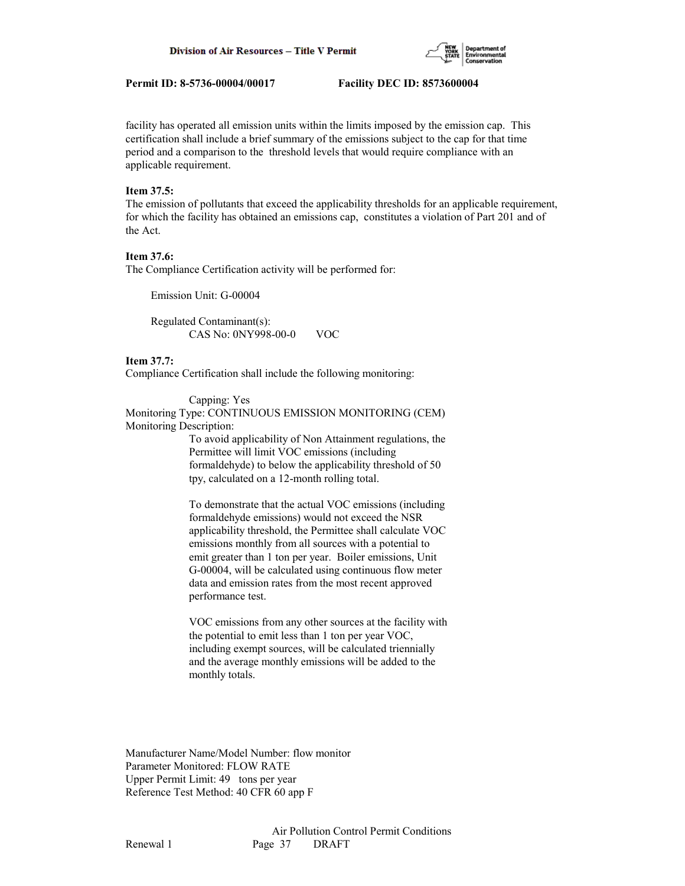

facility has operated all emission units within the limits imposed by the emission cap. This certification shall include a brief summary of the emissions subject to the cap for that time period and a comparison to the threshold levels that would require compliance with an applicable requirement.

# **Item 37.5:**

The emission of pollutants that exceed the applicability thresholds for an applicable requirement, for which the facility has obtained an emissions cap, constitutes a violation of Part 201 and of the Act.

## **Item 37.6:**

The Compliance Certification activity will be performed for:

Emission Unit: G-00004

 Regulated Contaminant(s): CAS No: 0NY998-00-0 VOC

### **Item 37.7:**

Compliance Certification shall include the following monitoring:

### Capping: Yes

Monitoring Type: CONTINUOUS EMISSION MONITORING (CEM) Monitoring Description:

> To avoid applicability of Non Attainment regulations, the Permittee will limit VOC emissions (including formaldehyde) to below the applicability threshold of 50 tpy, calculated on a 12-month rolling total.

> To demonstrate that the actual VOC emissions (including formaldehyde emissions) would not exceed the NSR applicability threshold, the Permittee shall calculate VOC emissions monthly from all sources with a potential to emit greater than 1 ton per year. Boiler emissions, Unit G-00004, will be calculated using continuous flow meter data and emission rates from the most recent approved performance test.

> VOC emissions from any other sources at the facility with the potential to emit less than 1 ton per year VOC, including exempt sources, will be calculated triennially and the average monthly emissions will be added to the monthly totals.

Manufacturer Name/Model Number: flow monitor Parameter Monitored: FLOW RATE Upper Permit Limit: 49 tons per year Reference Test Method: 40 CFR 60 app F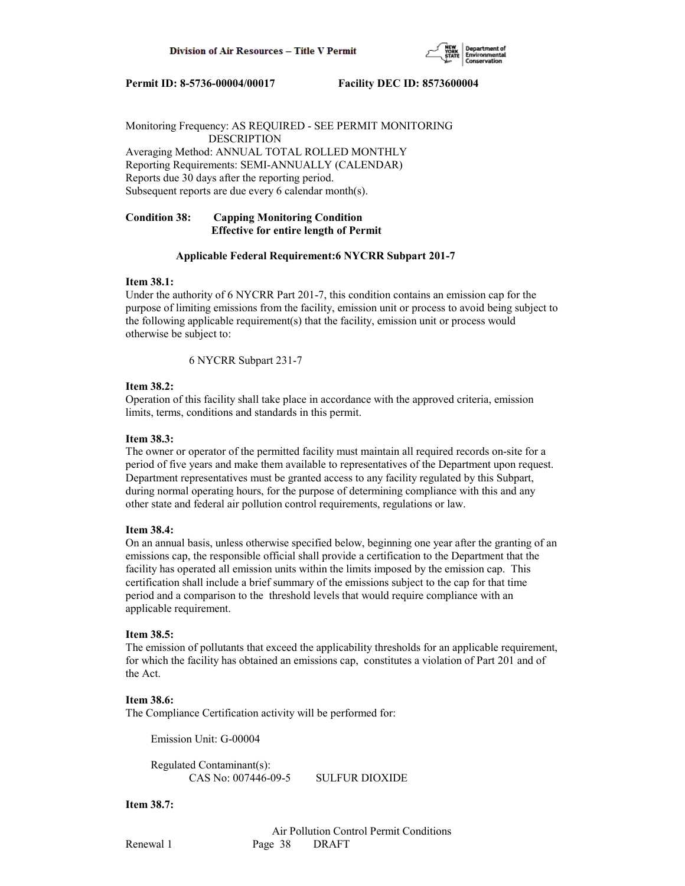

Monitoring Frequency: AS REQUIRED - SEE PERMIT MONITORING DESCRIPTION Averaging Method: ANNUAL TOTAL ROLLED MONTHLY Reporting Requirements: SEMI-ANNUALLY (CALENDAR) Reports due 30 days after the reporting period. Subsequent reports are due every 6 calendar month(s).

# **Condition 38: Capping Monitoring Condition Effective for entire length of Permit**

## **Applicable Federal Requirement:6 NYCRR Subpart 201-7**

## **Item 38.1:**

Under the authority of 6 NYCRR Part 201-7, this condition contains an emission cap for the purpose of limiting emissions from the facility, emission unit or process to avoid being subject to the following applicable requirement(s) that the facility, emission unit or process would otherwise be subject to:

6 NYCRR Subpart 231-7

## **Item 38.2:**

Operation of this facility shall take place in accordance with the approved criteria, emission limits, terms, conditions and standards in this permit.

# **Item 38.3:**

The owner or operator of the permitted facility must maintain all required records on-site for a period of five years and make them available to representatives of the Department upon request. Department representatives must be granted access to any facility regulated by this Subpart, during normal operating hours, for the purpose of determining compliance with this and any other state and federal air pollution control requirements, regulations or law.

# **Item 38.4:**

On an annual basis, unless otherwise specified below, beginning one year after the granting of an emissions cap, the responsible official shall provide a certification to the Department that the facility has operated all emission units within the limits imposed by the emission cap. This certification shall include a brief summary of the emissions subject to the cap for that time period and a comparison to the threshold levels that would require compliance with an applicable requirement.

## **Item 38.5:**

The emission of pollutants that exceed the applicability thresholds for an applicable requirement, for which the facility has obtained an emissions cap, constitutes a violation of Part 201 and of the Act.

### **Item 38.6:**

The Compliance Certification activity will be performed for:

Emission Unit: G-00004

 Regulated Contaminant(s): CAS No: 007446-09-5 SULFUR DIOXIDE

**Item 38.7:**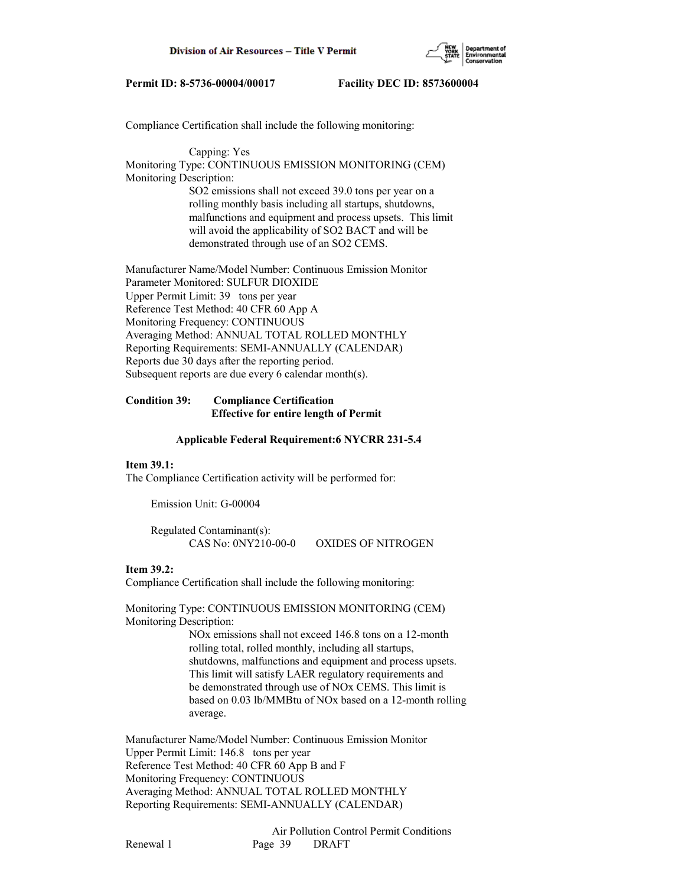

Compliance Certification shall include the following monitoring:

 Capping: Yes Monitoring Type: CONTINUOUS EMISSION MONITORING (CEM) Monitoring Description: SO2 emissions shall not exceed 39.0 tons per year on a rolling monthly basis including all startups, shutdowns, malfunctions and equipment and process upsets. This limit will avoid the applicability of SO2 BACT and will be demonstrated through use of an SO2 CEMS.

Manufacturer Name/Model Number: Continuous Emission Monitor Parameter Monitored: SULFUR DIOXIDE Upper Permit Limit: 39 tons per year Reference Test Method: 40 CFR 60 App A Monitoring Frequency: CONTINUOUS Averaging Method: ANNUAL TOTAL ROLLED MONTHLY Reporting Requirements: SEMI-ANNUALLY (CALENDAR) Reports due 30 days after the reporting period. Subsequent reports are due every 6 calendar month(s).

# **Condition 39: Compliance Certification Effective for entire length of Permit**

### **Applicable Federal Requirement:6 NYCRR 231-5.4**

# **Item 39.1:**

The Compliance Certification activity will be performed for:

Emission Unit: G-00004

| Regulated Contaminant(s): |                           |
|---------------------------|---------------------------|
| CAS No: 0NY210-00-0       | <b>OXIDES OF NITROGEN</b> |

### **Item 39.2:**

Compliance Certification shall include the following monitoring:

Monitoring Type: CONTINUOUS EMISSION MONITORING (CEM) Monitoring Description:

> NOx emissions shall not exceed 146.8 tons on a 12-month rolling total, rolled monthly, including all startups, shutdowns, malfunctions and equipment and process upsets. This limit will satisfy LAER regulatory requirements and be demonstrated through use of NOx CEMS. This limit is based on 0.03 lb/MMBtu of NOx based on a 12-month rolling average.

Manufacturer Name/Model Number: Continuous Emission Monitor Upper Permit Limit: 146.8 tons per year Reference Test Method: 40 CFR 60 App B and F Monitoring Frequency: CONTINUOUS Averaging Method: ANNUAL TOTAL ROLLED MONTHLY Reporting Requirements: SEMI-ANNUALLY (CALENDAR)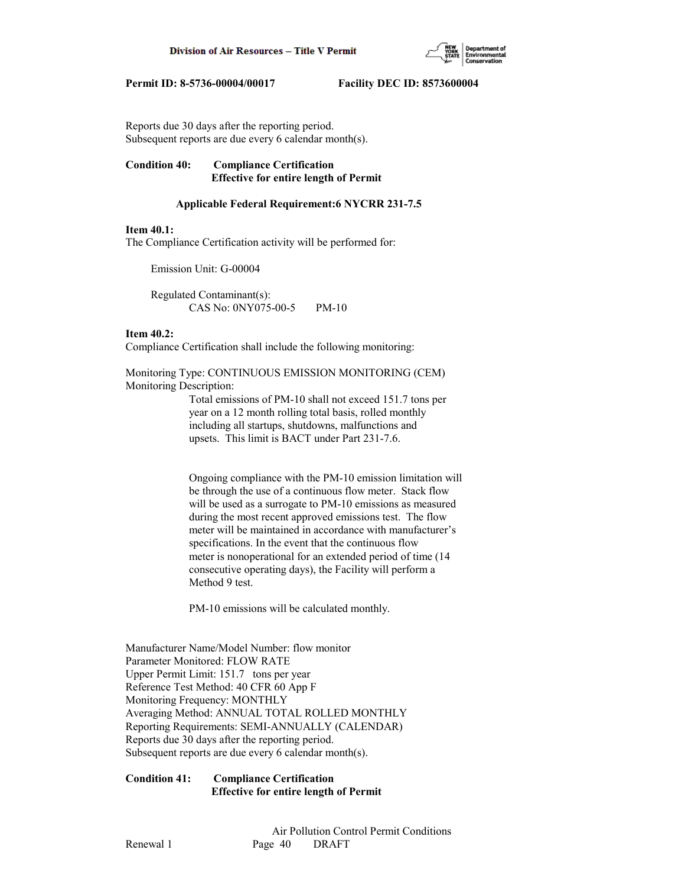

Reports due 30 days after the reporting period. Subsequent reports are due every 6 calendar month(s).

# **Condition 40: Compliance Certification Effective for entire length of Permit**

# **Applicable Federal Requirement:6 NYCRR 231-7.5**

# **Item 40.1:**

The Compliance Certification activity will be performed for:

Emission Unit: G-00004

 Regulated Contaminant(s): CAS No: 0NY075-00-5 PM-10

## **Item 40.2:**

Compliance Certification shall include the following monitoring:

Monitoring Type: CONTINUOUS EMISSION MONITORING (CEM) Monitoring Description:

> Total emissions of PM-10 shall not exceed 151.7 tons per year on a 12 month rolling total basis, rolled monthly including all startups, shutdowns, malfunctions and upsets. This limit is BACT under Part 231-7.6.

 Ongoing compliance with the PM-10 emission limitation will be through the use of a continuous flow meter. Stack flow will be used as a surrogate to PM-10 emissions as measured during the most recent approved emissions test. The flow meter will be maintained in accordance with manufacturer's specifications. In the event that the continuous flow meter is nonoperational for an extended period of time (14 consecutive operating days), the Facility will perform a Method 9 test.

PM-10 emissions will be calculated monthly.

Manufacturer Name/Model Number: flow monitor Parameter Monitored: FLOW RATE Upper Permit Limit: 151.7 tons per year Reference Test Method: 40 CFR 60 App F Monitoring Frequency: MONTHLY Averaging Method: ANNUAL TOTAL ROLLED MONTHLY Reporting Requirements: SEMI-ANNUALLY (CALENDAR) Reports due 30 days after the reporting period. Subsequent reports are due every 6 calendar month(s).

# **Condition 41: Compliance Certification Effective for entire length of Permit**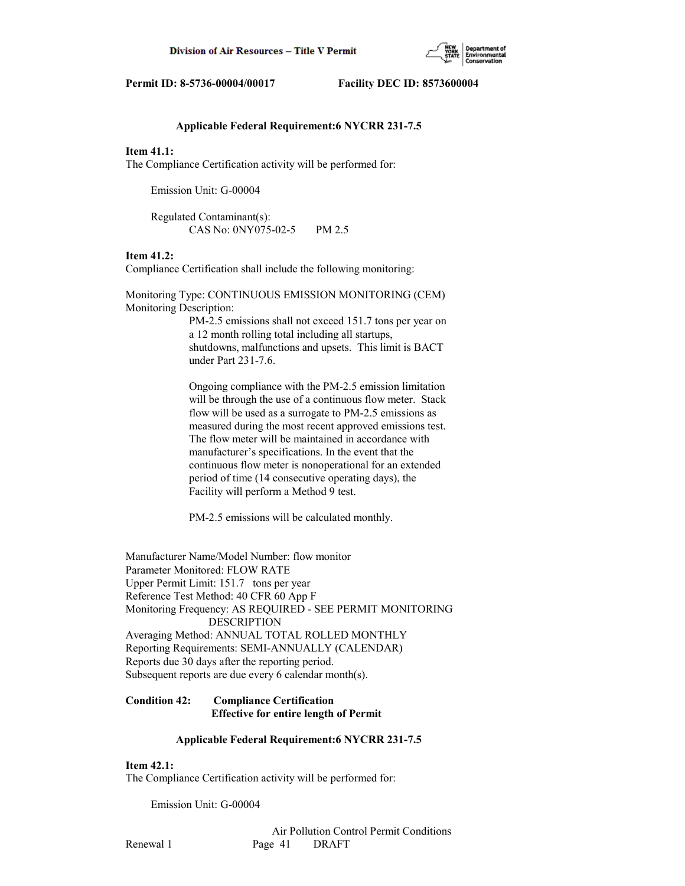

## **Applicable Federal Requirement:6 NYCRR 231-7.5**

## **Item 41.1:**

The Compliance Certification activity will be performed for:

Emission Unit: G-00004

 Regulated Contaminant(s): CAS No: 0NY075-02-5 PM 2.5

## **Item 41.2:**

Compliance Certification shall include the following monitoring:

Monitoring Type: CONTINUOUS EMISSION MONITORING (CEM) Monitoring Description: PM-2.5 emissions shall not exceed 151.7 tons per year on

 a 12 month rolling total including all startups, shutdowns, malfunctions and upsets. This limit is BACT under Part 231-7.6.

 Ongoing compliance with the PM-2.5 emission limitation will be through the use of a continuous flow meter. Stack flow will be used as a surrogate to PM-2.5 emissions as measured during the most recent approved emissions test. The flow meter will be maintained in accordance with manufacturer's specifications. In the event that the continuous flow meter is nonoperational for an extended period of time (14 consecutive operating days), the Facility will perform a Method 9 test.

PM-2.5 emissions will be calculated monthly.

Manufacturer Name/Model Number: flow monitor Parameter Monitored: FLOW RATE Upper Permit Limit: 151.7 tons per year Reference Test Method: 40 CFR 60 App F Monitoring Frequency: AS REQUIRED - SEE PERMIT MONITORING DESCRIPTION Averaging Method: ANNUAL TOTAL ROLLED MONTHLY Reporting Requirements: SEMI-ANNUALLY (CALENDAR) Reports due 30 days after the reporting period. Subsequent reports are due every 6 calendar month(s).

# **Condition 42: Compliance Certification Effective for entire length of Permit**

### **Applicable Federal Requirement:6 NYCRR 231-7.5**

## **Item 42.1:**

The Compliance Certification activity will be performed for:

Emission Unit: G-00004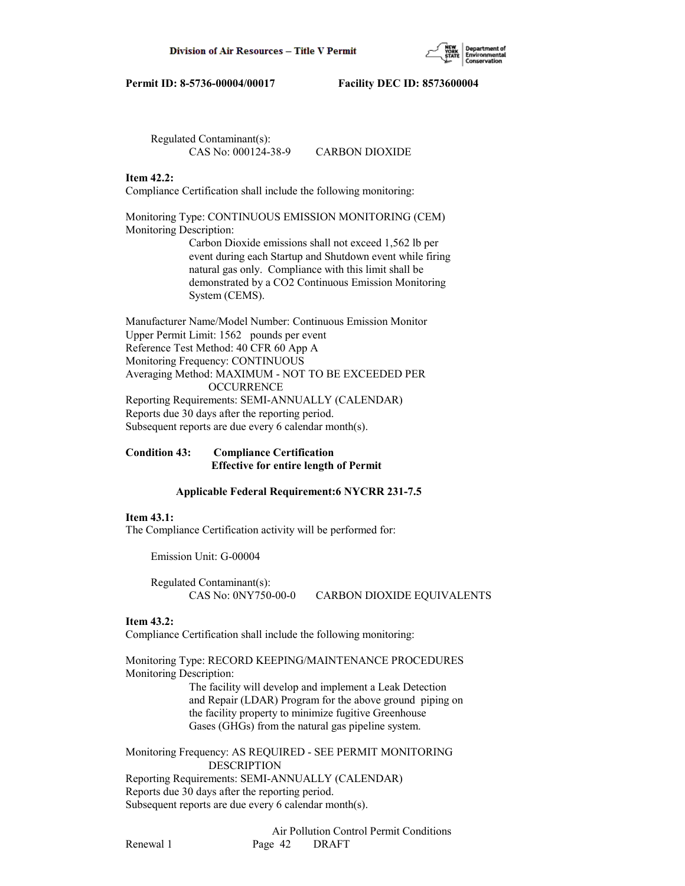

 Regulated Contaminant(s): CAS No: 000124-38-9 CARBON DIOXIDE

# **Item 42.2:**

Compliance Certification shall include the following monitoring:

Monitoring Type: CONTINUOUS EMISSION MONITORING (CEM) Monitoring Description: Carbon Dioxide emissions shall not exceed 1,562 lb per event during each Startup and Shutdown event while firing natural gas only. Compliance with this limit shall be demonstrated by a CO2 Continuous Emission Monitoring System (CEMS).

Manufacturer Name/Model Number: Continuous Emission Monitor Upper Permit Limit: 1562 pounds per event Reference Test Method: 40 CFR 60 App A Monitoring Frequency: CONTINUOUS Averaging Method: MAXIMUM - NOT TO BE EXCEEDED PER **OCCURRENCE** Reporting Requirements: SEMI-ANNUALLY (CALENDAR) Reports due 30 days after the reporting period. Subsequent reports are due every 6 calendar month(s).

# **Condition 43: Compliance Certification Effective for entire length of Permit**

# **Applicable Federal Requirement:6 NYCRR 231-7.5**

# **Item 43.1:**

The Compliance Certification activity will be performed for:

Emission Unit: G-00004

 Regulated Contaminant(s): CAS No: 0NY750-00-0 CARBON DIOXIDE EQUIVALENTS

# **Item 43.2:**

Compliance Certification shall include the following monitoring:

Monitoring Type: RECORD KEEPING/MAINTENANCE PROCEDURES Monitoring Description:

 The facility will develop and implement a Leak Detection and Repair (LDAR) Program for the above ground piping on the facility property to minimize fugitive Greenhouse Gases (GHGs) from the natural gas pipeline system.

Monitoring Frequency: AS REQUIRED - SEE PERMIT MONITORING DESCRIPTION Reporting Requirements: SEMI-ANNUALLY (CALENDAR) Reports due 30 days after the reporting period. Subsequent reports are due every 6 calendar month(s).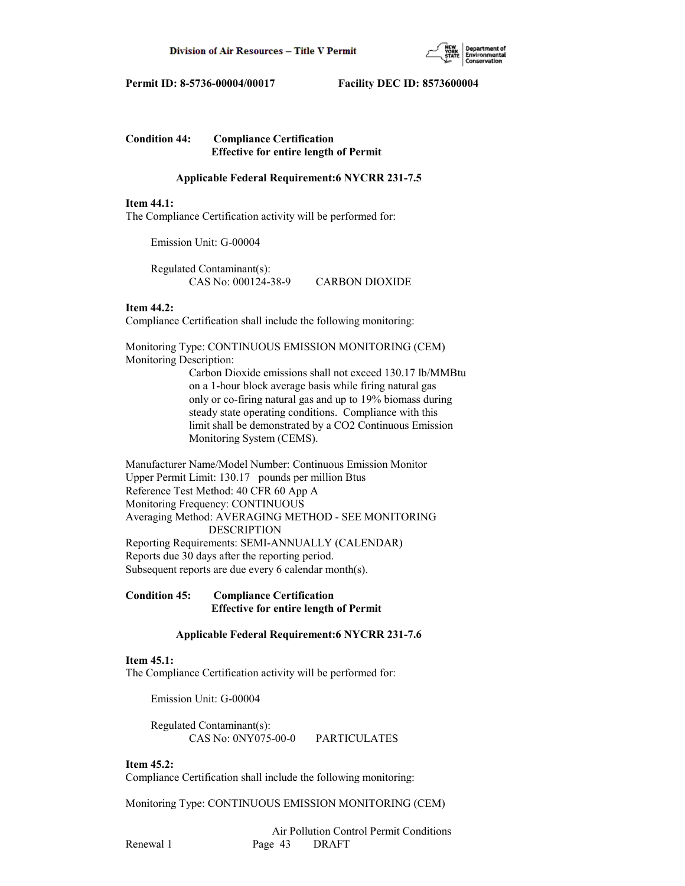

# **Condition 44: Compliance Certification Effective for entire length of Permit**

# **Applicable Federal Requirement:6 NYCRR 231-7.5**

# **Item 44.1:**

The Compliance Certification activity will be performed for:

Emission Unit: G-00004

 Regulated Contaminant(s): CAS No: 000124-38-9 CARBON DIOXIDE

# **Item 44.2:**

Compliance Certification shall include the following monitoring:

Monitoring Type: CONTINUOUS EMISSION MONITORING (CEM) Monitoring Description:

> Carbon Dioxide emissions shall not exceed 130.17 lb/MMBtu on a 1-hour block average basis while firing natural gas only or co-firing natural gas and up to 19% biomass during steady state operating conditions. Compliance with this limit shall be demonstrated by a CO2 Continuous Emission Monitoring System (CEMS).

Manufacturer Name/Model Number: Continuous Emission Monitor Upper Permit Limit: 130.17 pounds per million Btus Reference Test Method: 40 CFR 60 App A Monitoring Frequency: CONTINUOUS Averaging Method: AVERAGING METHOD - SEE MONITORING DESCRIPTION Reporting Requirements: SEMI-ANNUALLY (CALENDAR) Reports due 30 days after the reporting period. Subsequent reports are due every 6 calendar month(s).

# **Condition 45: Compliance Certification Effective for entire length of Permit**

# **Applicable Federal Requirement:6 NYCRR 231-7.6**

# **Item 45.1:**

The Compliance Certification activity will be performed for:

Emission Unit: G-00004

 Regulated Contaminant(s): CAS No: 0NY075-00-0 PARTICULATES

# **Item 45.2:**

Compliance Certification shall include the following monitoring:

Monitoring Type: CONTINUOUS EMISSION MONITORING (CEM)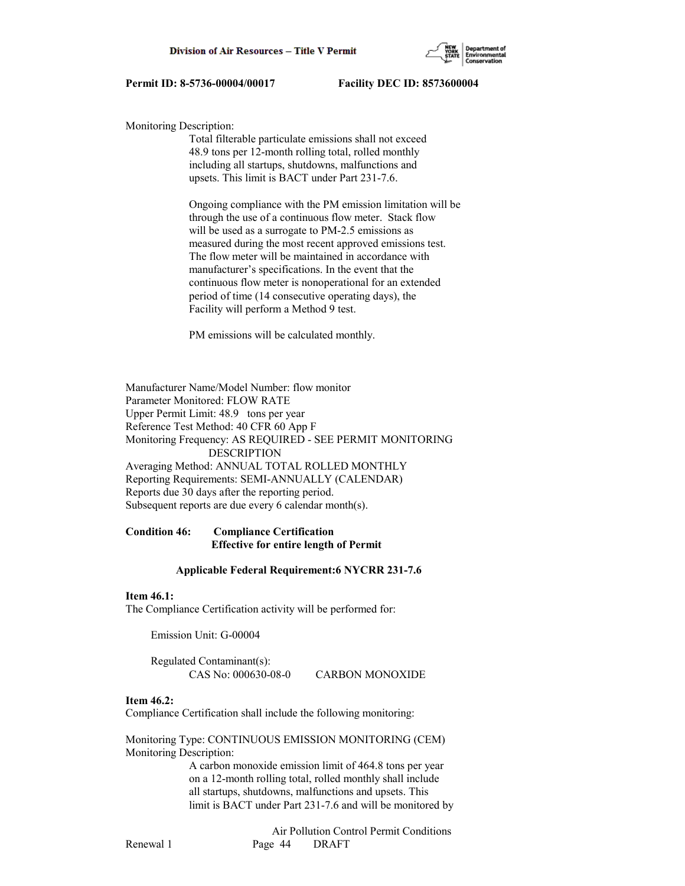

Monitoring Description:

 Total filterable particulate emissions shall not exceed 48.9 tons per 12-month rolling total, rolled monthly including all startups, shutdowns, malfunctions and upsets. This limit is BACT under Part 231-7.6.

 Ongoing compliance with the PM emission limitation will be through the use of a continuous flow meter. Stack flow will be used as a surrogate to PM-2.5 emissions as measured during the most recent approved emissions test. The flow meter will be maintained in accordance with manufacturer's specifications. In the event that the continuous flow meter is nonoperational for an extended period of time (14 consecutive operating days), the Facility will perform a Method 9 test.

PM emissions will be calculated monthly.

Manufacturer Name/Model Number: flow monitor Parameter Monitored: FLOW RATE Upper Permit Limit: 48.9 tons per year Reference Test Method: 40 CFR 60 App F Monitoring Frequency: AS REQUIRED - SEE PERMIT MONITORING DESCRIPTION Averaging Method: ANNUAL TOTAL ROLLED MONTHLY Reporting Requirements: SEMI-ANNUALLY (CALENDAR) Reports due 30 days after the reporting period. Subsequent reports are due every 6 calendar month(s).

# **Condition 46: Compliance Certification Effective for entire length of Permit**

# **Applicable Federal Requirement:6 NYCRR 231-7.6**

### **Item 46.1:**

The Compliance Certification activity will be performed for:

Emission Unit: G-00004

 Regulated Contaminant(s): CAS No: 000630-08-0 CARBON MONOXIDE

# **Item 46.2:**

Compliance Certification shall include the following monitoring:

Monitoring Type: CONTINUOUS EMISSION MONITORING (CEM) Monitoring Description:

> A carbon monoxide emission limit of 464.8 tons per year on a 12-month rolling total, rolled monthly shall include all startups, shutdowns, malfunctions and upsets. This limit is BACT under Part 231-7.6 and will be monitored by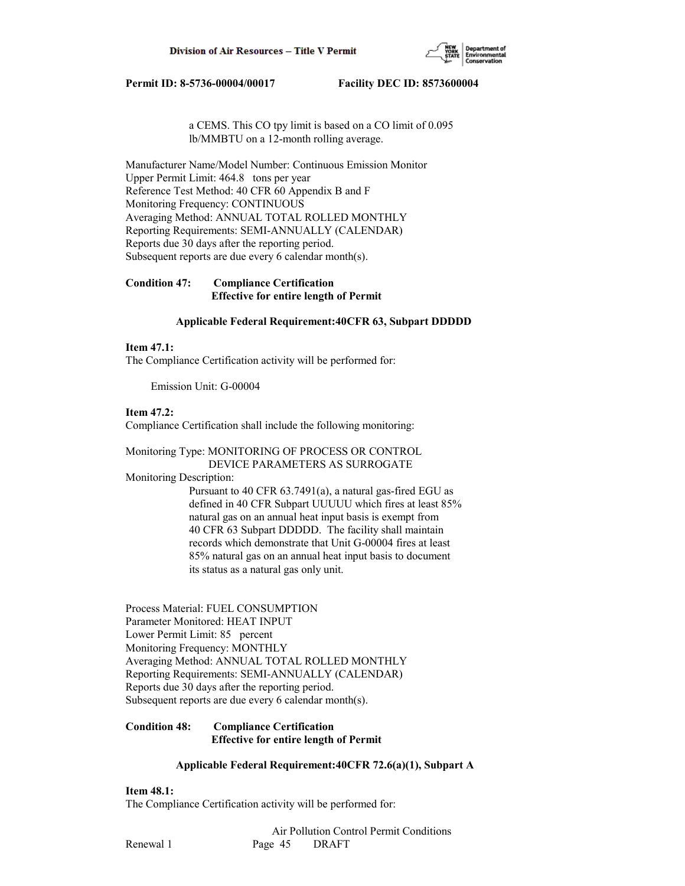

 a CEMS. This CO tpy limit is based on a CO limit of 0.095 lb/MMBTU on a 12-month rolling average.

Manufacturer Name/Model Number: Continuous Emission Monitor Upper Permit Limit: 464.8 tons per year Reference Test Method: 40 CFR 60 Appendix B and F Monitoring Frequency: CONTINUOUS Averaging Method: ANNUAL TOTAL ROLLED MONTHLY Reporting Requirements: SEMI-ANNUALLY (CALENDAR) Reports due 30 days after the reporting period. Subsequent reports are due every 6 calendar month(s).

# **Condition 47: Compliance Certification Effective for entire length of Permit**

## **Applicable Federal Requirement:40CFR 63, Subpart DDDDD**

## **Item 47.1:**

The Compliance Certification activity will be performed for:

Emission Unit: G-00004

# **Item 47.2:**

Compliance Certification shall include the following monitoring:

Monitoring Type: MONITORING OF PROCESS OR CONTROL DEVICE PARAMETERS AS SURROGATE

# Monitoring Description:

 Pursuant to 40 CFR 63.7491(a), a natural gas-fired EGU as defined in 40 CFR Subpart UUUUU which fires at least 85% natural gas on an annual heat input basis is exempt from 40 CFR 63 Subpart DDDDD. The facility shall maintain records which demonstrate that Unit G-00004 fires at least 85% natural gas on an annual heat input basis to document its status as a natural gas only unit.

Process Material: FUEL CONSUMPTION Parameter Monitored: HEAT INPUT Lower Permit Limit: 85 percent Monitoring Frequency: MONTHLY Averaging Method: ANNUAL TOTAL ROLLED MONTHLY Reporting Requirements: SEMI-ANNUALLY (CALENDAR) Reports due 30 days after the reporting period. Subsequent reports are due every 6 calendar month(s).

# **Condition 48: Compliance Certification Effective for entire length of Permit**

# **Applicable Federal Requirement:40CFR 72.6(a)(1), Subpart A**

# **Item 48.1:**

The Compliance Certification activity will be performed for: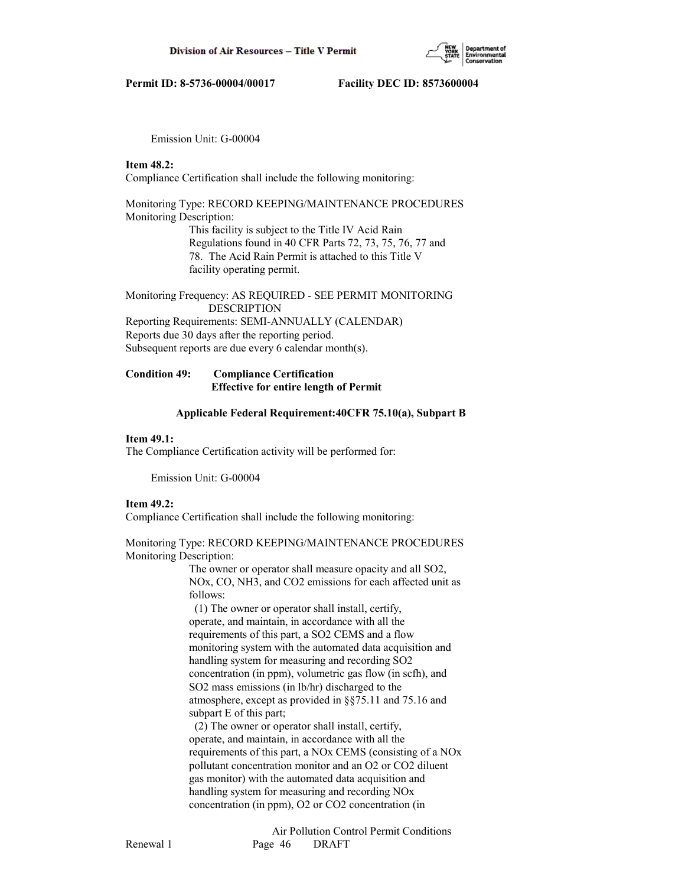Emission Unit: G-00004

**Item 48.2:**

Compliance Certification shall include the following monitoring:

# Monitoring Type: RECORD KEEPING/MAINTENANCE PROCEDURES Monitoring Description:

 This facility is subject to the Title IV Acid Rain Regulations found in 40 CFR Parts 72, 73, 75, 76, 77 and 78. The Acid Rain Permit is attached to this Title V facility operating permit.

# Monitoring Frequency: AS REQUIRED - SEE PERMIT MONITORING DESCRIPTION Reporting Requirements: SEMI-ANNUALLY (CALENDAR) Reports due 30 days after the reporting period. Subsequent reports are due every 6 calendar month(s).

# **Condition 49: Compliance Certification Effective for entire length of Permit**

## **Applicable Federal Requirement:40CFR 75.10(a), Subpart B**

## **Item 49.1:**

The Compliance Certification activity will be performed for:

Emission Unit: G-00004

# **Item 49.2:**

Compliance Certification shall include the following monitoring:

# Monitoring Type: RECORD KEEPING/MAINTENANCE PROCEDURES Monitoring Description:

 The owner or operator shall measure opacity and all SO2, NOx, CO, NH3, and CO2 emissions for each affected unit as follows:

 (1) The owner or operator shall install, certify, operate, and maintain, in accordance with all the requirements of this part, a SO2 CEMS and a flow monitoring system with the automated data acquisition and handling system for measuring and recording SO2 concentration (in ppm), volumetric gas flow (in scfh), and SO2 mass emissions (in lb/hr) discharged to the atmosphere, except as provided in §§75.11 and 75.16 and subpart E of this part;

 (2) The owner or operator shall install, certify, operate, and maintain, in accordance with all the requirements of this part, a NOx CEMS (consisting of a NOx pollutant concentration monitor and an O2 or CO2 diluent gas monitor) with the automated data acquisition and handling system for measuring and recording NOx concentration (in ppm), O2 or CO2 concentration (in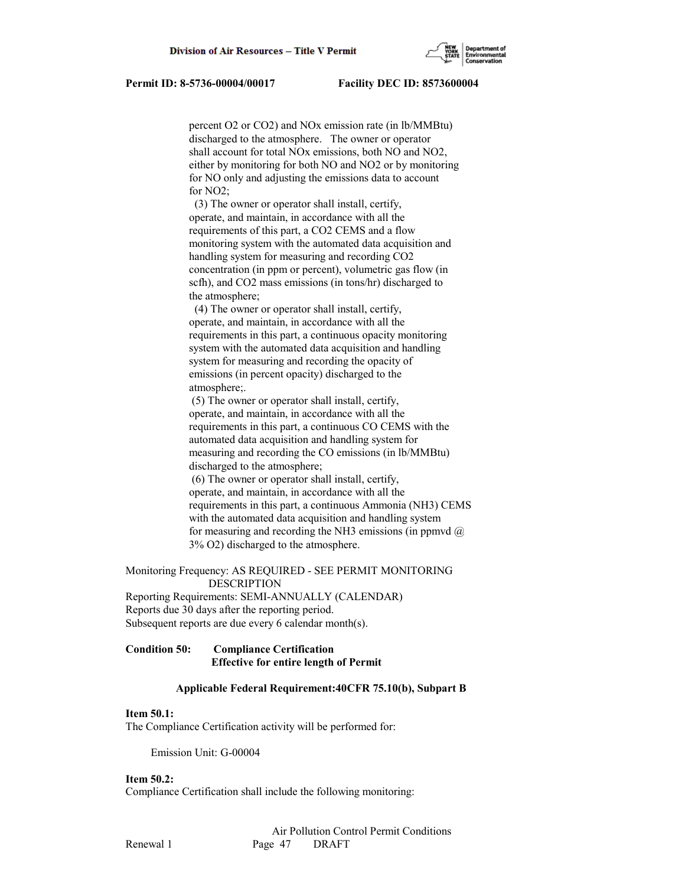percent O2 or CO2) and NOx emission rate (in lb/MMBtu) discharged to the atmosphere. The owner or operator shall account for total NOx emissions, both NO and NO2, either by monitoring for both NO and NO2 or by monitoring for NO only and adjusting the emissions data to account for NO2;

 (3) The owner or operator shall install, certify, operate, and maintain, in accordance with all the requirements of this part, a CO2 CEMS and a flow monitoring system with the automated data acquisition and handling system for measuring and recording CO2 concentration (in ppm or percent), volumetric gas flow (in scfh), and CO2 mass emissions (in tons/hr) discharged to the atmosphere;

 (4) The owner or operator shall install, certify, operate, and maintain, in accordance with all the requirements in this part, a continuous opacity monitoring system with the automated data acquisition and handling system for measuring and recording the opacity of emissions (in percent opacity) discharged to the atmosphere;.

 (5) The owner or operator shall install, certify, operate, and maintain, in accordance with all the requirements in this part, a continuous CO CEMS with the automated data acquisition and handling system for measuring and recording the CO emissions (in lb/MMBtu) discharged to the atmosphere;

 (6) The owner or operator shall install, certify, operate, and maintain, in accordance with all the requirements in this part, a continuous Ammonia (NH3) CEMS with the automated data acquisition and handling system for measuring and recording the NH3 emissions (in ppmvd  $(a)$ ) 3% O2) discharged to the atmosphere.

Monitoring Frequency: AS REQUIRED - SEE PERMIT MONITORING DESCRIPTION Reporting Requirements: SEMI-ANNUALLY (CALENDAR)

Reports due 30 days after the reporting period. Subsequent reports are due every 6 calendar month(s).

# **Condition 50: Compliance Certification Effective for entire length of Permit**

## **Applicable Federal Requirement:40CFR 75.10(b), Subpart B**

# **Item 50.1:**

The Compliance Certification activity will be performed for:

Emission Unit: G-00004

## **Item 50.2:**

Compliance Certification shall include the following monitoring: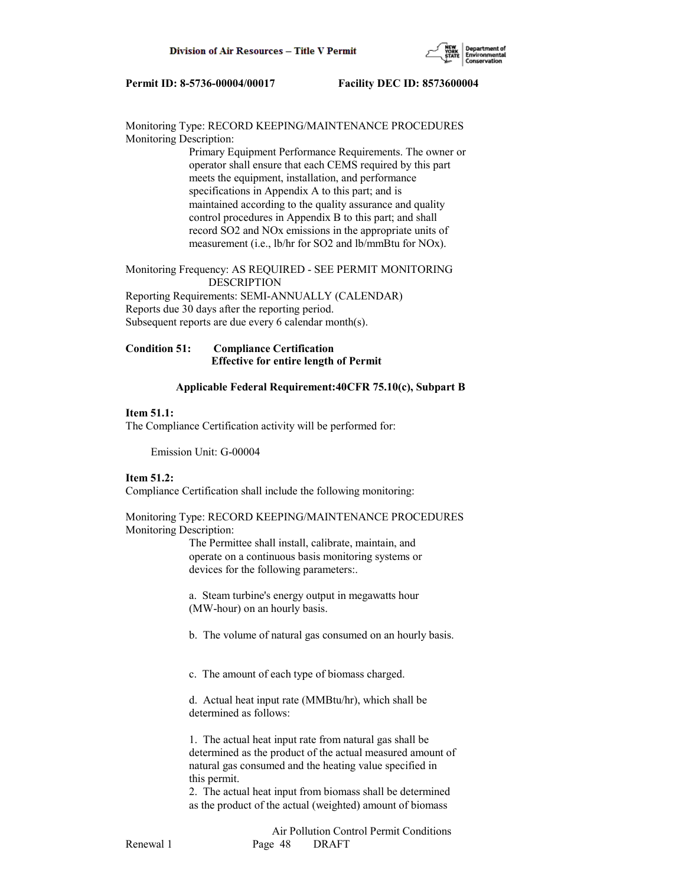

Monitoring Type: RECORD KEEPING/MAINTENANCE PROCEDURES Monitoring Description:

> Primary Equipment Performance Requirements. The owner or operator shall ensure that each CEMS required by this part meets the equipment, installation, and performance specifications in Appendix A to this part; and is maintained according to the quality assurance and quality control procedures in Appendix B to this part; and shall record SO2 and NOx emissions in the appropriate units of measurement (i.e., lb/hr for SO2 and lb/mmBtu for NOx).

Monitoring Frequency: AS REQUIRED - SEE PERMIT MONITORING DESCRIPTION

Reporting Requirements: SEMI-ANNUALLY (CALENDAR) Reports due 30 days after the reporting period. Subsequent reports are due every 6 calendar month(s).

# **Condition 51: Compliance Certification Effective for entire length of Permit**

## **Applicable Federal Requirement:40CFR 75.10(c), Subpart B**

## **Item 51.1:**

The Compliance Certification activity will be performed for:

Emission Unit: G-00004

### **Item 51.2:**

Compliance Certification shall include the following monitoring:

# Monitoring Type: RECORD KEEPING/MAINTENANCE PROCEDURES Monitoring Description:

 The Permittee shall install, calibrate, maintain, and operate on a continuous basis monitoring systems or devices for the following parameters:.

 a. Steam turbine's energy output in megawatts hour (MW-hour) on an hourly basis.

- b. The volume of natural gas consumed on an hourly basis.
- c. The amount of each type of biomass charged.

 d. Actual heat input rate (MMBtu/hr), which shall be determined as follows:

 1. The actual heat input rate from natural gas shall be determined as the product of the actual measured amount of natural gas consumed and the heating value specified in this permit.

 2. The actual heat input from biomass shall be determined as the product of the actual (weighted) amount of biomass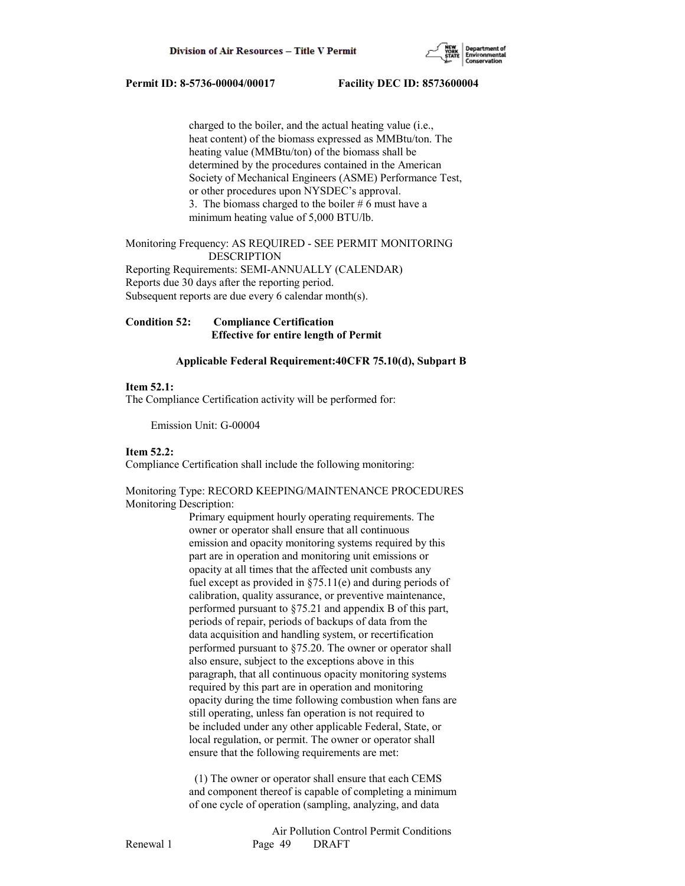

 charged to the boiler, and the actual heating value (i.e., heat content) of the biomass expressed as MMBtu/ton. The heating value (MMBtu/ton) of the biomass shall be determined by the procedures contained in the American Society of Mechanical Engineers (ASME) Performance Test, or other procedures upon NYSDEC's approval. 3. The biomass charged to the boiler  $# 6$  must have a minimum heating value of 5,000 BTU/lb.

Monitoring Frequency: AS REQUIRED - SEE PERMIT MONITORING DESCRIPTION Reporting Requirements: SEMI-ANNUALLY (CALENDAR) Reports due 30 days after the reporting period.

Subsequent reports are due every 6 calendar month(s).

**Condition 52: Compliance Certification Effective for entire length of Permit**

# **Applicable Federal Requirement:40CFR 75.10(d), Subpart B**

# **Item 52.1:**

The Compliance Certification activity will be performed for:

Emission Unit: G-00004

# **Item 52.2:**

Compliance Certification shall include the following monitoring:

Monitoring Type: RECORD KEEPING/MAINTENANCE PROCEDURES Monitoring Description:

> Primary equipment hourly operating requirements. The owner or operator shall ensure that all continuous emission and opacity monitoring systems required by this part are in operation and monitoring unit emissions or opacity at all times that the affected unit combusts any fuel except as provided in §75.11(e) and during periods of calibration, quality assurance, or preventive maintenance, performed pursuant to §75.21 and appendix B of this part, periods of repair, periods of backups of data from the data acquisition and handling system, or recertification performed pursuant to §75.20. The owner or operator shall also ensure, subject to the exceptions above in this paragraph, that all continuous opacity monitoring systems required by this part are in operation and monitoring opacity during the time following combustion when fans are still operating, unless fan operation is not required to be included under any other applicable Federal, State, or local regulation, or permit. The owner or operator shall ensure that the following requirements are met:

> (1) The owner or operator shall ensure that each CEMS and component thereof is capable of completing a minimum of one cycle of operation (sampling, analyzing, and data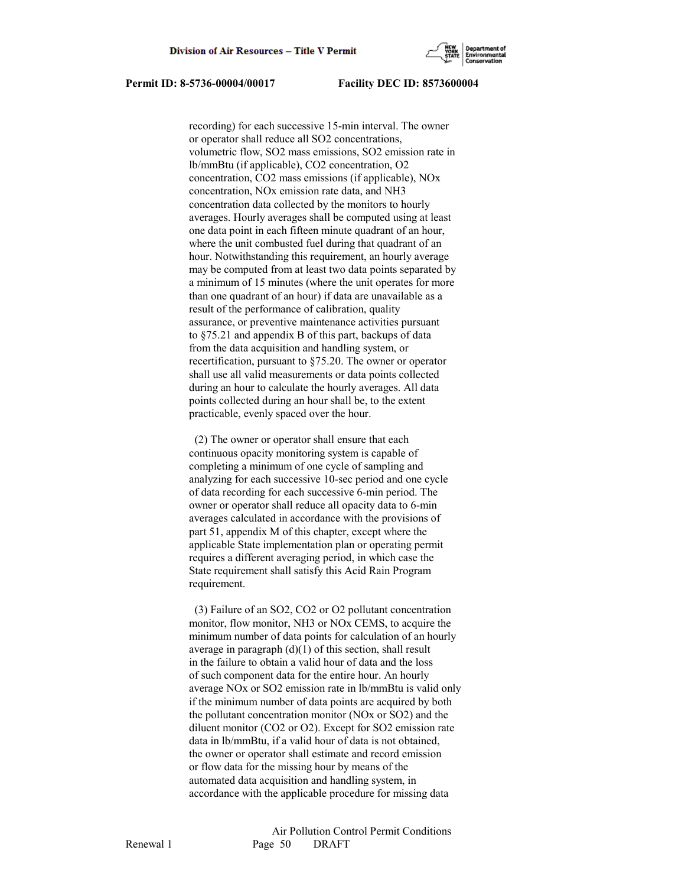

 recording) for each successive 15-min interval. The owner or operator shall reduce all SO2 concentrations, volumetric flow, SO2 mass emissions, SO2 emission rate in lb/mmBtu (if applicable), CO2 concentration, O2 concentration, CO2 mass emissions (if applicable), NOx concentration, NOx emission rate data, and NH3 concentration data collected by the monitors to hourly averages. Hourly averages shall be computed using at least one data point in each fifteen minute quadrant of an hour, where the unit combusted fuel during that quadrant of an hour. Notwithstanding this requirement, an hourly average may be computed from at least two data points separated by a minimum of 15 minutes (where the unit operates for more than one quadrant of an hour) if data are unavailable as a result of the performance of calibration, quality assurance, or preventive maintenance activities pursuant to §75.21 and appendix B of this part, backups of data from the data acquisition and handling system, or recertification, pursuant to §75.20. The owner or operator shall use all valid measurements or data points collected during an hour to calculate the hourly averages. All data points collected during an hour shall be, to the extent practicable, evenly spaced over the hour.

 (2) The owner or operator shall ensure that each continuous opacity monitoring system is capable of completing a minimum of one cycle of sampling and analyzing for each successive 10-sec period and one cycle of data recording for each successive 6-min period. The owner or operator shall reduce all opacity data to 6-min averages calculated in accordance with the provisions of part 51, appendix M of this chapter, except where the applicable State implementation plan or operating permit requires a different averaging period, in which case the State requirement shall satisfy this Acid Rain Program requirement.

 (3) Failure of an SO2, CO2 or O2 pollutant concentration monitor, flow monitor, NH3 or NOx CEMS, to acquire the minimum number of data points for calculation of an hourly average in paragraph  $(d)(1)$  of this section, shall result in the failure to obtain a valid hour of data and the loss of such component data for the entire hour. An hourly average NOx or SO2 emission rate in lb/mmBtu is valid only if the minimum number of data points are acquired by both the pollutant concentration monitor (NOx or SO2) and the diluent monitor (CO2 or O2). Except for SO2 emission rate data in lb/mmBtu, if a valid hour of data is not obtained, the owner or operator shall estimate and record emission or flow data for the missing hour by means of the automated data acquisition and handling system, in accordance with the applicable procedure for missing data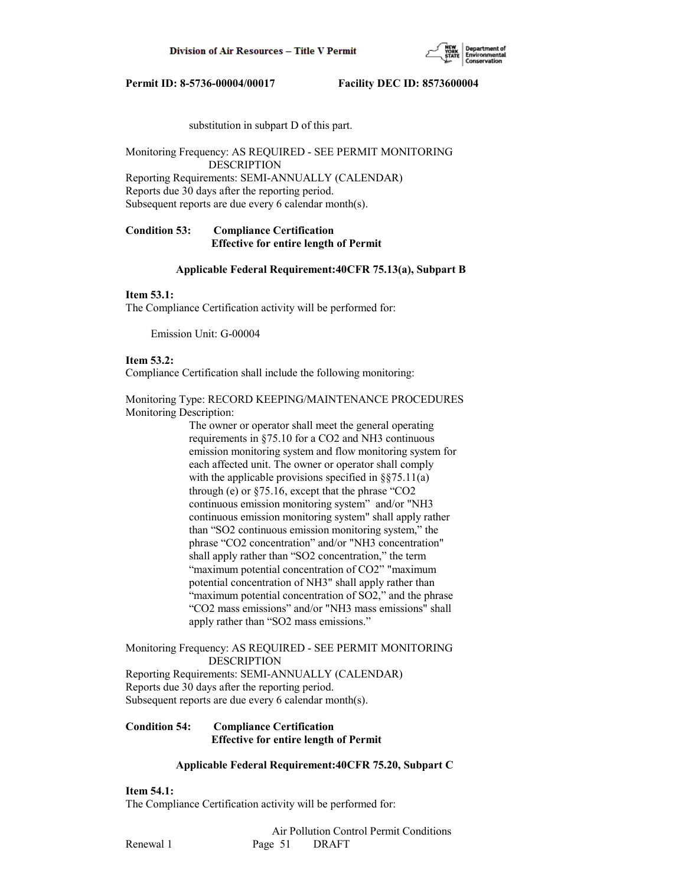

substitution in subpart D of this part.

Monitoring Frequency: AS REQUIRED - SEE PERMIT MONITORING DESCRIPTION Reporting Requirements: SEMI-ANNUALLY (CALENDAR) Reports due 30 days after the reporting period.

Subsequent reports are due every 6 calendar month(s).

# **Condition 53: Compliance Certification Effective for entire length of Permit**

## **Applicable Federal Requirement:40CFR 75.13(a), Subpart B**

# **Item 53.1:**

The Compliance Certification activity will be performed for:

Emission Unit: G-00004

### **Item 53.2:**

Compliance Certification shall include the following monitoring:

Monitoring Type: RECORD KEEPING/MAINTENANCE PROCEDURES Monitoring Description:

> The owner or operator shall meet the general operating requirements in §75.10 for a CO2 and NH3 continuous emission monitoring system and flow monitoring system for each affected unit. The owner or operator shall comply with the applicable provisions specified in  $\S$ §75.11(a) through (e) or §75.16, except that the phrase "CO2 continuous emission monitoring system" and/or "NH3 continuous emission monitoring system" shall apply rather than "SO2 continuous emission monitoring system," the phrase "CO2 concentration" and/or "NH3 concentration" shall apply rather than "SO2 concentration," the term "maximum potential concentration of CO2" "maximum potential concentration of NH3" shall apply rather than "maximum potential concentration of SO2," and the phrase "CO2 mass emissions" and/or "NH3 mass emissions" shall apply rather than "SO2 mass emissions."

## Monitoring Frequency: AS REQUIRED - SEE PERMIT MONITORING DESCRIPTION

Reporting Requirements: SEMI-ANNUALLY (CALENDAR) Reports due 30 days after the reporting period. Subsequent reports are due every 6 calendar month(s).

# **Condition 54: Compliance Certification Effective for entire length of Permit**

# **Applicable Federal Requirement:40CFR 75.20, Subpart C**

### **Item 54.1:**

The Compliance Certification activity will be performed for: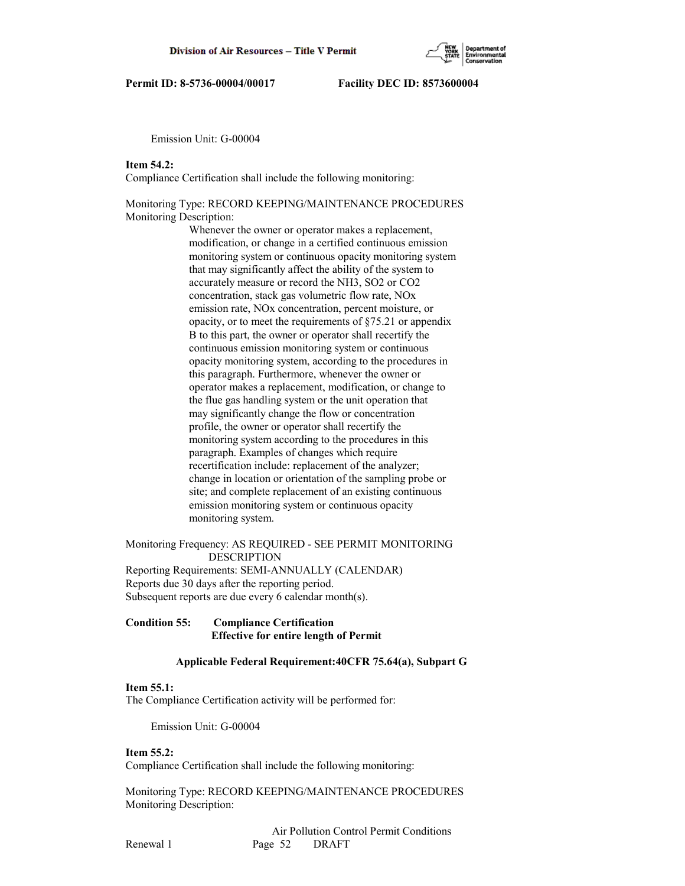

Emission Unit: G-00004

## **Item 54.2:**

Compliance Certification shall include the following monitoring:

# Monitoring Type: RECORD KEEPING/MAINTENANCE PROCEDURES Monitoring Description:

 Whenever the owner or operator makes a replacement, modification, or change in a certified continuous emission monitoring system or continuous opacity monitoring system that may significantly affect the ability of the system to accurately measure or record the NH3, SO2 or CO2 concentration, stack gas volumetric flow rate, NOx emission rate, NOx concentration, percent moisture, or opacity, or to meet the requirements of §75.21 or appendix B to this part, the owner or operator shall recertify the continuous emission monitoring system or continuous opacity monitoring system, according to the procedures in this paragraph. Furthermore, whenever the owner or operator makes a replacement, modification, or change to the flue gas handling system or the unit operation that may significantly change the flow or concentration profile, the owner or operator shall recertify the monitoring system according to the procedures in this paragraph. Examples of changes which require recertification include: replacement of the analyzer; change in location or orientation of the sampling probe or site; and complete replacement of an existing continuous emission monitoring system or continuous opacity monitoring system.

Monitoring Frequency: AS REQUIRED - SEE PERMIT MONITORING DESCRIPTION Reporting Requirements: SEMI-ANNUALLY (CALENDAR) Reports due 30 days after the reporting period. Subsequent reports are due every 6 calendar month(s).

## **Condition 55: Compliance Certification Effective for entire length of Permit**

# **Applicable Federal Requirement:40CFR 75.64(a), Subpart G**

### **Item 55.1:**

The Compliance Certification activity will be performed for:

Emission Unit: G-00004

### **Item 55.2:**

Compliance Certification shall include the following monitoring:

Monitoring Type: RECORD KEEPING/MAINTENANCE PROCEDURES Monitoring Description: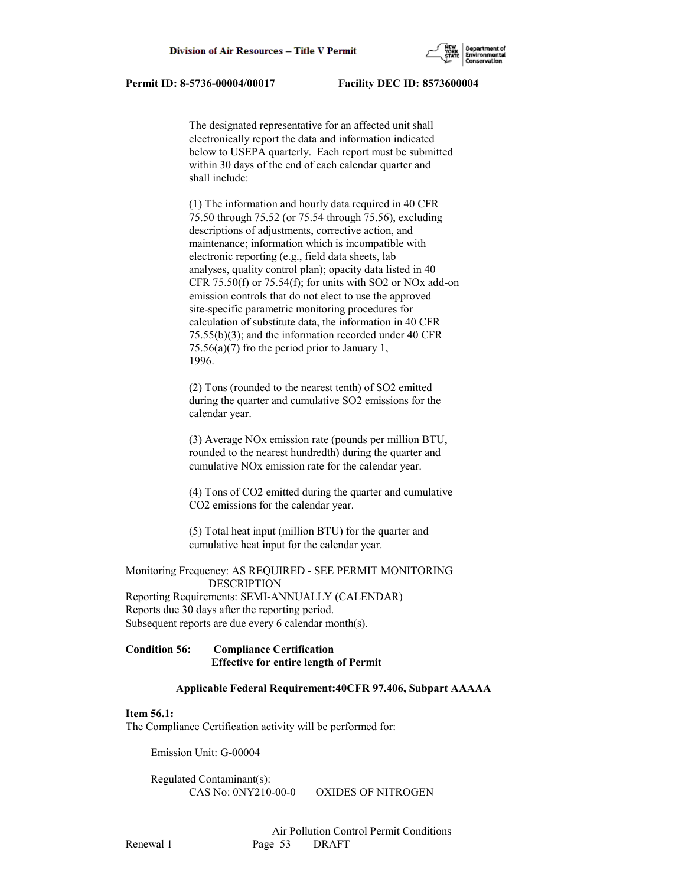

 The designated representative for an affected unit shall electronically report the data and information indicated below to USEPA quarterly. Each report must be submitted within 30 days of the end of each calendar quarter and shall include:

 (1) The information and hourly data required in 40 CFR 75.50 through 75.52 (or 75.54 through 75.56), excluding descriptions of adjustments, corrective action, and maintenance; information which is incompatible with electronic reporting (e.g., field data sheets, lab analyses, quality control plan); opacity data listed in 40 CFR  $75.50(f)$  or  $75.54(f)$ ; for units with SO2 or NOx add-on emission controls that do not elect to use the approved site-specific parametric monitoring procedures for calculation of substitute data, the information in 40 CFR 75.55(b)(3); and the information recorded under 40 CFR  $75.56(a)(7)$  fro the period prior to January 1, 1996.

 (2) Tons (rounded to the nearest tenth) of SO2 emitted during the quarter and cumulative SO2 emissions for the calendar year.

 (3) Average NOx emission rate (pounds per million BTU, rounded to the nearest hundredth) during the quarter and cumulative NOx emission rate for the calendar year.

 (4) Tons of CO2 emitted during the quarter and cumulative CO2 emissions for the calendar year.

 (5) Total heat input (million BTU) for the quarter and cumulative heat input for the calendar year.

Monitoring Frequency: AS REQUIRED - SEE PERMIT MONITORING DESCRIPTION Reporting Requirements: SEMI-ANNUALLY (CALENDAR) Reports due 30 days after the reporting period.

Subsequent reports are due every 6 calendar month(s).

# **Condition 56: Compliance Certification Effective for entire length of Permit**

# **Applicable Federal Requirement:40CFR 97.406, Subpart AAAAA**

# **Item 56.1:**

The Compliance Certification activity will be performed for:

Emission Unit: G-00004

 Regulated Contaminant(s): CAS No: 0NY210-00-0 OXIDES OF NITROGEN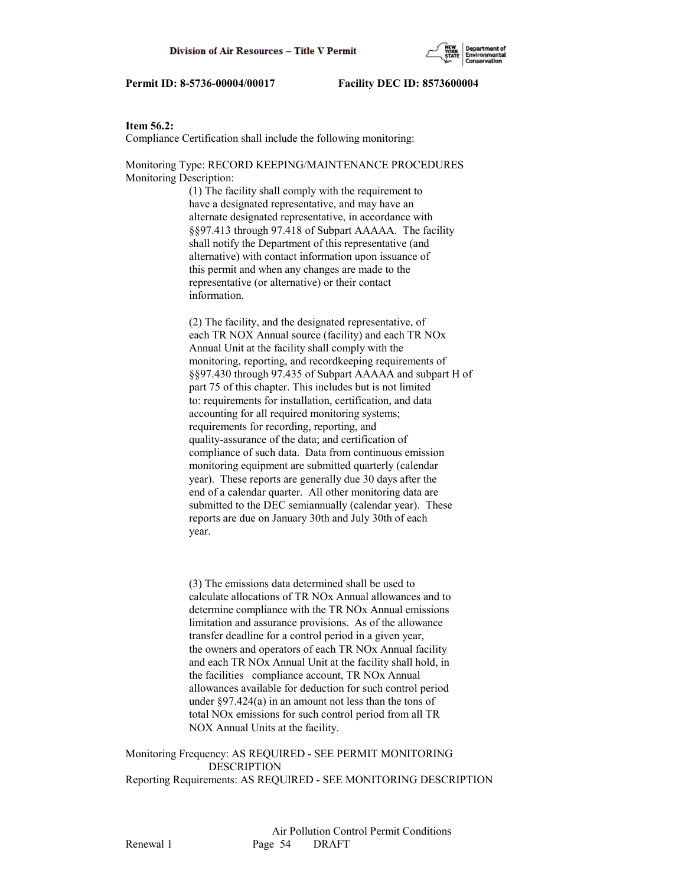## **Item 56.2:**

Compliance Certification shall include the following monitoring:

Monitoring Type: RECORD KEEPING/MAINTENANCE PROCEDURES Monitoring Description:

> (1) The facility shall comply with the requirement to have a designated representative, and may have an alternate designated representative, in accordance with §§97.413 through 97.418 of Subpart AAAAA. The facility shall notify the Department of this representative (and alternative) with contact information upon issuance of this permit and when any changes are made to the representative (or alternative) or their contact information.

 (2) The facility, and the designated representative, of each TR NOX Annual source (facility) and each TR NOx Annual Unit at the facility shall comply with the monitoring, reporting, and recordkeeping requirements of §§97.430 through 97.435 of Subpart AAAAA and subpart H of part 75 of this chapter. This includes but is not limited to: requirements for installation, certification, and data accounting for all required monitoring systems; requirements for recording, reporting, and quality-assurance of the data; and certification of compliance of such data. Data from continuous emission monitoring equipment are submitted quarterly (calendar year). These reports are generally due 30 days after the end of a calendar quarter. All other monitoring data are submitted to the DEC semiannually (calendar year). These reports are due on January 30th and July 30th of each year.

 (3) The emissions data determined shall be used to calculate allocations of TR NOx Annual allowances and to determine compliance with the TR NOx Annual emissions limitation and assurance provisions. As of the allowance transfer deadline for a control period in a given year, the owners and operators of each TR NOx Annual facility and each TR NOx Annual Unit at the facility shall hold, in the facilities compliance account, TR NOx Annual allowances available for deduction for such control period under §97.424(a) in an amount not less than the tons of total NOx emissions for such control period from all TR NOX Annual Units at the facility.

Monitoring Frequency: AS REQUIRED - SEE PERMIT MONITORING DESCRIPTION Reporting Requirements: AS REQUIRED - SEE MONITORING DESCRIPTION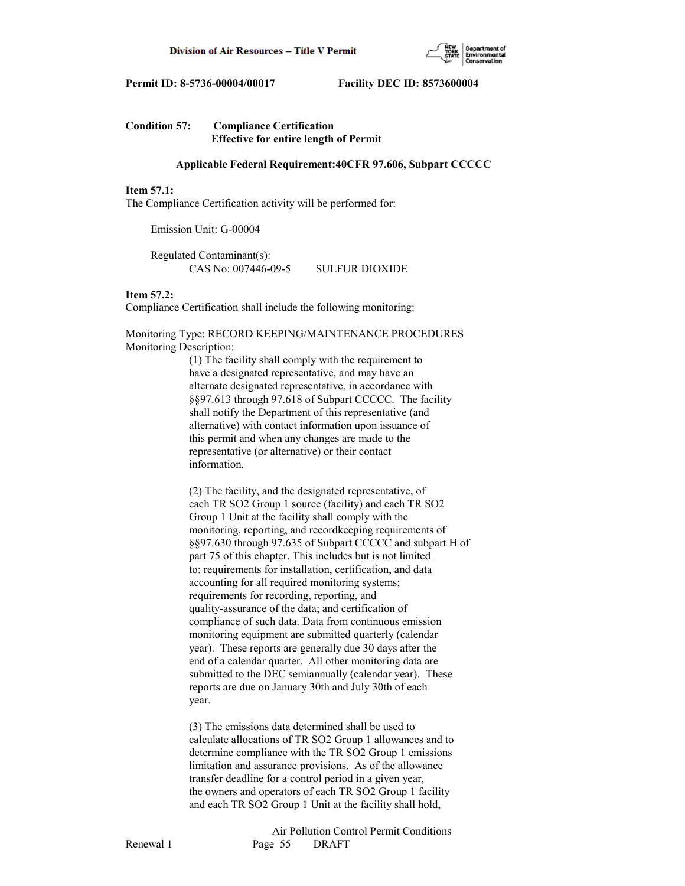

# **Condition 57: Compliance Certification Effective for entire length of Permit**

## **Applicable Federal Requirement:40CFR 97.606, Subpart CCCCC**

# **Item 57.1:**

The Compliance Certification activity will be performed for:

Emission Unit: G-00004

 Regulated Contaminant(s): CAS No: 007446-09-5 SULFUR DIOXIDE

# **Item 57.2:**

Compliance Certification shall include the following monitoring:

Monitoring Type: RECORD KEEPING/MAINTENANCE PROCEDURES Monitoring Description:

> (1) The facility shall comply with the requirement to have a designated representative, and may have an alternate designated representative, in accordance with §§97.613 through 97.618 of Subpart CCCCC. The facility shall notify the Department of this representative (and alternative) with contact information upon issuance of this permit and when any changes are made to the representative (or alternative) or their contact information.

 (2) The facility, and the designated representative, of each TR SO2 Group 1 source (facility) and each TR SO2 Group 1 Unit at the facility shall comply with the monitoring, reporting, and recordkeeping requirements of §§97.630 through 97.635 of Subpart CCCCC and subpart H of part 75 of this chapter. This includes but is not limited to: requirements for installation, certification, and data accounting for all required monitoring systems; requirements for recording, reporting, and quality-assurance of the data; and certification of compliance of such data. Data from continuous emission monitoring equipment are submitted quarterly (calendar year). These reports are generally due 30 days after the end of a calendar quarter. All other monitoring data are submitted to the DEC semiannually (calendar year). These reports are due on January 30th and July 30th of each year.

 (3) The emissions data determined shall be used to calculate allocations of TR SO2 Group 1 allowances and to determine compliance with the TR SO2 Group 1 emissions limitation and assurance provisions. As of the allowance transfer deadline for a control period in a given year, the owners and operators of each TR SO2 Group 1 facility and each TR SO2 Group 1 Unit at the facility shall hold,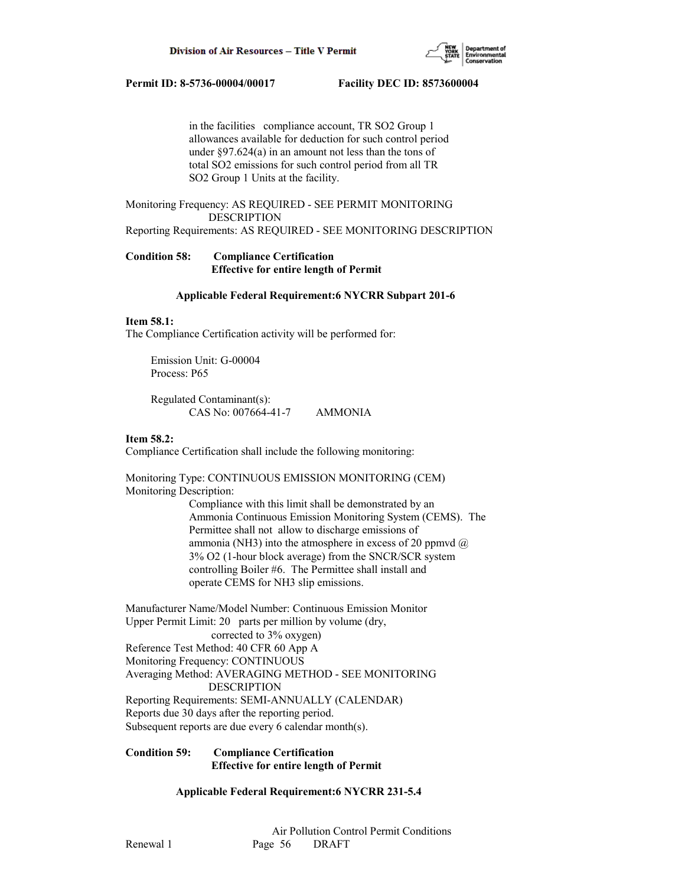

 in the facilities compliance account, TR SO2 Group 1 allowances available for deduction for such control period under §97.624(a) in an amount not less than the tons of total SO2 emissions for such control period from all TR SO2 Group 1 Units at the facility.

Monitoring Frequency: AS REQUIRED - SEE PERMIT MONITORING DESCRIPTION

Reporting Requirements: AS REQUIRED - SEE MONITORING DESCRIPTION

**Condition 58: Compliance Certification Effective for entire length of Permit**

## **Applicable Federal Requirement:6 NYCRR Subpart 201-6**

# **Item 58.1:**

The Compliance Certification activity will be performed for:

 Emission Unit: G-00004 Process: P65

 Regulated Contaminant(s): CAS No: 007664-41-7 AMMONIA

## **Item 58.2:**

Compliance Certification shall include the following monitoring:

Monitoring Type: CONTINUOUS EMISSION MONITORING (CEM) Monitoring Description:

> Compliance with this limit shall be demonstrated by an Ammonia Continuous Emission Monitoring System (CEMS). The Permittee shall not allow to discharge emissions of ammonia (NH3) into the atmosphere in excess of 20 ppmvd  $@$  3% O2 (1-hour block average) from the SNCR/SCR system controlling Boiler #6. The Permittee shall install and operate CEMS for NH3 slip emissions.

Manufacturer Name/Model Number: Continuous Emission Monitor Upper Permit Limit: 20 parts per million by volume (dry, corrected to 3% oxygen) Reference Test Method: 40 CFR 60 App A Monitoring Frequency: CONTINUOUS Averaging Method: AVERAGING METHOD - SEE MONITORING DESCRIPTION Reporting Requirements: SEMI-ANNUALLY (CALENDAR) Reports due 30 days after the reporting period. Subsequent reports are due every 6 calendar month(s).

## **Condition 59: Compliance Certification Effective for entire length of Permit**

 **Applicable Federal Requirement:6 NYCRR 231-5.4**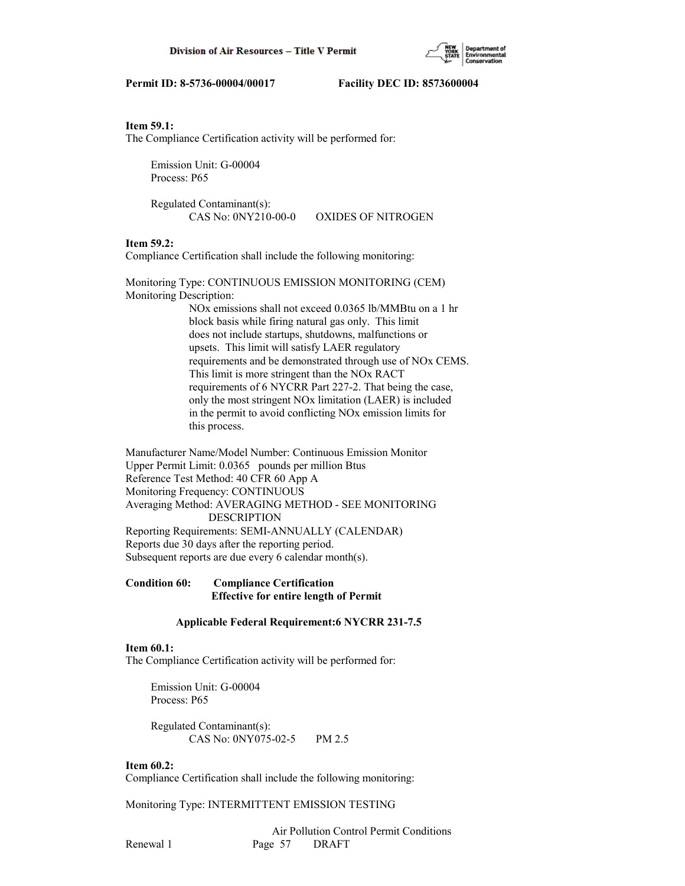# **Item 59.1:**

The Compliance Certification activity will be performed for:

 Emission Unit: G-00004 Process: P65

 Regulated Contaminant(s): CAS No: 0NY210-00-0 OXIDES OF NITROGEN

# **Item 59.2:**

Compliance Certification shall include the following monitoring:

Monitoring Type: CONTINUOUS EMISSION MONITORING (CEM) Monitoring Description:

> NOx emissions shall not exceed 0.0365 lb/MMBtu on a 1 hr block basis while firing natural gas only. This limit does not include startups, shutdowns, malfunctions or upsets. This limit will satisfy LAER regulatory requirements and be demonstrated through use of NOx CEMS. This limit is more stringent than the NOx RACT requirements of 6 NYCRR Part 227-2. That being the case, only the most stringent NOx limitation (LAER) is included in the permit to avoid conflicting NOx emission limits for this process.

Manufacturer Name/Model Number: Continuous Emission Monitor Upper Permit Limit: 0.0365 pounds per million Btus Reference Test Method: 40 CFR 60 App A Monitoring Frequency: CONTINUOUS Averaging Method: AVERAGING METHOD - SEE MONITORING DESCRIPTION Reporting Requirements: SEMI-ANNUALLY (CALENDAR) Reports due 30 days after the reporting period. Subsequent reports are due every 6 calendar month(s).

# **Condition 60: Compliance Certification Effective for entire length of Permit**

# **Applicable Federal Requirement:6 NYCRR 231-7.5**

# **Item 60.1:**

The Compliance Certification activity will be performed for:

 Emission Unit: G-00004 Process: P65

 Regulated Contaminant(s): CAS No: 0NY075-02-5 PM 2.5

# **Item 60.2:**

Compliance Certification shall include the following monitoring:

Monitoring Type: INTERMITTENT EMISSION TESTING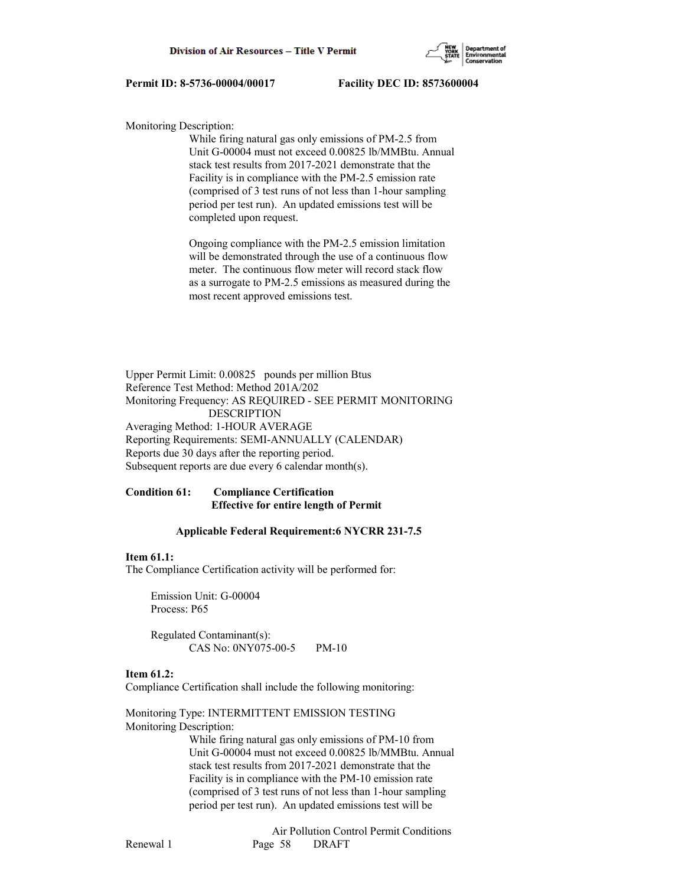

Monitoring Description:

 While firing natural gas only emissions of PM-2.5 from Unit G-00004 must not exceed 0.00825 lb/MMBtu. Annual stack test results from 2017-2021 demonstrate that the Facility is in compliance with the PM-2.5 emission rate (comprised of 3 test runs of not less than 1-hour sampling period per test run). An updated emissions test will be completed upon request.

 Ongoing compliance with the PM-2.5 emission limitation will be demonstrated through the use of a continuous flow meter. The continuous flow meter will record stack flow as a surrogate to PM-2.5 emissions as measured during the most recent approved emissions test.

Upper Permit Limit: 0.00825 pounds per million Btus Reference Test Method: Method 201A/202 Monitoring Frequency: AS REQUIRED - SEE PERMIT MONITORING DESCRIPTION Averaging Method: 1-HOUR AVERAGE Reporting Requirements: SEMI-ANNUALLY (CALENDAR) Reports due 30 days after the reporting period. Subsequent reports are due every 6 calendar month(s).

# **Condition 61: Compliance Certification Effective for entire length of Permit**

## **Applicable Federal Requirement:6 NYCRR 231-7.5**

## **Item 61.1:**

The Compliance Certification activity will be performed for:

 Emission Unit: G-00004 Process: P65

 Regulated Contaminant(s): CAS No: 0NY075-00-5 PM-10

## **Item 61.2:**

Compliance Certification shall include the following monitoring:

Monitoring Type: INTERMITTENT EMISSION TESTING Monitoring Description:

> While firing natural gas only emissions of PM-10 from Unit G-00004 must not exceed 0.00825 lb/MMBtu. Annual stack test results from 2017-2021 demonstrate that the Facility is in compliance with the PM-10 emission rate (comprised of 3 test runs of not less than 1-hour sampling period per test run). An updated emissions test will be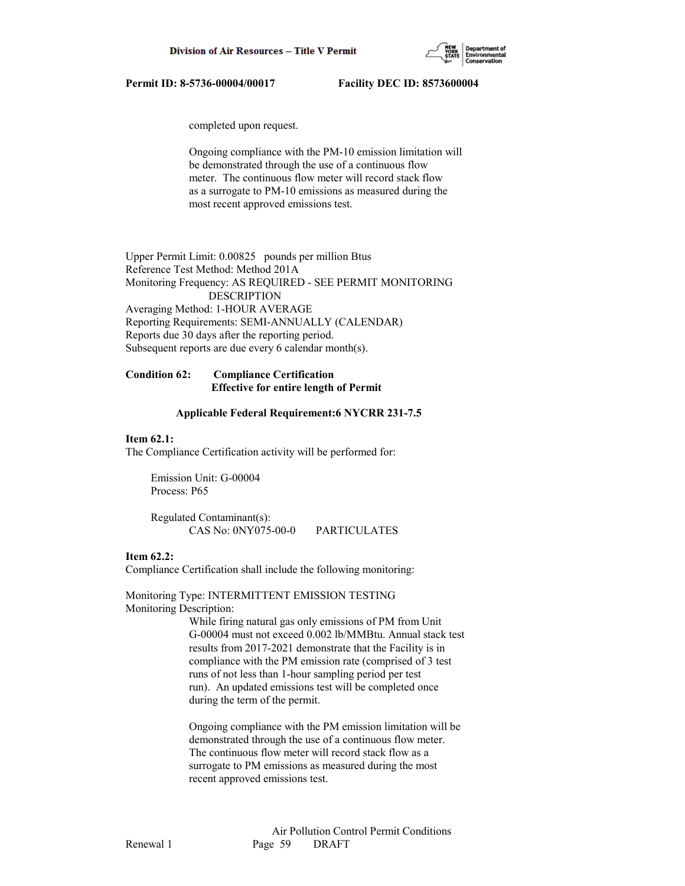

completed upon request.

 Ongoing compliance with the PM-10 emission limitation will be demonstrated through the use of a continuous flow meter. The continuous flow meter will record stack flow as a surrogate to PM-10 emissions as measured during the most recent approved emissions test.

Upper Permit Limit: 0.00825 pounds per million Btus Reference Test Method: Method 201A Monitoring Frequency: AS REQUIRED - SEE PERMIT MONITORING DESCRIPTION Averaging Method: 1-HOUR AVERAGE Reporting Requirements: SEMI-ANNUALLY (CALENDAR) Reports due 30 days after the reporting period. Subsequent reports are due every 6 calendar month(s).

# **Condition 62: Compliance Certification Effective for entire length of Permit**

## **Applicable Federal Requirement:6 NYCRR 231-7.5**

### **Item 62.1:**

The Compliance Certification activity will be performed for:

 Emission Unit: G-00004 Process: P65

 Regulated Contaminant(s): CAS No: 0NY075-00-0 PARTICULATES

# **Item 62.2:**

Compliance Certification shall include the following monitoring:

Monitoring Type: INTERMITTENT EMISSION TESTING Monitoring Description:

> While firing natural gas only emissions of PM from Unit G-00004 must not exceed 0.002 lb/MMBtu. Annual stack test results from 2017-2021 demonstrate that the Facility is in compliance with the PM emission rate (comprised of 3 test runs of not less than 1-hour sampling period per test run). An updated emissions test will be completed once during the term of the permit.

 Ongoing compliance with the PM emission limitation will be demonstrated through the use of a continuous flow meter. The continuous flow meter will record stack flow as a surrogate to PM emissions as measured during the most recent approved emissions test.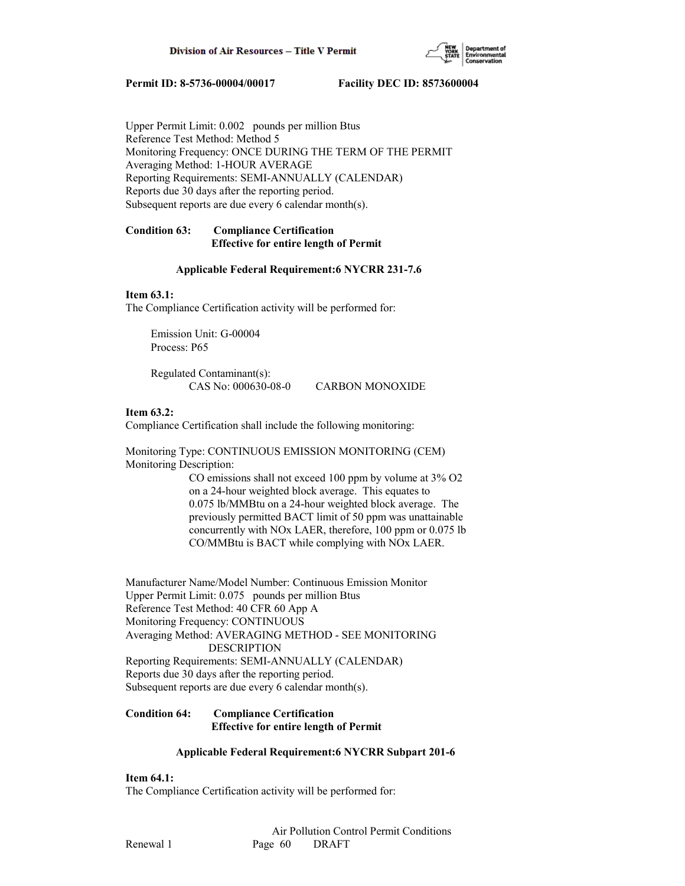

Upper Permit Limit: 0.002 pounds per million Btus Reference Test Method: Method 5 Monitoring Frequency: ONCE DURING THE TERM OF THE PERMIT Averaging Method: 1-HOUR AVERAGE Reporting Requirements: SEMI-ANNUALLY (CALENDAR) Reports due 30 days after the reporting period. Subsequent reports are due every 6 calendar month(s).

# **Condition 63: Compliance Certification Effective for entire length of Permit**

# **Applicable Federal Requirement:6 NYCRR 231-7.6**

# **Item 63.1:**

The Compliance Certification activity will be performed for:

 Emission Unit: G-00004 Process: P65

 Regulated Contaminant(s): CAS No: 000630-08-0 CARBON MONOXIDE

# **Item 63.2:**

Compliance Certification shall include the following monitoring:

Monitoring Type: CONTINUOUS EMISSION MONITORING (CEM) Monitoring Description:

 CO emissions shall not exceed 100 ppm by volume at 3% O2 on a 24-hour weighted block average. This equates to 0.075 lb/MMBtu on a 24-hour weighted block average. The previously permitted BACT limit of 50 ppm was unattainable concurrently with NOx LAER, therefore, 100 ppm or 0.075 lb CO/MMBtu is BACT while complying with NOx LAER.

Manufacturer Name/Model Number: Continuous Emission Monitor Upper Permit Limit: 0.075 pounds per million Btus Reference Test Method: 40 CFR 60 App A Monitoring Frequency: CONTINUOUS Averaging Method: AVERAGING METHOD - SEE MONITORING DESCRIPTION Reporting Requirements: SEMI-ANNUALLY (CALENDAR) Reports due 30 days after the reporting period. Subsequent reports are due every 6 calendar month(s).

# **Condition 64: Compliance Certification Effective for entire length of Permit**

# **Applicable Federal Requirement:6 NYCRR Subpart 201-6**

**Item 64.1:**

The Compliance Certification activity will be performed for: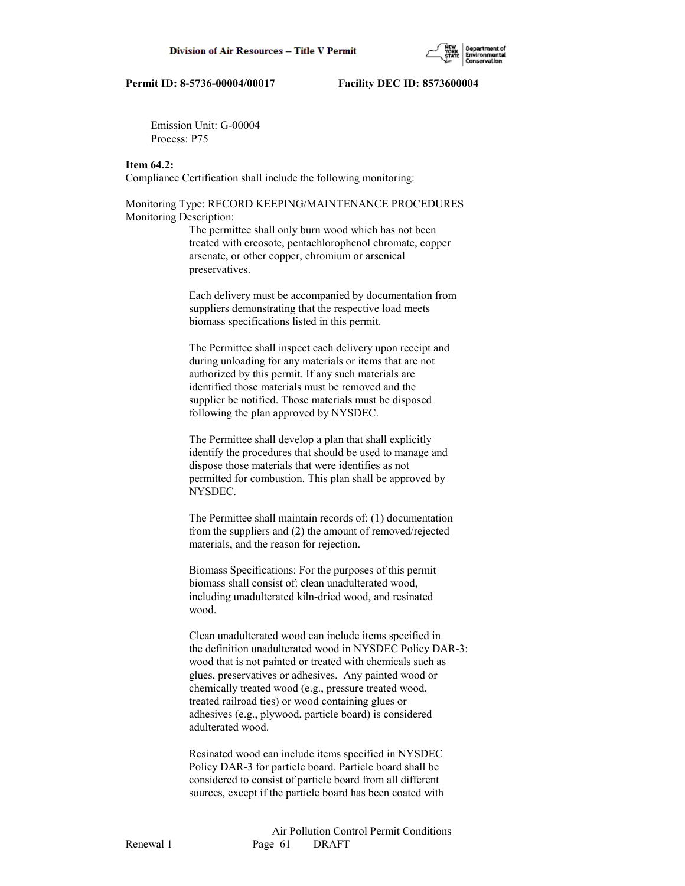Emission Unit: G-00004 Process: P75

## **Item 64.2:**

Compliance Certification shall include the following monitoring:

# Monitoring Type: RECORD KEEPING/MAINTENANCE PROCEDURES Monitoring Description:

 The permittee shall only burn wood which has not been treated with creosote, pentachlorophenol chromate, copper arsenate, or other copper, chromium or arsenical preservatives.

 Each delivery must be accompanied by documentation from suppliers demonstrating that the respective load meets biomass specifications listed in this permit.

 The Permittee shall inspect each delivery upon receipt and during unloading for any materials or items that are not authorized by this permit. If any such materials are identified those materials must be removed and the supplier be notified. Those materials must be disposed following the plan approved by NYSDEC.

 The Permittee shall develop a plan that shall explicitly identify the procedures that should be used to manage and dispose those materials that were identifies as not permitted for combustion. This plan shall be approved by NYSDEC.

 The Permittee shall maintain records of: (1) documentation from the suppliers and (2) the amount of removed/rejected materials, and the reason for rejection.

 Biomass Specifications: For the purposes of this permit biomass shall consist of: clean unadulterated wood, including unadulterated kiln-dried wood, and resinated wood.

 Clean unadulterated wood can include items specified in the definition unadulterated wood in NYSDEC Policy DAR-3: wood that is not painted or treated with chemicals such as glues, preservatives or adhesives. Any painted wood or chemically treated wood (e.g., pressure treated wood, treated railroad ties) or wood containing glues or adhesives (e.g., plywood, particle board) is considered adulterated wood.

 Resinated wood can include items specified in NYSDEC Policy DAR-3 for particle board. Particle board shall be considered to consist of particle board from all different sources, except if the particle board has been coated with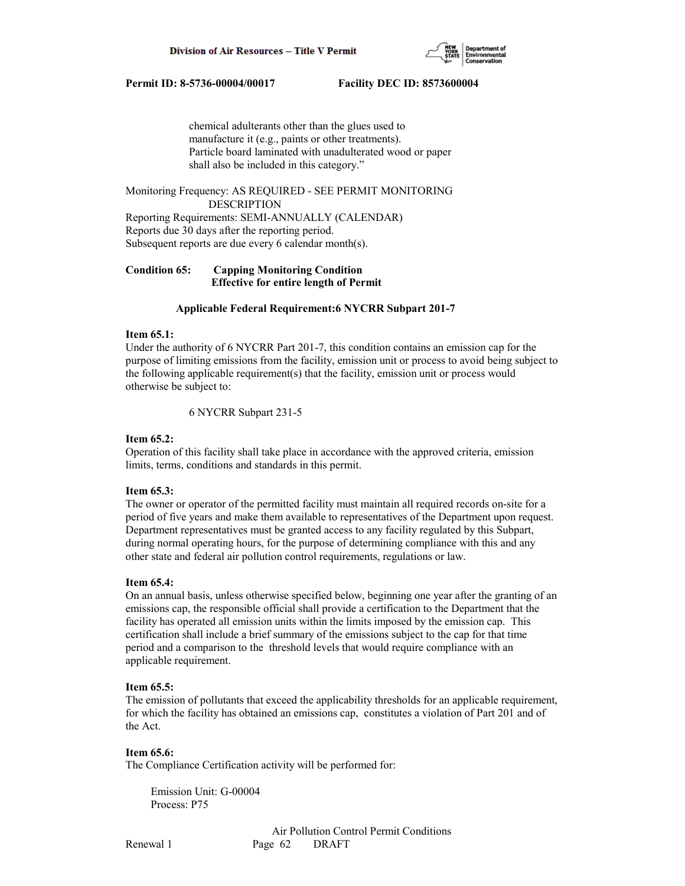

 chemical adulterants other than the glues used to manufacture it (e.g., paints or other treatments). Particle board laminated with unadulterated wood or paper shall also be included in this category."

Monitoring Frequency: AS REQUIRED - SEE PERMIT MONITORING DESCRIPTION Reporting Requirements: SEMI-ANNUALLY (CALENDAR) Reports due 30 days after the reporting period. Subsequent reports are due every 6 calendar month(s).

# **Condition 65: Capping Monitoring Condition Effective for entire length of Permit**

### **Applicable Federal Requirement:6 NYCRR Subpart 201-7**

### **Item 65.1:**

Under the authority of 6 NYCRR Part 201-7, this condition contains an emission cap for the purpose of limiting emissions from the facility, emission unit or process to avoid being subject to the following applicable requirement(s) that the facility, emission unit or process would otherwise be subject to:

6 NYCRR Subpart 231-5

## **Item 65.2:**

Operation of this facility shall take place in accordance with the approved criteria, emission limits, terms, conditions and standards in this permit.

### **Item 65.3:**

The owner or operator of the permitted facility must maintain all required records on-site for a period of five years and make them available to representatives of the Department upon request. Department representatives must be granted access to any facility regulated by this Subpart, during normal operating hours, for the purpose of determining compliance with this and any other state and federal air pollution control requirements, regulations or law.

## **Item 65.4:**

On an annual basis, unless otherwise specified below, beginning one year after the granting of an emissions cap, the responsible official shall provide a certification to the Department that the facility has operated all emission units within the limits imposed by the emission cap. This certification shall include a brief summary of the emissions subject to the cap for that time period and a comparison to the threshold levels that would require compliance with an applicable requirement.

### **Item 65.5:**

The emission of pollutants that exceed the applicability thresholds for an applicable requirement, for which the facility has obtained an emissions cap, constitutes a violation of Part 201 and of the Act.

### **Item 65.6:**

The Compliance Certification activity will be performed for:

 Emission Unit: G-00004 Process: P75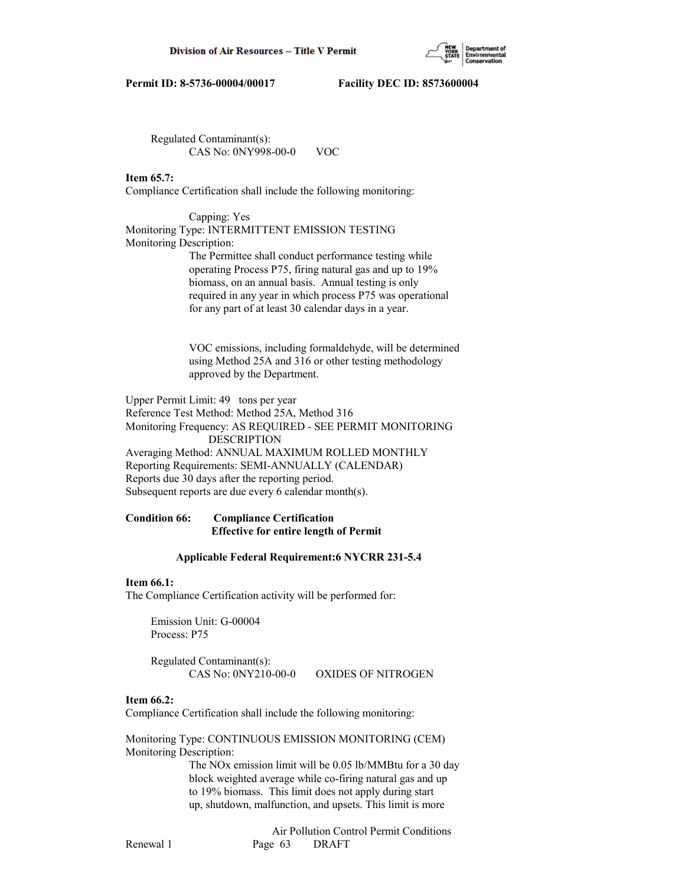

 Regulated Contaminant(s): CAS No: 0NY998-00-0 VOC

# **Item 65.7:**

Compliance Certification shall include the following monitoring:

 Capping: Yes Monitoring Type: INTERMITTENT EMISSION TESTING Monitoring Description: The Permittee shall conduct performance testing while

 operating Process P75, firing natural gas and up to 19% biomass, on an annual basis. Annual testing is only required in any year in which process P75 was operational for any part of at least 30 calendar days in a year.

 VOC emissions, including formaldehyde, will be determined using Method 25A and 316 or other testing methodology approved by the Department.

Upper Permit Limit: 49 tons per year Reference Test Method: Method 25A, Method 316 Monitoring Frequency: AS REQUIRED - SEE PERMIT MONITORING DESCRIPTION Averaging Method: ANNUAL MAXIMUM ROLLED MONTHLY Reporting Requirements: SEMI-ANNUALLY (CALENDAR) Reports due 30 days after the reporting period. Subsequent reports are due every 6 calendar month(s).

# **Condition 66: Compliance Certification Effective for entire length of Permit**

### **Applicable Federal Requirement:6 NYCRR 231-5.4**

# **Item 66.1:**

The Compliance Certification activity will be performed for:

 Emission Unit: G-00004 Process: P75

 Regulated Contaminant(s): CAS No: 0NY210-00-0 OXIDES OF NITROGEN

### **Item 66.2:**

Compliance Certification shall include the following monitoring:

Monitoring Type: CONTINUOUS EMISSION MONITORING (CEM) Monitoring Description:

> The NOx emission limit will be 0.05 lb/MMBtu for a 30 day block weighted average while co-firing natural gas and up to 19% biomass. This limit does not apply during start up, shutdown, malfunction, and upsets. This limit is more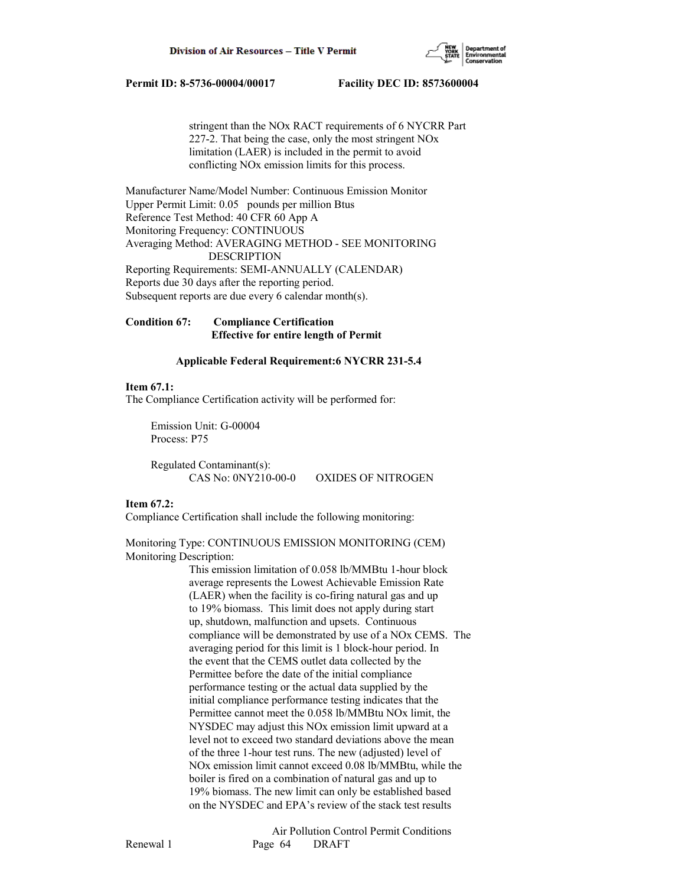

 stringent than the NOx RACT requirements of 6 NYCRR Part 227-2. That being the case, only the most stringent NOx limitation (LAER) is included in the permit to avoid conflicting NOx emission limits for this process.

Manufacturer Name/Model Number: Continuous Emission Monitor Upper Permit Limit: 0.05 pounds per million Btus Reference Test Method: 40 CFR 60 App A Monitoring Frequency: CONTINUOUS Averaging Method: AVERAGING METHOD - SEE MONITORING DESCRIPTION Reporting Requirements: SEMI-ANNUALLY (CALENDAR) Reports due 30 days after the reporting period. Subsequent reports are due every 6 calendar month(s).

**Condition 67: Compliance Certification Effective for entire length of Permit**

## **Applicable Federal Requirement:6 NYCRR 231-5.4**

## **Item 67.1:**

The Compliance Certification activity will be performed for:

 Emission Unit: G-00004 Process: P75

 Regulated Contaminant(s): CAS No: 0NY210-00-0 OXIDES OF NITROGEN

# **Item 67.2:**

Compliance Certification shall include the following monitoring:

Monitoring Type: CONTINUOUS EMISSION MONITORING (CEM) Monitoring Description:

> This emission limitation of 0.058 lb/MMBtu 1-hour block average represents the Lowest Achievable Emission Rate (LAER) when the facility is co-firing natural gas and up to 19% biomass. This limit does not apply during start up, shutdown, malfunction and upsets. Continuous compliance will be demonstrated by use of a NOx CEMS. The averaging period for this limit is 1 block-hour period. In the event that the CEMS outlet data collected by the Permittee before the date of the initial compliance performance testing or the actual data supplied by the initial compliance performance testing indicates that the Permittee cannot meet the 0.058 lb/MMBtu NOx limit, the NYSDEC may adjust this NOx emission limit upward at a level not to exceed two standard deviations above the mean of the three 1-hour test runs. The new (adjusted) level of NOx emission limit cannot exceed 0.08 lb/MMBtu, while the boiler is fired on a combination of natural gas and up to 19% biomass. The new limit can only be established based on the NYSDEC and EPA's review of the stack test results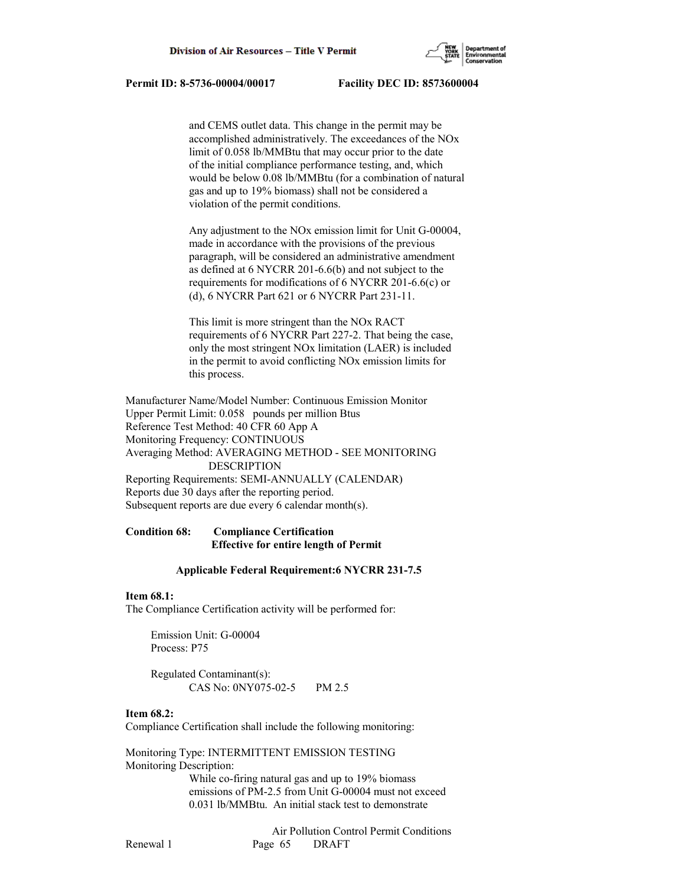

 and CEMS outlet data. This change in the permit may be accomplished administratively. The exceedances of the NOx limit of 0.058 lb/MMBtu that may occur prior to the date of the initial compliance performance testing, and, which would be below 0.08 lb/MMBtu (for a combination of natural gas and up to 19% biomass) shall not be considered a violation of the permit conditions.

 Any adjustment to the NOx emission limit for Unit G-00004, made in accordance with the provisions of the previous paragraph, will be considered an administrative amendment as defined at 6 NYCRR 201-6.6(b) and not subject to the requirements for modifications of 6 NYCRR 201-6.6(c) or (d), 6 NYCRR Part 621 or 6 NYCRR Part 231-11.

 This limit is more stringent than the NOx RACT requirements of 6 NYCRR Part 227-2. That being the case, only the most stringent NOx limitation (LAER) is included in the permit to avoid conflicting NOx emission limits for this process.

Manufacturer Name/Model Number: Continuous Emission Monitor Upper Permit Limit: 0.058 pounds per million Btus Reference Test Method: 40 CFR 60 App A Monitoring Frequency: CONTINUOUS Averaging Method: AVERAGING METHOD - SEE MONITORING DESCRIPTION Reporting Requirements: SEMI-ANNUALLY (CALENDAR) Reports due 30 days after the reporting period. Subsequent reports are due every 6 calendar month(s).

# **Condition 68: Compliance Certification Effective for entire length of Permit**

# **Applicable Federal Requirement:6 NYCRR 231-7.5**

### **Item 68.1:**

The Compliance Certification activity will be performed for:

 Emission Unit: G-00004 Process: P75

 Regulated Contaminant(s): CAS No: 0NY075-02-5 PM 2.5

### **Item 68.2:**

Compliance Certification shall include the following monitoring:

Monitoring Type: INTERMITTENT EMISSION TESTING Monitoring Description:

> While co-firing natural gas and up to 19% biomass emissions of PM-2.5 from Unit G-00004 must not exceed 0.031 lb/MMBtu. An initial stack test to demonstrate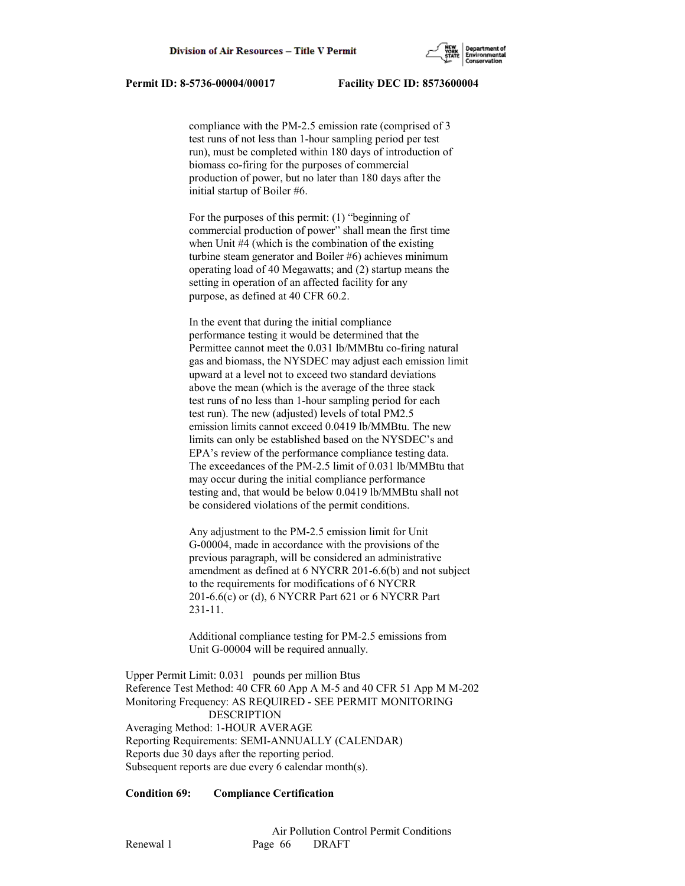

 compliance with the PM-2.5 emission rate (comprised of 3 test runs of not less than 1-hour sampling period per test run), must be completed within 180 days of introduction of biomass co-firing for the purposes of commercial production of power, but no later than 180 days after the initial startup of Boiler #6.

 For the purposes of this permit: (1) "beginning of commercial production of power" shall mean the first time when Unit #4 (which is the combination of the existing turbine steam generator and Boiler #6) achieves minimum operating load of 40 Megawatts; and (2) startup means the setting in operation of an affected facility for any purpose, as defined at 40 CFR 60.2.

 In the event that during the initial compliance performance testing it would be determined that the Permittee cannot meet the 0.031 lb/MMBtu co-firing natural gas and biomass, the NYSDEC may adjust each emission limit upward at a level not to exceed two standard deviations above the mean (which is the average of the three stack test runs of no less than 1-hour sampling period for each test run). The new (adjusted) levels of total PM2.5 emission limits cannot exceed 0.0419 lb/MMBtu. The new limits can only be established based on the NYSDEC's and EPA's review of the performance compliance testing data. The exceedances of the PM-2.5 limit of 0.031 lb/MMBtu that may occur during the initial compliance performance testing and, that would be below 0.0419 lb/MMBtu shall not be considered violations of the permit conditions.

 Any adjustment to the PM-2.5 emission limit for Unit G-00004, made in accordance with the provisions of the previous paragraph, will be considered an administrative amendment as defined at 6 NYCRR 201-6.6(b) and not subject to the requirements for modifications of 6 NYCRR 201-6.6(c) or (d), 6 NYCRR Part 621 or 6 NYCRR Part 231-11.

 Additional compliance testing for PM-2.5 emissions from Unit G-00004 will be required annually.

Upper Permit Limit: 0.031 pounds per million Btus Reference Test Method: 40 CFR 60 App A M-5 and 40 CFR 51 App M M-202 Monitoring Frequency: AS REQUIRED - SEE PERMIT MONITORING DESCRIPTION Averaging Method: 1-HOUR AVERAGE Reporting Requirements: SEMI-ANNUALLY (CALENDAR) Reports due 30 days after the reporting period. Subsequent reports are due every 6 calendar month(s).

# **Condition 69: Compliance Certification**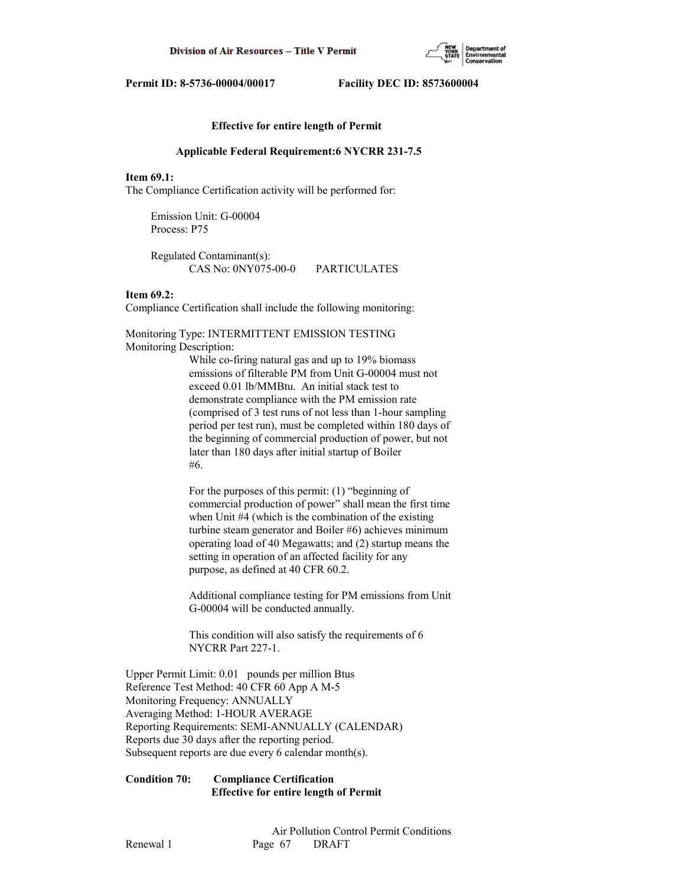

# **Effective for entire length of Permit**

#### **Applicable Federal Requirement:6 NYCRR 231-7.5**

## **Item 69.1:**

The Compliance Certification activity will be performed for:

 Emission Unit: G-00004 Process: P75

 Regulated Contaminant(s): CAS No: 0NY075-00-0 PARTICULATES

# **Item 69.2:**

Compliance Certification shall include the following monitoring:

Monitoring Type: INTERMITTENT EMISSION TESTING Monitoring Description:

> While co-firing natural gas and up to 19% biomass emissions of filterable PM from Unit G-00004 must not exceed 0.01 lb/MMBtu. An initial stack test to demonstrate compliance with the PM emission rate (comprised of 3 test runs of not less than 1-hour sampling period per test run), must be completed within 180 days of the beginning of commercial production of power, but not later than 180 days after initial startup of Boiler #6.

> For the purposes of this permit: (1) "beginning of commercial production of power" shall mean the first time when Unit #4 (which is the combination of the existing turbine steam generator and Boiler #6) achieves minimum operating load of 40 Megawatts; and (2) startup means the setting in operation of an affected facility for any purpose, as defined at 40 CFR 60.2.

> Additional compliance testing for PM emissions from Unit G-00004 will be conducted annually.

 This condition will also satisfy the requirements of 6 NYCRR Part 227-1.

Upper Permit Limit: 0.01 pounds per million Btus Reference Test Method: 40 CFR 60 App A M-5 Monitoring Frequency: ANNUALLY Averaging Method: 1-HOUR AVERAGE Reporting Requirements: SEMI-ANNUALLY (CALENDAR) Reports due 30 days after the reporting period. Subsequent reports are due every 6 calendar month(s).

**Condition 70: Compliance Certification Effective for entire length of Permit**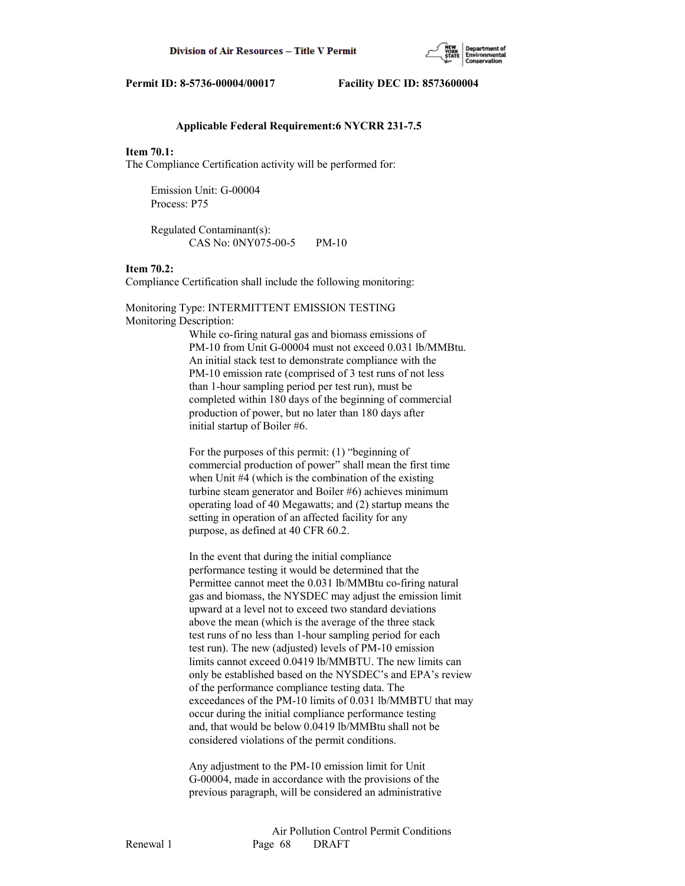

## **Applicable Federal Requirement:6 NYCRR 231-7.5**

### **Item 70.1:**

The Compliance Certification activity will be performed for:

 Emission Unit: G-00004 Process: P75

 Regulated Contaminant(s): CAS No: 0NY075-00-5 PM-10

#### **Item 70.2:**

Compliance Certification shall include the following monitoring:

Monitoring Type: INTERMITTENT EMISSION TESTING Monitoring Description:

> While co-firing natural gas and biomass emissions of PM-10 from Unit G-00004 must not exceed 0.031 lb/MMBtu. An initial stack test to demonstrate compliance with the PM-10 emission rate (comprised of 3 test runs of not less than 1-hour sampling period per test run), must be completed within 180 days of the beginning of commercial production of power, but no later than 180 days after initial startup of Boiler #6.

 For the purposes of this permit: (1) "beginning of commercial production of power" shall mean the first time when Unit #4 (which is the combination of the existing turbine steam generator and Boiler #6) achieves minimum operating load of 40 Megawatts; and (2) startup means the setting in operation of an affected facility for any purpose, as defined at 40 CFR 60.2.

 In the event that during the initial compliance performance testing it would be determined that the Permittee cannot meet the 0.031 lb/MMBtu co-firing natural gas and biomass, the NYSDEC may adjust the emission limit upward at a level not to exceed two standard deviations above the mean (which is the average of the three stack test runs of no less than 1-hour sampling period for each test run). The new (adjusted) levels of PM-10 emission limits cannot exceed 0.0419 lb/MMBTU. The new limits can only be established based on the NYSDEC's and EPA's review of the performance compliance testing data. The exceedances of the PM-10 limits of 0.031 lb/MMBTU that may occur during the initial compliance performance testing and, that would be below 0.0419 lb/MMBtu shall not be considered violations of the permit conditions.

 Any adjustment to the PM-10 emission limit for Unit G-00004, made in accordance with the provisions of the previous paragraph, will be considered an administrative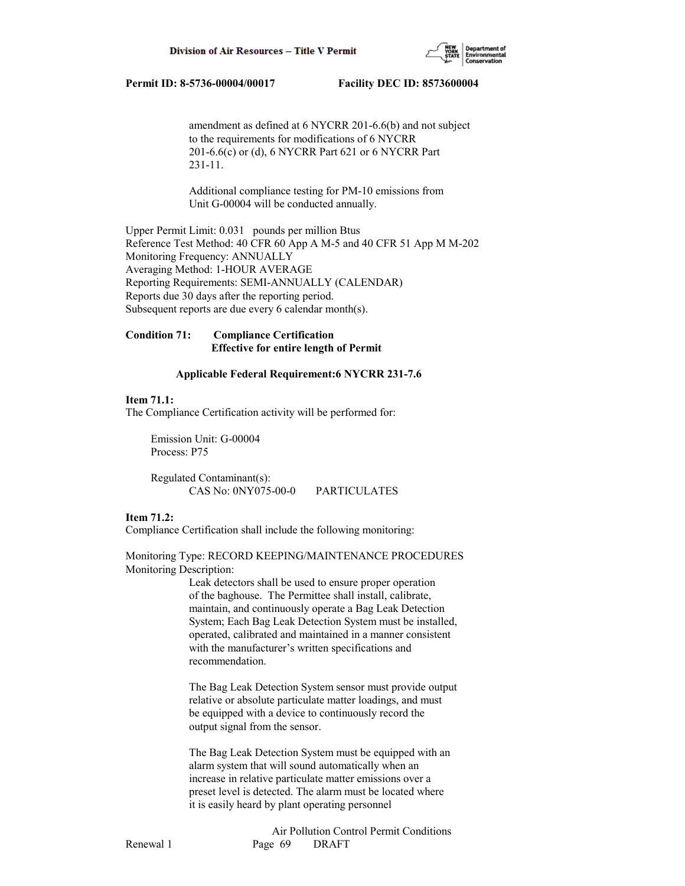

 amendment as defined at 6 NYCRR 201-6.6(b) and not subject to the requirements for modifications of 6 NYCRR 201-6.6(c) or (d), 6 NYCRR Part 621 or 6 NYCRR Part 231-11.

 Additional compliance testing for PM-10 emissions from Unit G-00004 will be conducted annually.

Upper Permit Limit: 0.031 pounds per million Btus Reference Test Method: 40 CFR 60 App A M-5 and 40 CFR 51 App M M-202 Monitoring Frequency: ANNUALLY Averaging Method: 1-HOUR AVERAGE Reporting Requirements: SEMI-ANNUALLY (CALENDAR) Reports due 30 days after the reporting period. Subsequent reports are due every 6 calendar month(s).

# **Condition 71: Compliance Certification Effective for entire length of Permit**

## **Applicable Federal Requirement:6 NYCRR 231-7.6**

# **Item 71.1:**

The Compliance Certification activity will be performed for:

 Emission Unit: G-00004 Process: P75

 Regulated Contaminant(s): CAS No: 0NY075-00-0 PARTICULATES

# **Item 71.2:**

Compliance Certification shall include the following monitoring:

Monitoring Type: RECORD KEEPING/MAINTENANCE PROCEDURES Monitoring Description:

> Leak detectors shall be used to ensure proper operation of the baghouse. The Permittee shall install, calibrate, maintain, and continuously operate a Bag Leak Detection System; Each Bag Leak Detection System must be installed, operated, calibrated and maintained in a manner consistent with the manufacturer's written specifications and recommendation.

> The Bag Leak Detection System sensor must provide output relative or absolute particulate matter loadings, and must be equipped with a device to continuously record the output signal from the sensor.

 The Bag Leak Detection System must be equipped with an alarm system that will sound automatically when an increase in relative particulate matter emissions over a preset level is detected. The alarm must be located where it is easily heard by plant operating personnel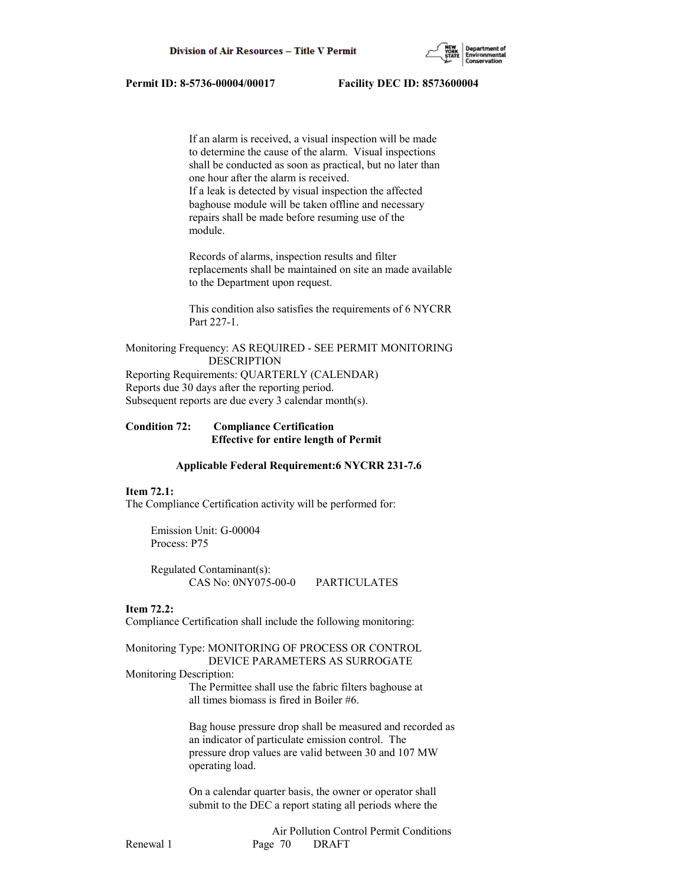

 If an alarm is received, a visual inspection will be made to determine the cause of the alarm. Visual inspections shall be conducted as soon as practical, but no later than one hour after the alarm is received. If a leak is detected by visual inspection the affected baghouse module will be taken offline and necessary repairs shall be made before resuming use of the module.

 Records of alarms, inspection results and filter replacements shall be maintained on site an made available to the Department upon request.

 This condition also satisfies the requirements of 6 NYCRR Part 227-1.

Monitoring Frequency: AS REQUIRED - SEE PERMIT MONITORING DESCRIPTION Reporting Requirements: QUARTERLY (CALENDAR) Reports due 30 days after the reporting period. Subsequent reports are due every 3 calendar month(s).

# **Condition 72: Compliance Certification Effective for entire length of Permit**

#### **Applicable Federal Requirement:6 NYCRR 231-7.6**

## **Item 72.1:**

The Compliance Certification activity will be performed for:

 Emission Unit: G-00004 Process: P75

 Regulated Contaminant(s): CAS No: 0NY075-00-0 PARTICULATES

#### **Item 72.2:**

Compliance Certification shall include the following monitoring:

### Monitoring Type: MONITORING OF PROCESS OR CONTROL DEVICE PARAMETERS AS SURROGATE

#### Monitoring Description:

 The Permittee shall use the fabric filters baghouse at all times biomass is fired in Boiler #6.

 Bag house pressure drop shall be measured and recorded as an indicator of particulate emission control. The pressure drop values are valid between 30 and 107 MW operating load.

 On a calendar quarter basis, the owner or operator shall submit to the DEC a report stating all periods where the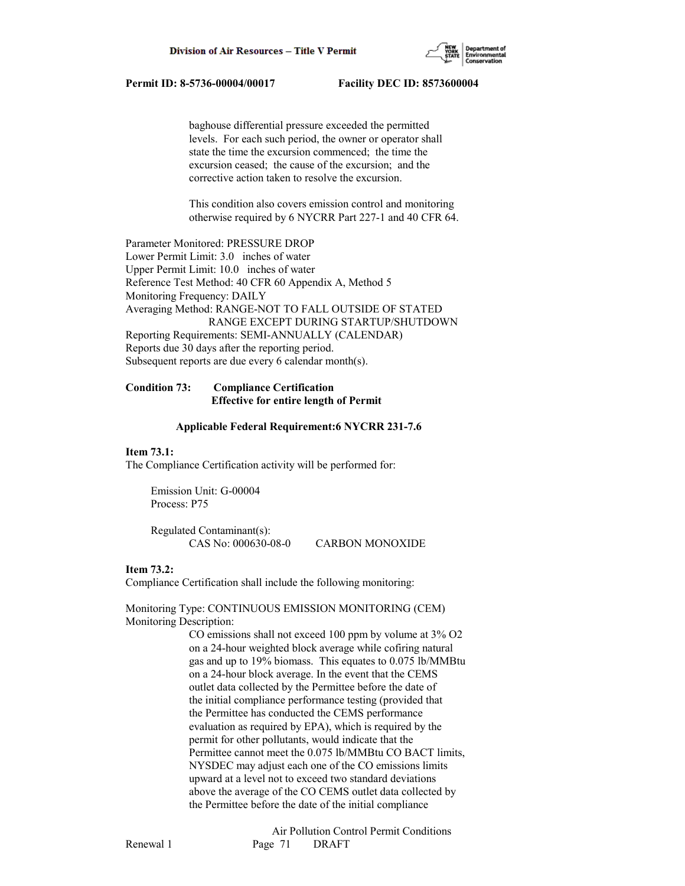

 baghouse differential pressure exceeded the permitted levels. For each such period, the owner or operator shall state the time the excursion commenced; the time the excursion ceased; the cause of the excursion; and the corrective action taken to resolve the excursion.

 This condition also covers emission control and monitoring otherwise required by 6 NYCRR Part 227-1 and 40 CFR 64.

Parameter Monitored: PRESSURE DROP Lower Permit Limit: 3.0 inches of water Upper Permit Limit: 10.0 inches of water Reference Test Method: 40 CFR 60 Appendix A, Method 5 Monitoring Frequency: DAILY Averaging Method: RANGE-NOT TO FALL OUTSIDE OF STATED RANGE EXCEPT DURING STARTUP/SHUTDOWN Reporting Requirements: SEMI-ANNUALLY (CALENDAR) Reports due 30 days after the reporting period. Subsequent reports are due every 6 calendar month(s).

# **Condition 73: Compliance Certification Effective for entire length of Permit**

#### **Applicable Federal Requirement:6 NYCRR 231-7.6**

#### **Item 73.1:**

The Compliance Certification activity will be performed for:

 Emission Unit: G-00004 Process: P75

 Regulated Contaminant(s): CAS No: 000630-08-0 CARBON MONOXIDE

#### **Item 73.2:**

Compliance Certification shall include the following monitoring:

# Monitoring Type: CONTINUOUS EMISSION MONITORING (CEM) Monitoring Description:

 CO emissions shall not exceed 100 ppm by volume at 3% O2 on a 24-hour weighted block average while cofiring natural gas and up to 19% biomass. This equates to 0.075 lb/MMBtu on a 24-hour block average. In the event that the CEMS outlet data collected by the Permittee before the date of the initial compliance performance testing (provided that the Permittee has conducted the CEMS performance evaluation as required by EPA), which is required by the permit for other pollutants, would indicate that the Permittee cannot meet the 0.075 lb/MMBtu CO BACT limits, NYSDEC may adjust each one of the CO emissions limits upward at a level not to exceed two standard deviations above the average of the CO CEMS outlet data collected by the Permittee before the date of the initial compliance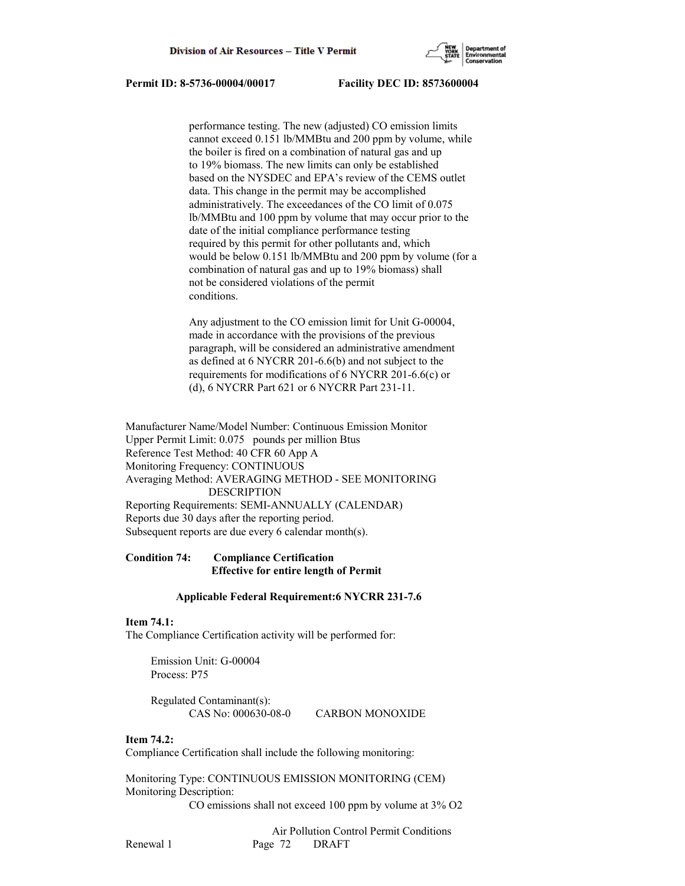

 performance testing. The new (adjusted) CO emission limits cannot exceed 0.151 lb/MMBtu and 200 ppm by volume, while the boiler is fired on a combination of natural gas and up to 19% biomass. The new limits can only be established based on the NYSDEC and EPA's review of the CEMS outlet data. This change in the permit may be accomplished administratively. The exceedances of the CO limit of 0.075 lb/MMBtu and 100 ppm by volume that may occur prior to the date of the initial compliance performance testing required by this permit for other pollutants and, which would be below 0.151 lb/MMBtu and 200 ppm by volume (for a combination of natural gas and up to 19% biomass) shall not be considered violations of the permit conditions.

 Any adjustment to the CO emission limit for Unit G-00004, made in accordance with the provisions of the previous paragraph, will be considered an administrative amendment as defined at 6 NYCRR 201-6.6(b) and not subject to the requirements for modifications of 6 NYCRR 201-6.6(c) or (d), 6 NYCRR Part 621 or 6 NYCRR Part 231-11.

Manufacturer Name/Model Number: Continuous Emission Monitor Upper Permit Limit: 0.075 pounds per million Btus Reference Test Method: 40 CFR 60 App A Monitoring Frequency: CONTINUOUS Averaging Method: AVERAGING METHOD - SEE MONITORING DESCRIPTION Reporting Requirements: SEMI-ANNUALLY (CALENDAR) Reports due 30 days after the reporting period. Subsequent reports are due every 6 calendar month(s).

# **Condition 74: Compliance Certification Effective for entire length of Permit**

# **Applicable Federal Requirement:6 NYCRR 231-7.6**

# **Item 74.1:**

The Compliance Certification activity will be performed for:

 Emission Unit: G-00004 Process: P75

 Regulated Contaminant(s): CAS No: 000630-08-0 CARBON MONOXIDE

# **Item 74.2:**

Compliance Certification shall include the following monitoring:

Monitoring Type: CONTINUOUS EMISSION MONITORING (CEM) Monitoring Description:

CO emissions shall not exceed 100 ppm by volume at 3% O2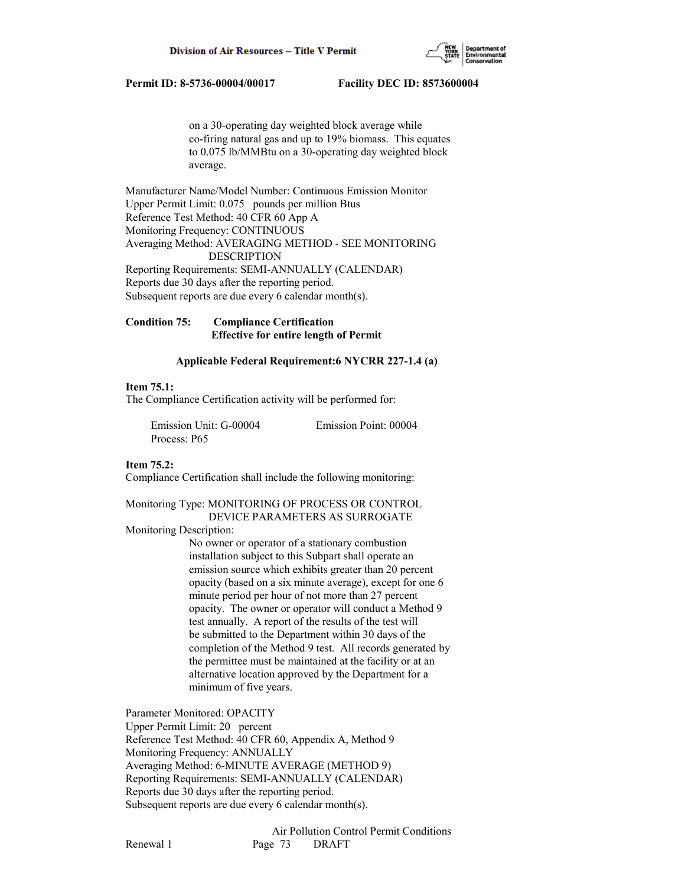

 on a 30-operating day weighted block average while co-firing natural gas and up to 19% biomass. This equates to 0.075 lb/MMBtu on a 30-operating day weighted block average.

Manufacturer Name/Model Number: Continuous Emission Monitor Upper Permit Limit: 0.075 pounds per million Btus Reference Test Method: 40 CFR 60 App A Monitoring Frequency: CONTINUOUS Averaging Method: AVERAGING METHOD - SEE MONITORING DESCRIPTION Reporting Requirements: SEMI-ANNUALLY (CALENDAR) Reports due 30 days after the reporting period. Subsequent reports are due every 6 calendar month(s).

**Condition 75: Compliance Certification Effective for entire length of Permit**

## **Applicable Federal Requirement:6 NYCRR 227-1.4 (a)**

## **Item 75.1:**

The Compliance Certification activity will be performed for:

 Emission Unit: G-00004 Emission Point: 00004 Process: P65

## **Item 75.2:**

Compliance Certification shall include the following monitoring:

Monitoring Type: MONITORING OF PROCESS OR CONTROL DEVICE PARAMETERS AS SURROGATE

Monitoring Description:

 No owner or operator of a stationary combustion installation subject to this Subpart shall operate an emission source which exhibits greater than 20 percent opacity (based on a six minute average), except for one 6 minute period per hour of not more than 27 percent opacity. The owner or operator will conduct a Method 9 test annually. A report of the results of the test will be submitted to the Department within 30 days of the completion of the Method 9 test. All records generated by the permittee must be maintained at the facility or at an alternative location approved by the Department for a minimum of five years.

Parameter Monitored: OPACITY

Upper Permit Limit: 20 percent Reference Test Method: 40 CFR 60, Appendix A, Method 9 Monitoring Frequency: ANNUALLY Averaging Method: 6-MINUTE AVERAGE (METHOD 9) Reporting Requirements: SEMI-ANNUALLY (CALENDAR) Reports due 30 days after the reporting period. Subsequent reports are due every 6 calendar month(s).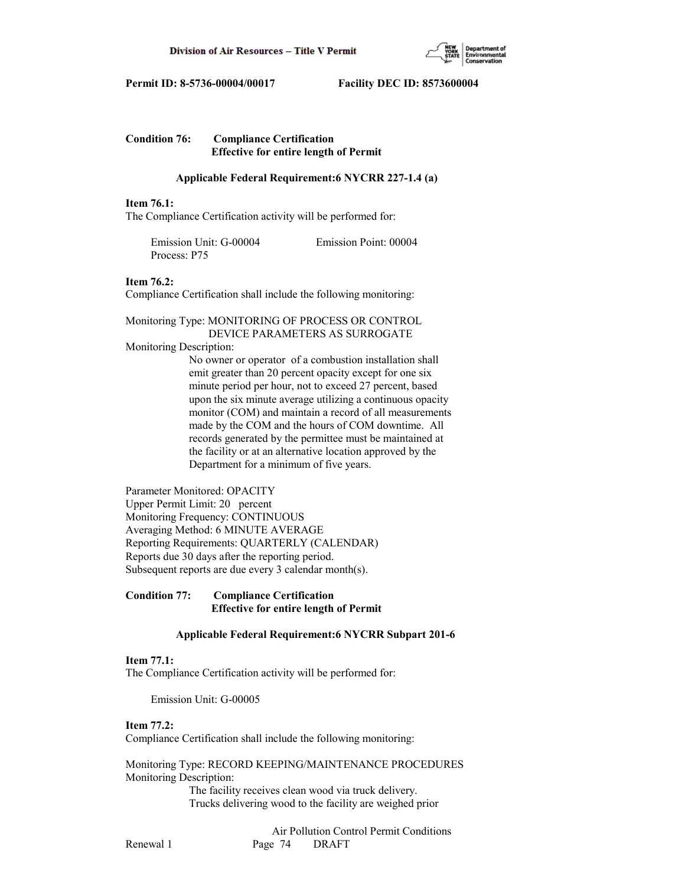

# **Condition 76: Compliance Certification Effective for entire length of Permit**

# **Applicable Federal Requirement:6 NYCRR 227-1.4 (a)**

## **Item 76.1:**

The Compliance Certification activity will be performed for:

| Emission Unit: G-00004 | Emission Point: 00004 |
|------------------------|-----------------------|
| Process: P75           |                       |

## **Item 76.2:**

Compliance Certification shall include the following monitoring:

Monitoring Type: MONITORING OF PROCESS OR CONTROL DEVICE PARAMETERS AS SURROGATE

## Monitoring Description:

 No owner or operator of a combustion installation shall emit greater than 20 percent opacity except for one six minute period per hour, not to exceed 27 percent, based upon the six minute average utilizing a continuous opacity monitor (COM) and maintain a record of all measurements made by the COM and the hours of COM downtime. All records generated by the permittee must be maintained at the facility or at an alternative location approved by the Department for a minimum of five years.

Parameter Monitored: OPACITY Upper Permit Limit: 20 percent Monitoring Frequency: CONTINUOUS Averaging Method: 6 MINUTE AVERAGE Reporting Requirements: QUARTERLY (CALENDAR) Reports due 30 days after the reporting period. Subsequent reports are due every 3 calendar month(s).

# **Condition 77: Compliance Certification Effective for entire length of Permit**

# **Applicable Federal Requirement:6 NYCRR Subpart 201-6**

# **Item 77.1:**

The Compliance Certification activity will be performed for:

Emission Unit: G-00005

#### **Item 77.2:**

Compliance Certification shall include the following monitoring:

Monitoring Type: RECORD KEEPING/MAINTENANCE PROCEDURES Monitoring Description:

> The facility receives clean wood via truck delivery. Trucks delivering wood to the facility are weighed prior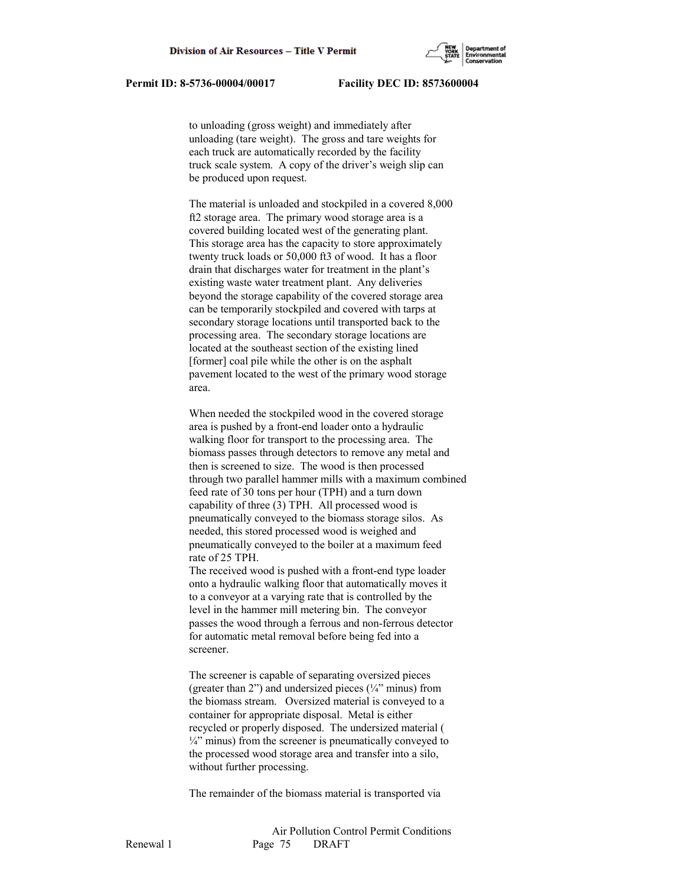

 to unloading (gross weight) and immediately after unloading (tare weight). The gross and tare weights for each truck are automatically recorded by the facility truck scale system. A copy of the driver's weigh slip can be produced upon request.

 The material is unloaded and stockpiled in a covered 8,000 ft2 storage area. The primary wood storage area is a covered building located west of the generating plant. This storage area has the capacity to store approximately twenty truck loads or 50,000 ft3 of wood. It has a floor drain that discharges water for treatment in the plant's existing waste water treatment plant. Any deliveries beyond the storage capability of the covered storage area can be temporarily stockpiled and covered with tarps at secondary storage locations until transported back to the processing area. The secondary storage locations are located at the southeast section of the existing lined [former] coal pile while the other is on the asphalt pavement located to the west of the primary wood storage area.

 When needed the stockpiled wood in the covered storage area is pushed by a front-end loader onto a hydraulic walking floor for transport to the processing area. The biomass passes through detectors to remove any metal and then is screened to size. The wood is then processed through two parallel hammer mills with a maximum combined feed rate of 30 tons per hour (TPH) and a turn down capability of three (3) TPH. All processed wood is pneumatically conveyed to the biomass storage silos. As needed, this stored processed wood is weighed and pneumatically conveyed to the boiler at a maximum feed rate of 25 TPH.

 The received wood is pushed with a front-end type loader onto a hydraulic walking floor that automatically moves it to a conveyor at a varying rate that is controlled by the level in the hammer mill metering bin. The conveyor passes the wood through a ferrous and non-ferrous detector for automatic metal removal before being fed into a screener.

 The screener is capable of separating oversized pieces (greater than 2") and undersized pieces  $(\frac{1}{4}$ " minus) from the biomass stream. Oversized material is conveyed to a container for appropriate disposal. Metal is either recycled or properly disposed. The undersized material (  $\frac{1}{4}$ " minus) from the screener is pneumatically conveyed to the processed wood storage area and transfer into a silo, without further processing.

The remainder of the biomass material is transported via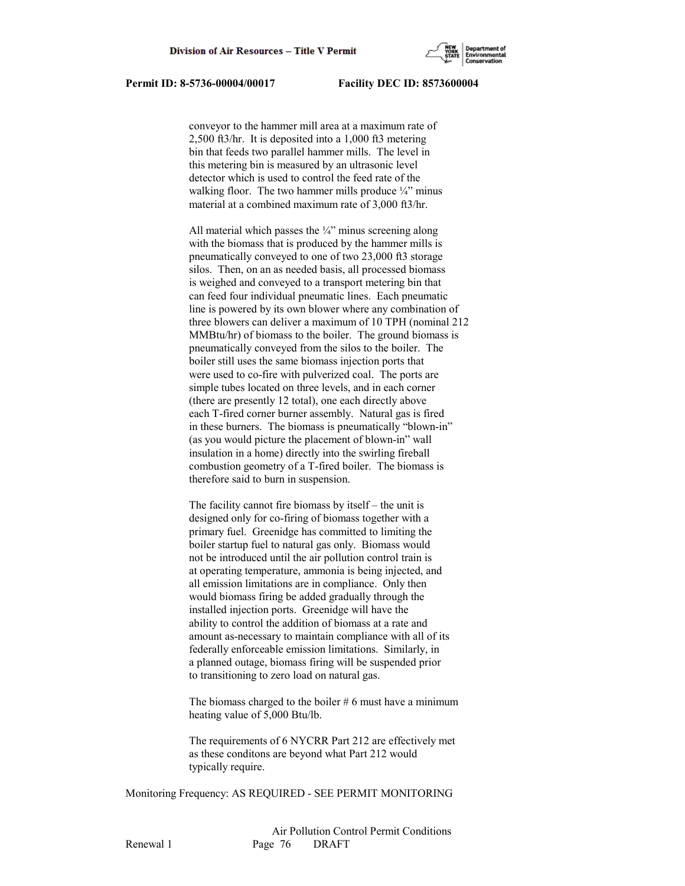

 conveyor to the hammer mill area at a maximum rate of 2,500 ft3/hr. It is deposited into a 1,000 ft3 metering bin that feeds two parallel hammer mills. The level in this metering bin is measured by an ultrasonic level detector which is used to control the feed rate of the walking floor. The two hammer mills produce  $\frac{1}{4}$ " minus material at a combined maximum rate of 3,000 ft3/hr.

All material which passes the  $\frac{1}{4}$ " minus screening along with the biomass that is produced by the hammer mills is pneumatically conveyed to one of two 23,000 ft3 storage silos. Then, on an as needed basis, all processed biomass is weighed and conveyed to a transport metering bin that can feed four individual pneumatic lines. Each pneumatic line is powered by its own blower where any combination of three blowers can deliver a maximum of 10 TPH (nominal 212 MMBtu/hr) of biomass to the boiler. The ground biomass is pneumatically conveyed from the silos to the boiler. The boiler still uses the same biomass injection ports that were used to co-fire with pulverized coal. The ports are simple tubes located on three levels, and in each corner (there are presently 12 total), one each directly above each T-fired corner burner assembly. Natural gas is fired in these burners. The biomass is pneumatically "blown-in" (as you would picture the placement of blown-in" wall insulation in a home) directly into the swirling fireball combustion geometry of a T-fired boiler. The biomass is therefore said to burn in suspension.

 The facility cannot fire biomass by itself – the unit is designed only for co-firing of biomass together with a primary fuel. Greenidge has committed to limiting the boiler startup fuel to natural gas only. Biomass would not be introduced until the air pollution control train is at operating temperature, ammonia is being injected, and all emission limitations are in compliance. Only then would biomass firing be added gradually through the installed injection ports. Greenidge will have the ability to control the addition of biomass at a rate and amount as-necessary to maintain compliance with all of its federally enforceable emission limitations. Similarly, in a planned outage, biomass firing will be suspended prior to transitioning to zero load on natural gas.

The biomass charged to the boiler  $# 6$  must have a minimum heating value of 5,000 Btu/lb.

 The requirements of 6 NYCRR Part 212 are effectively met as these conditons are beyond what Part 212 would typically require.

Monitoring Frequency: AS REQUIRED - SEE PERMIT MONITORING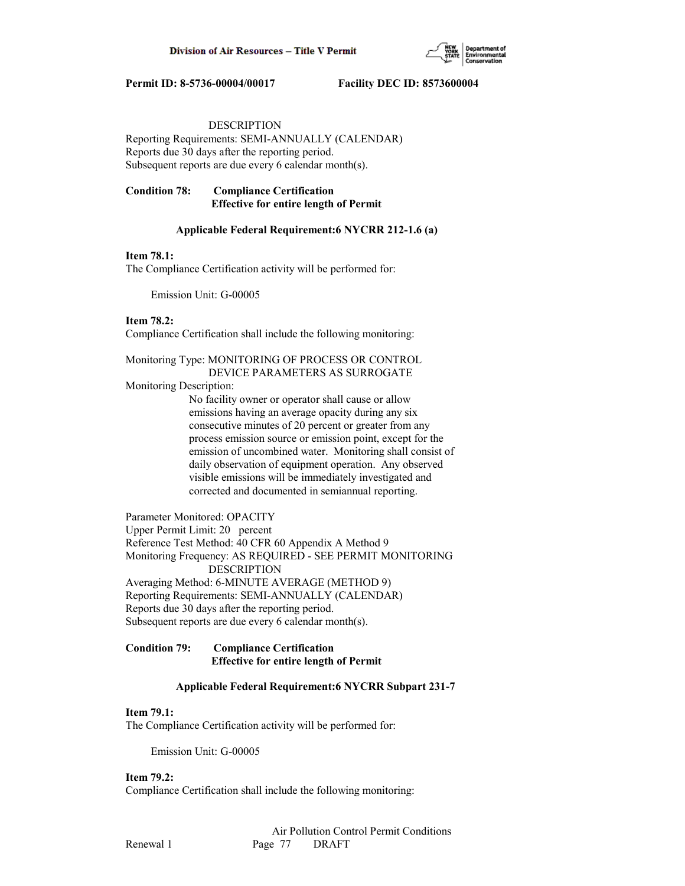

# DESCRIPTION

Reporting Requirements: SEMI-ANNUALLY (CALENDAR) Reports due 30 days after the reporting period. Subsequent reports are due every 6 calendar month(s).

# **Condition 78: Compliance Certification Effective for entire length of Permit**

# **Applicable Federal Requirement:6 NYCRR 212-1.6 (a)**

# **Item 78.1:**

The Compliance Certification activity will be performed for:

Emission Unit: G-00005

# **Item 78.2:**

Compliance Certification shall include the following monitoring:

# Monitoring Type: MONITORING OF PROCESS OR CONTROL DEVICE PARAMETERS AS SURROGATE

Monitoring Description:

 No facility owner or operator shall cause or allow emissions having an average opacity during any six consecutive minutes of 20 percent or greater from any process emission source or emission point, except for the emission of uncombined water. Monitoring shall consist of daily observation of equipment operation. Any observed visible emissions will be immediately investigated and corrected and documented in semiannual reporting.

Parameter Monitored: OPACITY Upper Permit Limit: 20 percent Reference Test Method: 40 CFR 60 Appendix A Method 9 Monitoring Frequency: AS REQUIRED - SEE PERMIT MONITORING DESCRIPTION Averaging Method: 6-MINUTE AVERAGE (METHOD 9) Reporting Requirements: SEMI-ANNUALLY (CALENDAR) Reports due 30 days after the reporting period.

Subsequent reports are due every 6 calendar month(s).

# **Condition 79: Compliance Certification Effective for entire length of Permit**

# **Applicable Federal Requirement:6 NYCRR Subpart 231-7**

# **Item 79.1:**

The Compliance Certification activity will be performed for:

Emission Unit: G-00005

# **Item 79.2:**

Compliance Certification shall include the following monitoring: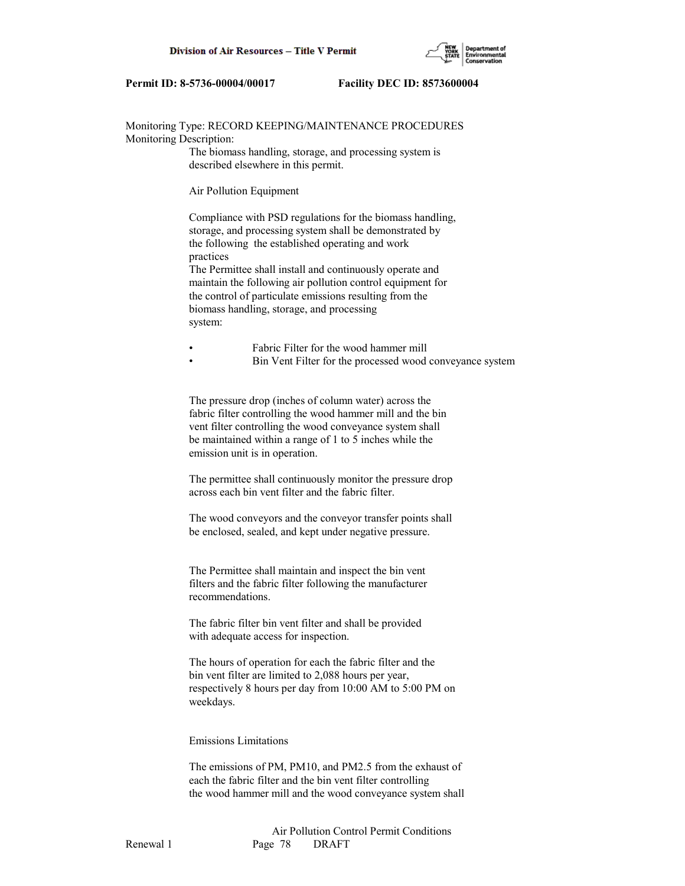

Monitoring Type: RECORD KEEPING/MAINTENANCE PROCEDURES Monitoring Description:

> The biomass handling, storage, and processing system is described elsewhere in this permit.

Air Pollution Equipment

 Compliance with PSD regulations for the biomass handling, storage, and processing system shall be demonstrated by the following the established operating and work practices

 The Permittee shall install and continuously operate and maintain the following air pollution control equipment for the control of particulate emissions resulting from the biomass handling, storage, and processing system:

• Fabric Filter for the wood hammer mill

• Bin Vent Filter for the processed wood conveyance system

 The pressure drop (inches of column water) across the fabric filter controlling the wood hammer mill and the bin vent filter controlling the wood conveyance system shall be maintained within a range of 1 to 5 inches while the emission unit is in operation.

 The permittee shall continuously monitor the pressure drop across each bin vent filter and the fabric filter.

 The wood conveyors and the conveyor transfer points shall be enclosed, sealed, and kept under negative pressure.

 The Permittee shall maintain and inspect the bin vent filters and the fabric filter following the manufacturer recommendations.

 The fabric filter bin vent filter and shall be provided with adequate access for inspection.

 The hours of operation for each the fabric filter and the bin vent filter are limited to 2,088 hours per year, respectively 8 hours per day from 10:00 AM to 5:00 PM on weekdays.

## Emissions Limitations

 The emissions of PM, PM10, and PM2.5 from the exhaust of each the fabric filter and the bin vent filter controlling the wood hammer mill and the wood conveyance system shall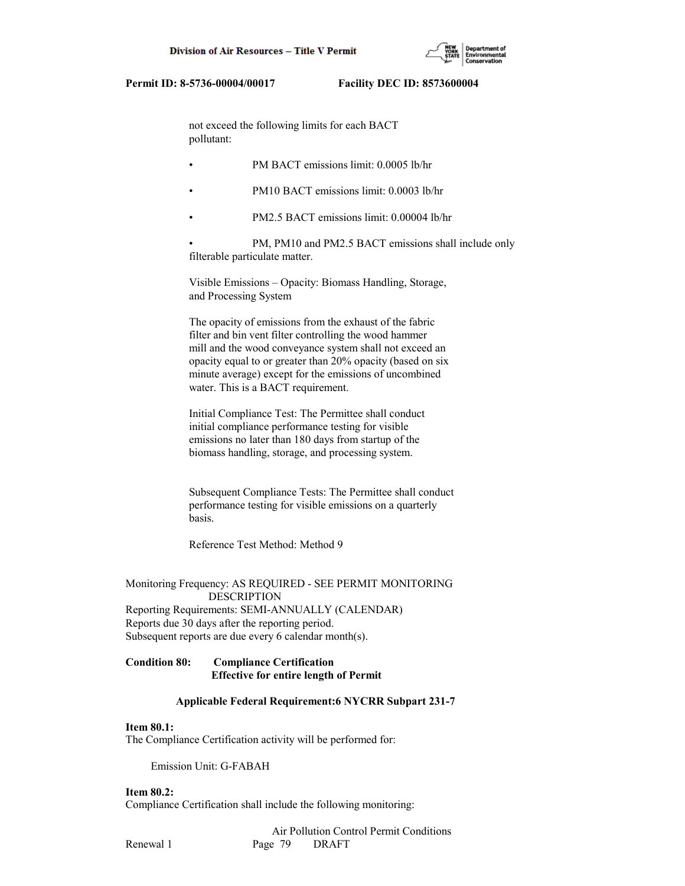

 not exceed the following limits for each BACT pollutant:

- PM BACT emissions limit: 0.0005 lb/hr
- PM10 BACT emissions limit: 0.0003 lb/hr
- PM2.5 BACT emissions limit: 0.00004 lb/hr

PM, PM10 and PM2.5 BACT emissions shall include only filterable particulate matter.

 Visible Emissions – Opacity: Biomass Handling, Storage, and Processing System

 The opacity of emissions from the exhaust of the fabric filter and bin vent filter controlling the wood hammer mill and the wood conveyance system shall not exceed an opacity equal to or greater than 20% opacity (based on six minute average) except for the emissions of uncombined water. This is a BACT requirement.

 Initial Compliance Test: The Permittee shall conduct initial compliance performance testing for visible emissions no later than 180 days from startup of the biomass handling, storage, and processing system.

 Subsequent Compliance Tests: The Permittee shall conduct performance testing for visible emissions on a quarterly basis.

Reference Test Method: Method 9

Monitoring Frequency: AS REQUIRED - SEE PERMIT MONITORING DESCRIPTION Reporting Requirements: SEMI-ANNUALLY (CALENDAR) Reports due 30 days after the reporting period. Subsequent reports are due every 6 calendar month(s).

## **Condition 80: Compliance Certification Effective for entire length of Permit**

#### **Applicable Federal Requirement:6 NYCRR Subpart 231-7**

## **Item 80.1:**

The Compliance Certification activity will be performed for:

Emission Unit: G-FABAH

# **Item 80.2:**

Compliance Certification shall include the following monitoring: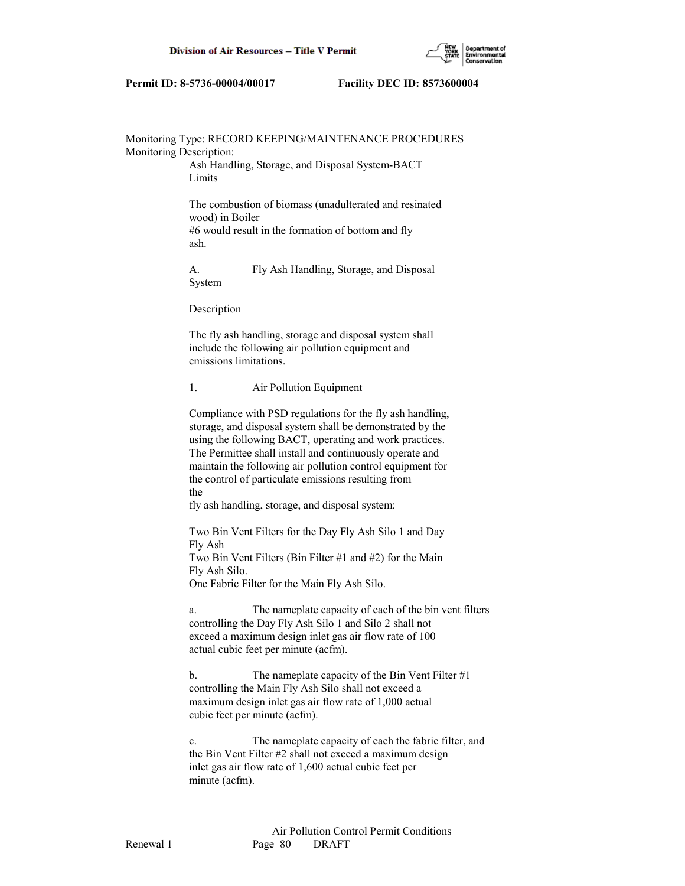

## Monitoring Type: RECORD KEEPING/MAINTENANCE PROCEDURES Monitoring Description:

 Ash Handling, Storage, and Disposal System-BACT Limits

 The combustion of biomass (unadulterated and resinated wood) in Boiler #6 would result in the formation of bottom and fly ash.

 A. Fly Ash Handling, Storage, and Disposal System

Description

 The fly ash handling, storage and disposal system shall include the following air pollution equipment and emissions limitations.

## 1. Air Pollution Equipment

 Compliance with PSD regulations for the fly ash handling, storage, and disposal system shall be demonstrated by the using the following BACT, operating and work practices. The Permittee shall install and continuously operate and maintain the following air pollution control equipment for the control of particulate emissions resulting from the

fly ash handling, storage, and disposal system:

 Two Bin Vent Filters for the Day Fly Ash Silo 1 and Day Fly Ash Two Bin Vent Filters (Bin Filter #1 and #2) for the Main

Fly Ash Silo.

One Fabric Filter for the Main Fly Ash Silo.

 a. The nameplate capacity of each of the bin vent filters controlling the Day Fly Ash Silo 1 and Silo 2 shall not exceed a maximum design inlet gas air flow rate of 100 actual cubic feet per minute (acfm).

b. The nameplate capacity of the Bin Vent Filter #1 controlling the Main Fly Ash Silo shall not exceed a maximum design inlet gas air flow rate of 1,000 actual cubic feet per minute (acfm).

 c. The nameplate capacity of each the fabric filter, and the Bin Vent Filter #2 shall not exceed a maximum design inlet gas air flow rate of 1,600 actual cubic feet per minute (acfm).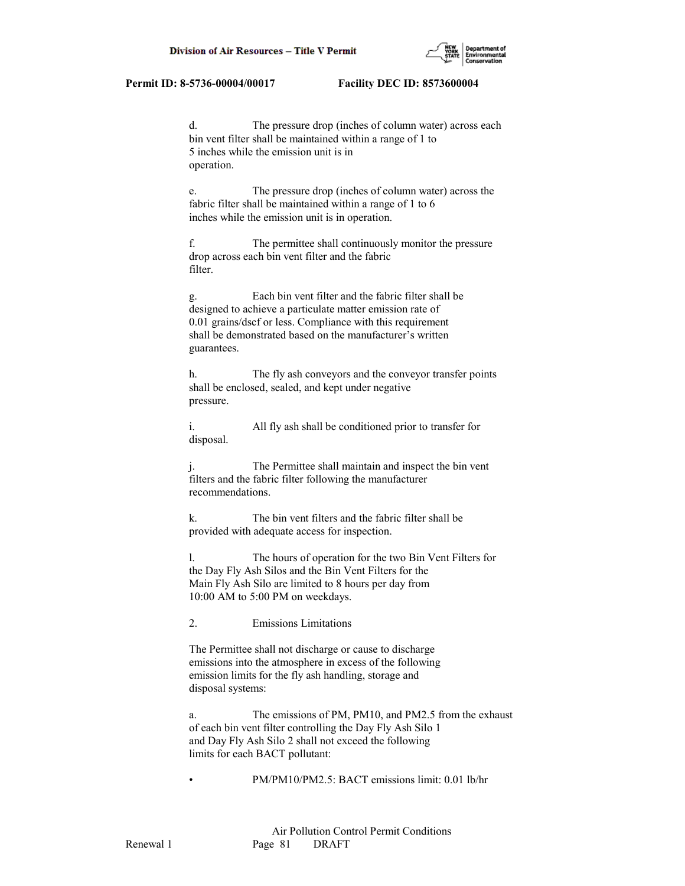

 d. The pressure drop (inches of column water) across each bin vent filter shall be maintained within a range of 1 to 5 inches while the emission unit is in operation.

 e. The pressure drop (inches of column water) across the fabric filter shall be maintained within a range of 1 to 6 inches while the emission unit is in operation.

 f. The permittee shall continuously monitor the pressure drop across each bin vent filter and the fabric filter.

 g. Each bin vent filter and the fabric filter shall be designed to achieve a particulate matter emission rate of 0.01 grains/dscf or less. Compliance with this requirement shall be demonstrated based on the manufacturer's written guarantees.

 h. The fly ash conveyors and the conveyor transfer points shall be enclosed, sealed, and kept under negative pressure.

 i. All fly ash shall be conditioned prior to transfer for disposal.

 j. The Permittee shall maintain and inspect the bin vent filters and the fabric filter following the manufacturer recommendations.

 k. The bin vent filters and the fabric filter shall be provided with adequate access for inspection.

 l. The hours of operation for the two Bin Vent Filters for the Day Fly Ash Silos and the Bin Vent Filters for the Main Fly Ash Silo are limited to 8 hours per day from 10:00 AM to 5:00 PM on weekdays.

2. Emissions Limitations

 The Permittee shall not discharge or cause to discharge emissions into the atmosphere in excess of the following emission limits for the fly ash handling, storage and disposal systems:

 a. The emissions of PM, PM10, and PM2.5 from the exhaust of each bin vent filter controlling the Day Fly Ash Silo 1 and Day Fly Ash Silo 2 shall not exceed the following limits for each BACT pollutant:

• PM/PM10/PM2.5: BACT emissions limit: 0.01 lb/hr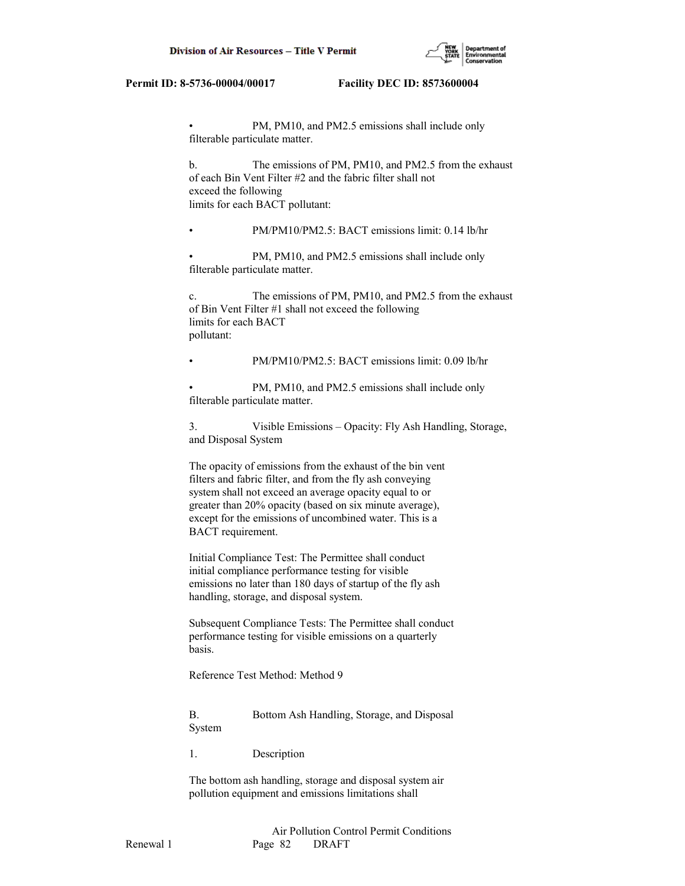

PM, PM10, and PM2.5 emissions shall include only filterable particulate matter.

 b. The emissions of PM, PM10, and PM2.5 from the exhaust of each Bin Vent Filter #2 and the fabric filter shall not exceed the following limits for each BACT pollutant:

• PM/PM10/PM2.5: BACT emissions limit: 0.14 lb/hr

PM, PM10, and PM2.5 emissions shall include only filterable particulate matter.

 c. The emissions of PM, PM10, and PM2.5 from the exhaust of Bin Vent Filter #1 shall not exceed the following limits for each BACT pollutant:

• PM/PM10/PM2.5: BACT emissions limit: 0.09 lb/hr

PM, PM10, and PM2.5 emissions shall include only filterable particulate matter.

 3. Visible Emissions – Opacity: Fly Ash Handling, Storage, and Disposal System

 The opacity of emissions from the exhaust of the bin vent filters and fabric filter, and from the fly ash conveying system shall not exceed an average opacity equal to or greater than 20% opacity (based on six minute average), except for the emissions of uncombined water. This is a BACT requirement.

 Initial Compliance Test: The Permittee shall conduct initial compliance performance testing for visible emissions no later than 180 days of startup of the fly ash handling, storage, and disposal system.

 Subsequent Compliance Tests: The Permittee shall conduct performance testing for visible emissions on a quarterly basis.

Reference Test Method: Method 9

 B. Bottom Ash Handling, Storage, and Disposal System

1. Description

 The bottom ash handling, storage and disposal system air pollution equipment and emissions limitations shall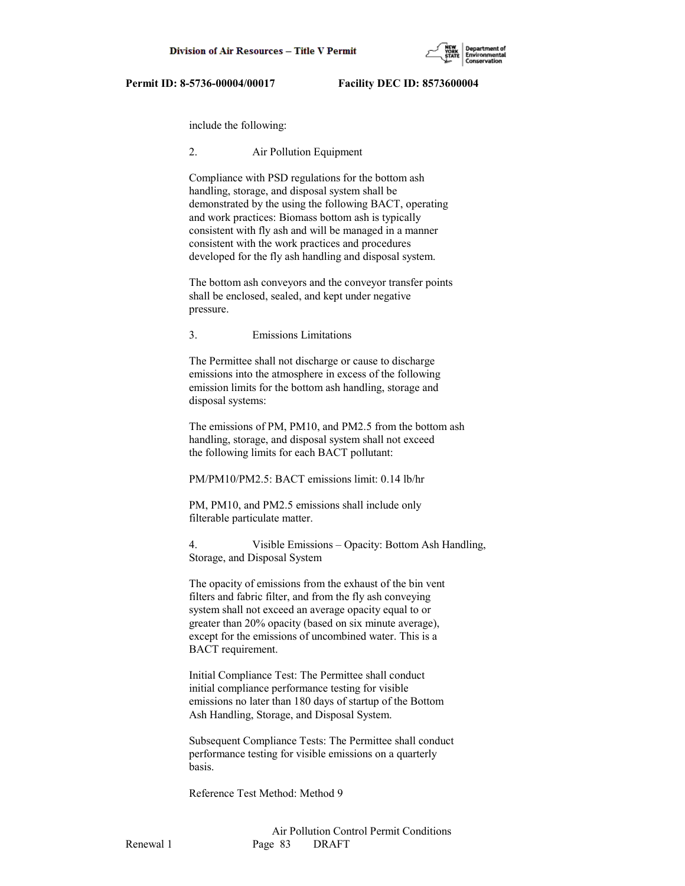

include the following:

## 2. Air Pollution Equipment

 Compliance with PSD regulations for the bottom ash handling, storage, and disposal system shall be demonstrated by the using the following BACT, operating and work practices: Biomass bottom ash is typically consistent with fly ash and will be managed in a manner consistent with the work practices and procedures developed for the fly ash handling and disposal system.

 The bottom ash conveyors and the conveyor transfer points shall be enclosed, sealed, and kept under negative pressure.

3. Emissions Limitations

 The Permittee shall not discharge or cause to discharge emissions into the atmosphere in excess of the following emission limits for the bottom ash handling, storage and disposal systems:

 The emissions of PM, PM10, and PM2.5 from the bottom ash handling, storage, and disposal system shall not exceed the following limits for each BACT pollutant:

PM/PM10/PM2.5: BACT emissions limit: 0.14 lb/hr

 PM, PM10, and PM2.5 emissions shall include only filterable particulate matter.

 4. Visible Emissions – Opacity: Bottom Ash Handling, Storage, and Disposal System

 The opacity of emissions from the exhaust of the bin vent filters and fabric filter, and from the fly ash conveying system shall not exceed an average opacity equal to or greater than 20% opacity (based on six minute average), except for the emissions of uncombined water. This is a BACT requirement.

 Initial Compliance Test: The Permittee shall conduct initial compliance performance testing for visible emissions no later than 180 days of startup of the Bottom Ash Handling, Storage, and Disposal System.

 Subsequent Compliance Tests: The Permittee shall conduct performance testing for visible emissions on a quarterly basis.

Reference Test Method: Method 9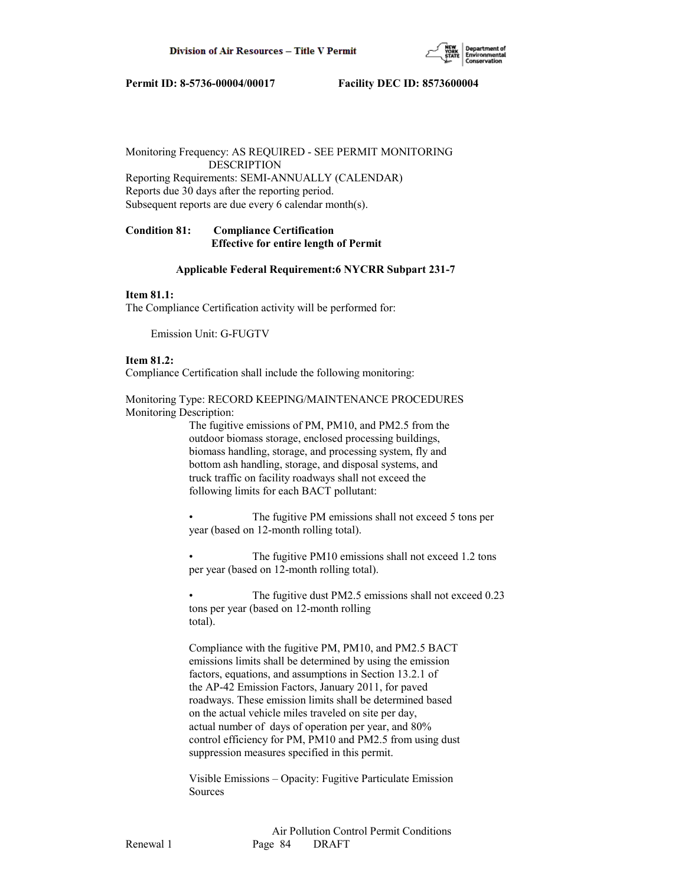

Monitoring Frequency: AS REQUIRED - SEE PERMIT MONITORING DESCRIPTION Reporting Requirements: SEMI-ANNUALLY (CALENDAR)

Reports due 30 days after the reporting period. Subsequent reports are due every 6 calendar month(s).

# **Condition 81: Compliance Certification Effective for entire length of Permit**

## **Applicable Federal Requirement:6 NYCRR Subpart 231-7**

# **Item 81.1:**

The Compliance Certification activity will be performed for:

Emission Unit: G-FUGTV

## **Item 81.2:**

Compliance Certification shall include the following monitoring:

Monitoring Type: RECORD KEEPING/MAINTENANCE PROCEDURES Monitoring Description:

> The fugitive emissions of PM, PM10, and PM2.5 from the outdoor biomass storage, enclosed processing buildings, biomass handling, storage, and processing system, fly and bottom ash handling, storage, and disposal systems, and truck traffic on facility roadways shall not exceed the following limits for each BACT pollutant:

The fugitive PM emissions shall not exceed 5 tons per year (based on 12-month rolling total).

The fugitive PM10 emissions shall not exceed 1.2 tons per year (based on 12-month rolling total).

The fugitive dust PM2.5 emissions shall not exceed 0.23 tons per year (based on 12-month rolling total).

 Compliance with the fugitive PM, PM10, and PM2.5 BACT emissions limits shall be determined by using the emission factors, equations, and assumptions in Section 13.2.1 of the AP-42 Emission Factors, January 2011, for paved roadways. These emission limits shall be determined based on the actual vehicle miles traveled on site per day, actual number of days of operation per year, and 80% control efficiency for PM, PM10 and PM2.5 from using dust suppression measures specified in this permit.

 Visible Emissions – Opacity: Fugitive Particulate Emission Sources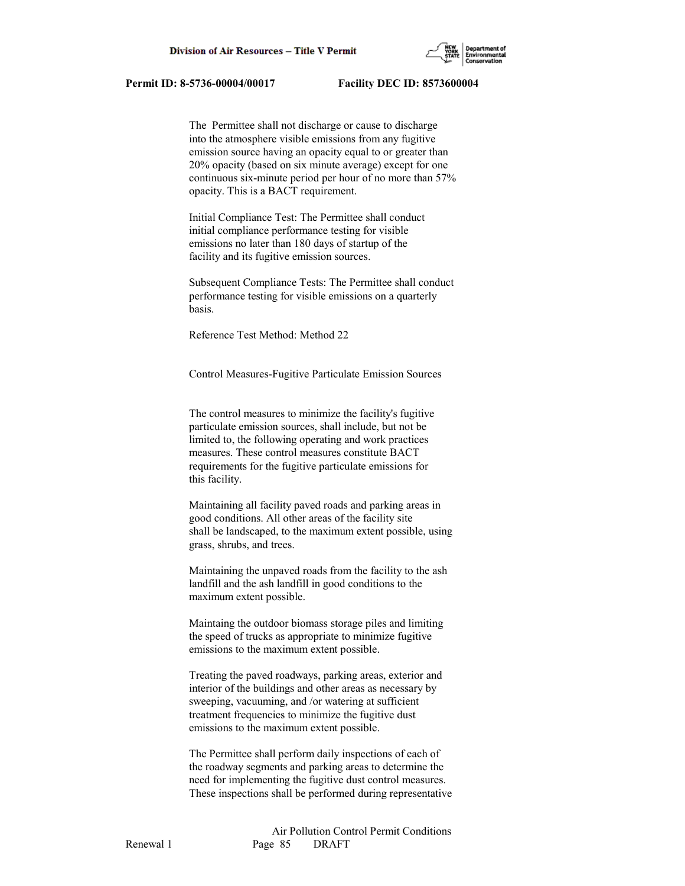

 The Permittee shall not discharge or cause to discharge into the atmosphere visible emissions from any fugitive emission source having an opacity equal to or greater than 20% opacity (based on six minute average) except for one continuous six-minute period per hour of no more than 57% opacity. This is a BACT requirement.

 Initial Compliance Test: The Permittee shall conduct initial compliance performance testing for visible emissions no later than 180 days of startup of the facility and its fugitive emission sources.

 Subsequent Compliance Tests: The Permittee shall conduct performance testing for visible emissions on a quarterly basis.

Reference Test Method: Method 22

Control Measures-Fugitive Particulate Emission Sources

 The control measures to minimize the facility's fugitive particulate emission sources, shall include, but not be limited to, the following operating and work practices measures. These control measures constitute BACT requirements for the fugitive particulate emissions for this facility.

 Maintaining all facility paved roads and parking areas in good conditions. All other areas of the facility site shall be landscaped, to the maximum extent possible, using grass, shrubs, and trees.

 Maintaining the unpaved roads from the facility to the ash landfill and the ash landfill in good conditions to the maximum extent possible.

 Maintaing the outdoor biomass storage piles and limiting the speed of trucks as appropriate to minimize fugitive emissions to the maximum extent possible.

 Treating the paved roadways, parking areas, exterior and interior of the buildings and other areas as necessary by sweeping, vacuuming, and /or watering at sufficient treatment frequencies to minimize the fugitive dust emissions to the maximum extent possible.

 The Permittee shall perform daily inspections of each of the roadway segments and parking areas to determine the need for implementing the fugitive dust control measures. These inspections shall be performed during representative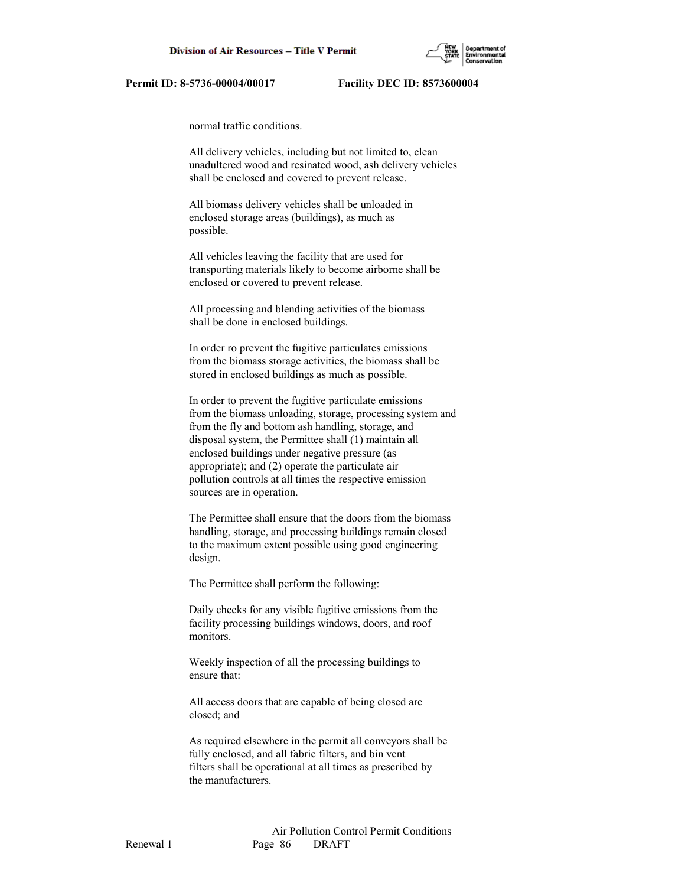

normal traffic conditions.

 All delivery vehicles, including but not limited to, clean unadultered wood and resinated wood, ash delivery vehicles shall be enclosed and covered to prevent release.

 All biomass delivery vehicles shall be unloaded in enclosed storage areas (buildings), as much as possible.

 All vehicles leaving the facility that are used for transporting materials likely to become airborne shall be enclosed or covered to prevent release.

 All processing and blending activities of the biomass shall be done in enclosed buildings.

 In order ro prevent the fugitive particulates emissions from the biomass storage activities, the biomass shall be stored in enclosed buildings as much as possible.

 In order to prevent the fugitive particulate emissions from the biomass unloading, storage, processing system and from the fly and bottom ash handling, storage, and disposal system, the Permittee shall (1) maintain all enclosed buildings under negative pressure (as appropriate); and (2) operate the particulate air pollution controls at all times the respective emission sources are in operation.

 The Permittee shall ensure that the doors from the biomass handling, storage, and processing buildings remain closed to the maximum extent possible using good engineering design.

The Permittee shall perform the following:

 Daily checks for any visible fugitive emissions from the facility processing buildings windows, doors, and roof monitors.

 Weekly inspection of all the processing buildings to ensure that:

 All access doors that are capable of being closed are closed; and

 As required elsewhere in the permit all conveyors shall be fully enclosed, and all fabric filters, and bin vent filters shall be operational at all times as prescribed by the manufacturers.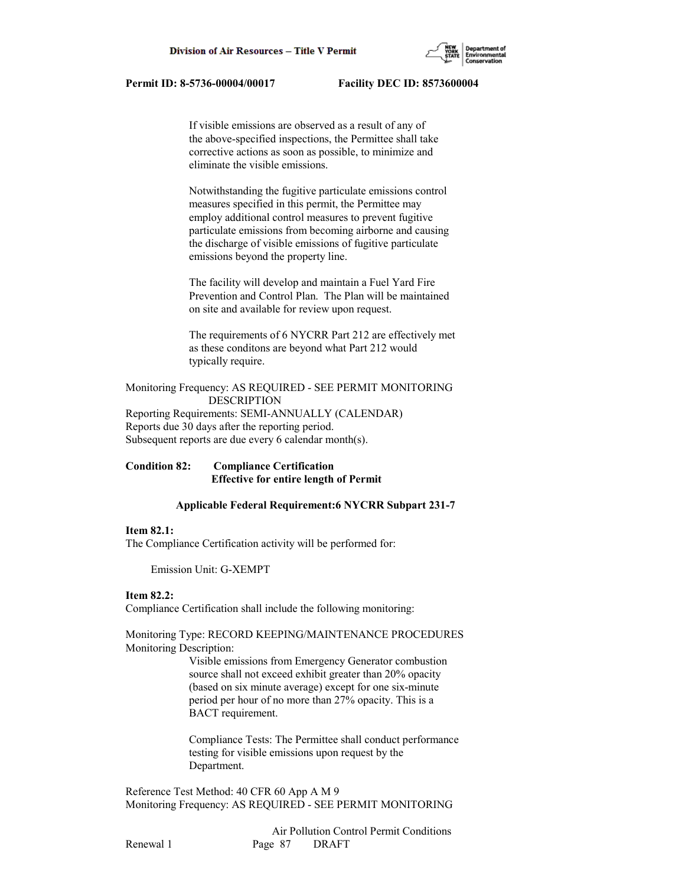If visible emissions are observed as a result of any of the above-specified inspections, the Permittee shall take corrective actions as soon as possible, to minimize and eliminate the visible emissions.

 Notwithstanding the fugitive particulate emissions control measures specified in this permit, the Permittee may employ additional control measures to prevent fugitive particulate emissions from becoming airborne and causing the discharge of visible emissions of fugitive particulate emissions beyond the property line.

 The facility will develop and maintain a Fuel Yard Fire Prevention and Control Plan. The Plan will be maintained on site and available for review upon request.

 The requirements of 6 NYCRR Part 212 are effectively met as these conditons are beyond what Part 212 would typically require.

Monitoring Frequency: AS REQUIRED - SEE PERMIT MONITORING DESCRIPTION Reporting Requirements: SEMI-ANNUALLY (CALENDAR) Reports due 30 days after the reporting period. Subsequent reports are due every 6 calendar month(s).

**Condition 82: Compliance Certification Effective for entire length of Permit**

# **Applicable Federal Requirement:6 NYCRR Subpart 231-7**

# **Item 82.1:**

The Compliance Certification activity will be performed for:

Emission Unit: G-XEMPT

### **Item 82.2:**

Compliance Certification shall include the following monitoring:

Monitoring Type: RECORD KEEPING/MAINTENANCE PROCEDURES Monitoring Description:

> Visible emissions from Emergency Generator combustion source shall not exceed exhibit greater than 20% opacity (based on six minute average) except for one six-minute period per hour of no more than 27% opacity. This is a BACT requirement.

 Compliance Tests: The Permittee shall conduct performance testing for visible emissions upon request by the Department.

Reference Test Method: 40 CFR 60 App A M 9 Monitoring Frequency: AS REQUIRED - SEE PERMIT MONITORING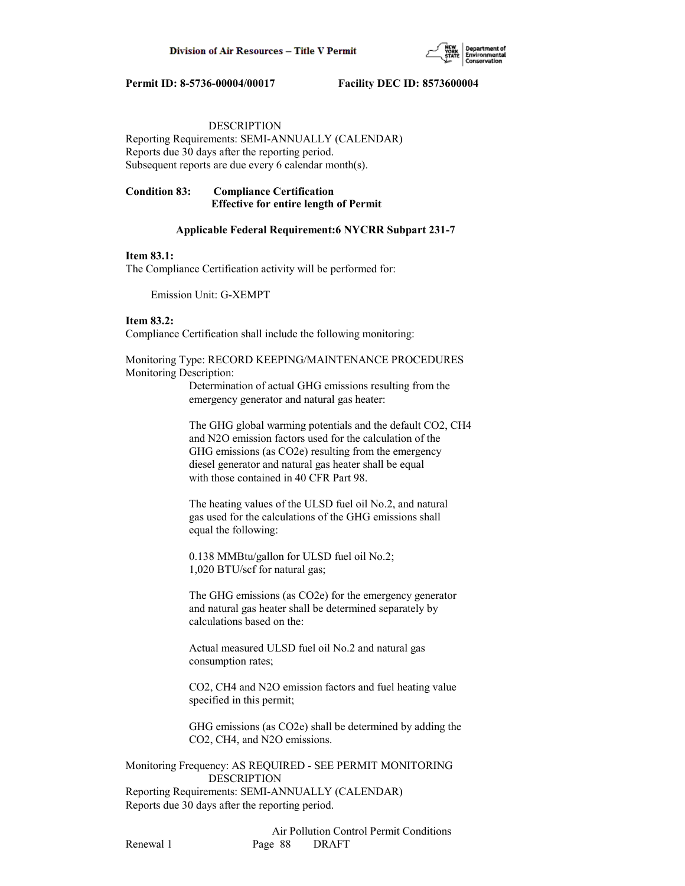

# DESCRIPTION

Reporting Requirements: SEMI-ANNUALLY (CALENDAR) Reports due 30 days after the reporting period. Subsequent reports are due every 6 calendar month(s).

# **Condition 83: Compliance Certification Effective for entire length of Permit**

## **Applicable Federal Requirement:6 NYCRR Subpart 231-7**

## **Item 83.1:**

The Compliance Certification activity will be performed for:

Emission Unit: G-XEMPT

# **Item 83.2:**

Compliance Certification shall include the following monitoring:

Monitoring Type: RECORD KEEPING/MAINTENANCE PROCEDURES Monitoring Description:

> Determination of actual GHG emissions resulting from the emergency generator and natural gas heater:

 The GHG global warming potentials and the default CO2, CH4 and N2O emission factors used for the calculation of the GHG emissions (as CO2e) resulting from the emergency diesel generator and natural gas heater shall be equal with those contained in 40 CFR Part 98.

 The heating values of the ULSD fuel oil No.2, and natural gas used for the calculations of the GHG emissions shall equal the following:

 0.138 MMBtu/gallon for ULSD fuel oil No.2; 1,020 BTU/scf for natural gas;

 The GHG emissions (as CO2e) for the emergency generator and natural gas heater shall be determined separately by calculations based on the:

 Actual measured ULSD fuel oil No.2 and natural gas consumption rates;

 CO2, CH4 and N2O emission factors and fuel heating value specified in this permit;

 GHG emissions (as CO2e) shall be determined by adding the CO2, CH4, and N2O emissions.

Monitoring Frequency: AS REQUIRED - SEE PERMIT MONITORING DESCRIPTION Reporting Requirements: SEMI-ANNUALLY (CALENDAR) Reports due 30 days after the reporting period.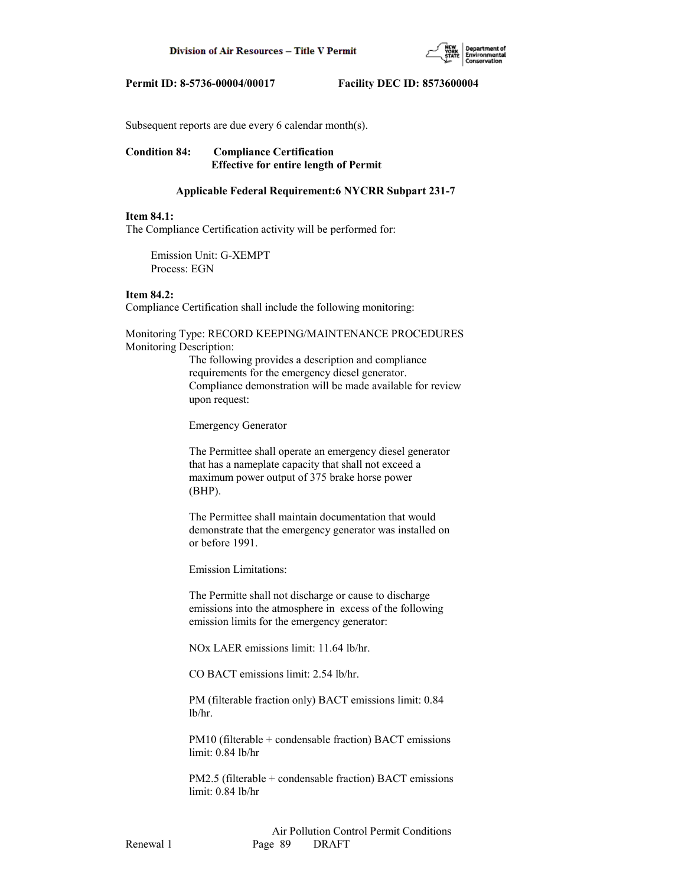

Subsequent reports are due every 6 calendar month(s).

# **Condition 84: Compliance Certification Effective for entire length of Permit**

## **Applicable Federal Requirement:6 NYCRR Subpart 231-7**

## **Item 84.1:**

The Compliance Certification activity will be performed for:

 Emission Unit: G-XEMPT Process: EGN

# **Item 84.2:**

Compliance Certification shall include the following monitoring:

Monitoring Type: RECORD KEEPING/MAINTENANCE PROCEDURES Monitoring Description:

> The following provides a description and compliance requirements for the emergency diesel generator. Compliance demonstration will be made available for review upon request:

Emergency Generator

 The Permittee shall operate an emergency diesel generator that has a nameplate capacity that shall not exceed a maximum power output of 375 brake horse power (BHP).

 The Permittee shall maintain documentation that would demonstrate that the emergency generator was installed on or before 1991.

Emission Limitations:

 The Permitte shall not discharge or cause to discharge emissions into the atmosphere in excess of the following emission limits for the emergency generator:

NOx LAER emissions limit: 11.64 lb/hr.

CO BACT emissions limit: 2.54 lb/hr.

 PM (filterable fraction only) BACT emissions limit: 0.84 lb/hr.

 PM10 (filterable + condensable fraction) BACT emissions limit: 0.84 lb/hr

 PM2.5 (filterable + condensable fraction) BACT emissions limit: 0.84 lb/hr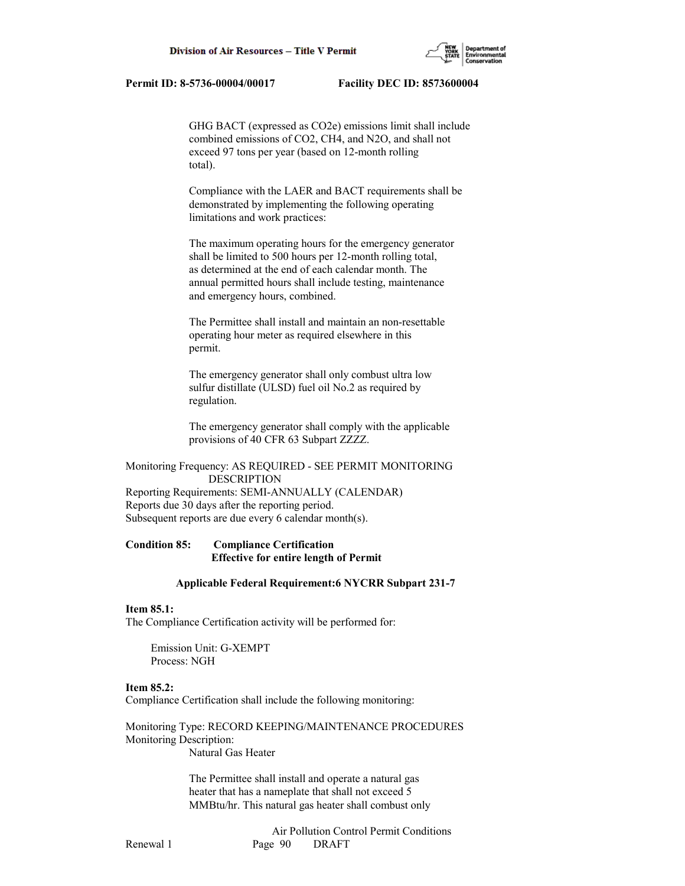GHG BACT (expressed as CO2e) emissions limit shall include combined emissions of CO2, CH4, and N2O, and shall not exceed 97 tons per year (based on 12-month rolling total).

 Compliance with the LAER and BACT requirements shall be demonstrated by implementing the following operating limitations and work practices:

 The maximum operating hours for the emergency generator shall be limited to 500 hours per 12-month rolling total, as determined at the end of each calendar month. The annual permitted hours shall include testing, maintenance and emergency hours, combined.

 The Permittee shall install and maintain an non-resettable operating hour meter as required elsewhere in this permit.

 The emergency generator shall only combust ultra low sulfur distillate (ULSD) fuel oil No.2 as required by regulation.

 The emergency generator shall comply with the applicable provisions of 40 CFR 63 Subpart ZZZZ.

Monitoring Frequency: AS REQUIRED - SEE PERMIT MONITORING DESCRIPTION Reporting Requirements: SEMI-ANNUALLY (CALENDAR) Reports due 30 days after the reporting period. Subsequent reports are due every 6 calendar month(s).

# **Condition 85: Compliance Certification Effective for entire length of Permit**

### **Applicable Federal Requirement:6 NYCRR Subpart 231-7**

### **Item 85.1:**

The Compliance Certification activity will be performed for:

 Emission Unit: G-XEMPT Process: NGH

## **Item 85.2:**

Compliance Certification shall include the following monitoring:

Monitoring Type: RECORD KEEPING/MAINTENANCE PROCEDURES Monitoring Description: Natural Gas Heater

> The Permittee shall install and operate a natural gas heater that has a nameplate that shall not exceed 5 MMBtu/hr. This natural gas heater shall combust only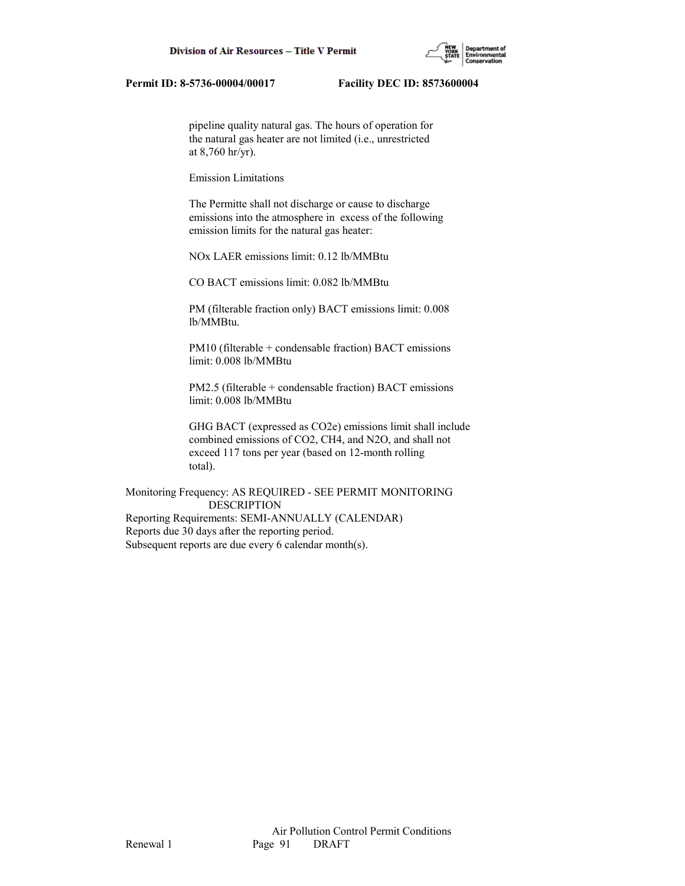

 pipeline quality natural gas. The hours of operation for the natural gas heater are not limited (i.e., unrestricted at 8,760 hr/yr).

Emission Limitations

 The Permitte shall not discharge or cause to discharge emissions into the atmosphere in excess of the following emission limits for the natural gas heater:

NOx LAER emissions limit: 0.12 lb/MMBtu

CO BACT emissions limit: 0.082 lb/MMBtu

 PM (filterable fraction only) BACT emissions limit: 0.008 lb/MMBtu.

 PM10 (filterable + condensable fraction) BACT emissions limit: 0.008 lb/MMBtu

 PM2.5 (filterable + condensable fraction) BACT emissions limit: 0.008 lb/MMBtu

 GHG BACT (expressed as CO2e) emissions limit shall include combined emissions of CO2, CH4, and N2O, and shall not exceed 117 tons per year (based on 12-month rolling total).

Monitoring Frequency: AS REQUIRED - SEE PERMIT MONITORING DESCRIPTION Reporting Requirements: SEMI-ANNUALLY (CALENDAR) Reports due 30 days after the reporting period. Subsequent reports are due every 6 calendar month(s).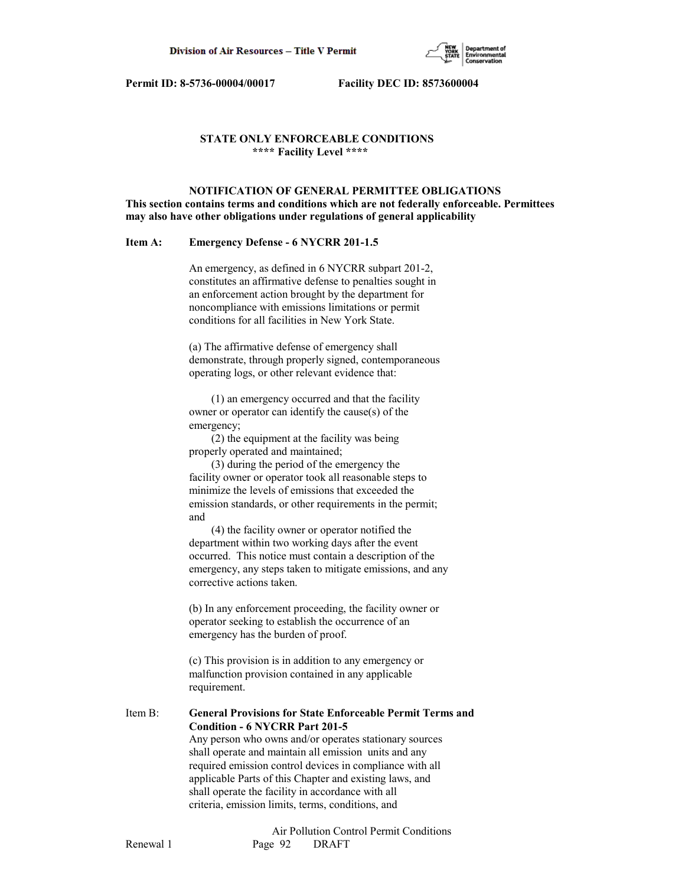

# **STATE ONLY ENFORCEABLE CONDITIONS \*\*\*\* Facility Level \*\*\*\***

 **NOTIFICATION OF GENERAL PERMITTEE OBLIGATIONS This section contains terms and conditions which are not federally enforceable. Permittees may also have other obligations under regulations of general applicability**

#### **Item A: Emergency Defense - 6 NYCRR 201-1.5**

 An emergency, as defined in 6 NYCRR subpart 201-2, constitutes an affirmative defense to penalties sought in an enforcement action brought by the department for noncompliance with emissions limitations or permit conditions for all facilities in New York State.

 (a) The affirmative defense of emergency shall demonstrate, through properly signed, contemporaneous operating logs, or other relevant evidence that:

 (1) an emergency occurred and that the facility owner or operator can identify the cause(s) of the emergency;

 (2) the equipment at the facility was being properly operated and maintained;

 (3) during the period of the emergency the facility owner or operator took all reasonable steps to minimize the levels of emissions that exceeded the emission standards, or other requirements in the permit; and

 (4) the facility owner or operator notified the department within two working days after the event occurred. This notice must contain a description of the emergency, any steps taken to mitigate emissions, and any corrective actions taken.

 (b) In any enforcement proceeding, the facility owner or operator seeking to establish the occurrence of an emergency has the burden of proof.

 (c) This provision is in addition to any emergency or malfunction provision contained in any applicable requirement.

# Item B: **General Provisions for State Enforceable Permit Terms and Condition - 6 NYCRR Part 201-5**

 Any person who owns and/or operates stationary sources shall operate and maintain all emission units and any required emission control devices in compliance with all applicable Parts of this Chapter and existing laws, and shall operate the facility in accordance with all criteria, emission limits, terms, conditions, and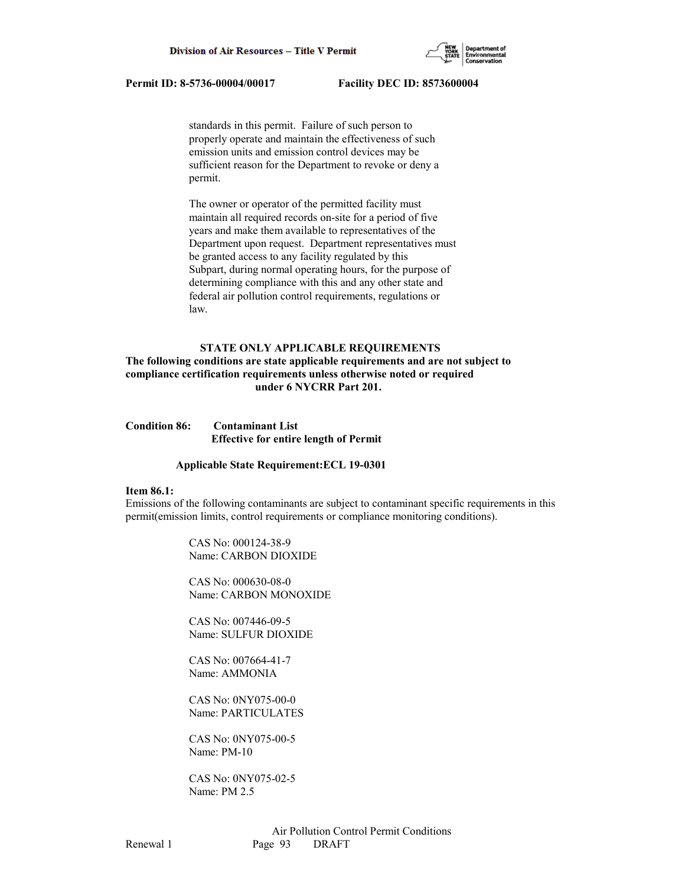

 standards in this permit. Failure of such person to properly operate and maintain the effectiveness of such emission units and emission control devices may be sufficient reason for the Department to revoke or deny a permit.

 The owner or operator of the permitted facility must maintain all required records on-site for a period of five years and make them available to representatives of the Department upon request. Department representatives must be granted access to any facility regulated by this Subpart, during normal operating hours, for the purpose of determining compliance with this and any other state and federal air pollution control requirements, regulations or law.

## **STATE ONLY APPLICABLE REQUIREMENTS**

**The following conditions are state applicable requirements and are not subject to compliance certification requirements unless otherwise noted or required under 6 NYCRR Part 201.**

| <b>Condition 86:</b> | <b>Contaminant List</b>                      |
|----------------------|----------------------------------------------|
|                      | <b>Effective for entire length of Permit</b> |

#### **Applicable State Requirement:ECL 19-0301**

#### **Item 86.1:**

Emissions of the following contaminants are subject to contaminant specific requirements in this permit(emission limits, control requirements or compliance monitoring conditions).

> CAS No: 000124-38-9 Name: CARBON DIOXIDE

 CAS No: 000630-08-0 Name: CARBON MONOXIDE

 CAS No: 007446-09-5 Name: SULFUR DIOXIDE

 CAS No: 007664-41-7 Name: AMMONIA

 CAS No: 0NY075-00-0 Name: PARTICULATES

 CAS No: 0NY075-00-5 Name: PM-10

 CAS No: 0NY075-02-5 Name: PM 2.5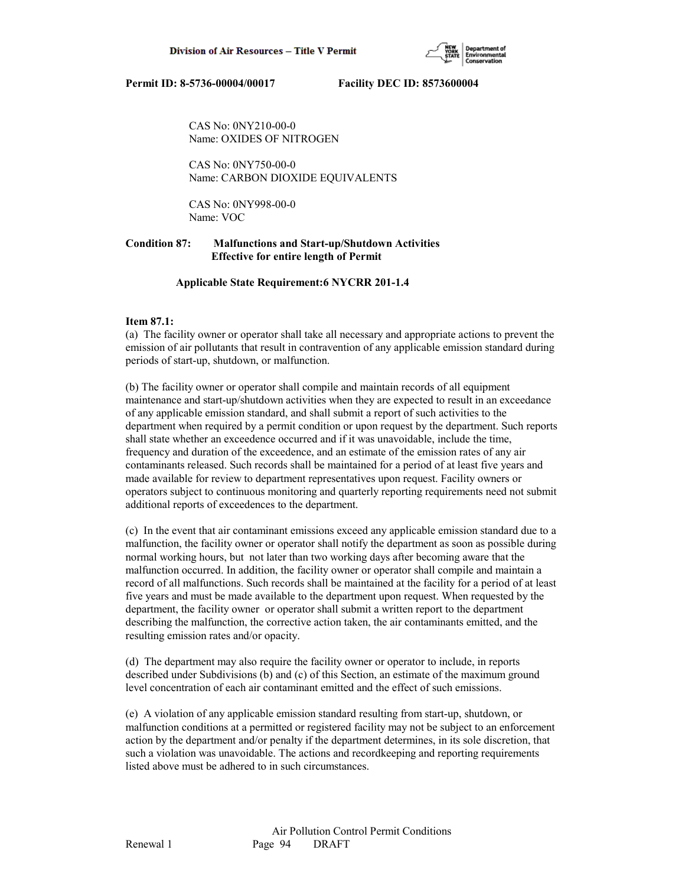

 CAS No: 0NY210-00-0 Name: OXIDES OF NITROGEN

 CAS No: 0NY750-00-0 Name: CARBON DIOXIDE EQUIVALENTS

 CAS No: 0NY998-00-0 Name: VOC

# **Condition 87: Malfunctions and Start-up/Shutdown Activities Effective for entire length of Permit**

 **Applicable State Requirement:6 NYCRR 201-1.4**

# **Item 87.1:**

(a) The facility owner or operator shall take all necessary and appropriate actions to prevent the emission of air pollutants that result in contravention of any applicable emission standard during periods of start-up, shutdown, or malfunction.

(b) The facility owner or operator shall compile and maintain records of all equipment maintenance and start-up/shutdown activities when they are expected to result in an exceedance of any applicable emission standard, and shall submit a report of such activities to the department when required by a permit condition or upon request by the department. Such reports shall state whether an exceedence occurred and if it was unavoidable, include the time, frequency and duration of the exceedence, and an estimate of the emission rates of any air contaminants released. Such records shall be maintained for a period of at least five years and made available for review to department representatives upon request. Facility owners or operators subject to continuous monitoring and quarterly reporting requirements need not submit additional reports of exceedences to the department.

(c) In the event that air contaminant emissions exceed any applicable emission standard due to a malfunction, the facility owner or operator shall notify the department as soon as possible during normal working hours, but not later than two working days after becoming aware that the malfunction occurred. In addition, the facility owner or operator shall compile and maintain a record of all malfunctions. Such records shall be maintained at the facility for a period of at least five years and must be made available to the department upon request. When requested by the department, the facility owner or operator shall submit a written report to the department describing the malfunction, the corrective action taken, the air contaminants emitted, and the resulting emission rates and/or opacity.

(d) The department may also require the facility owner or operator to include, in reports described under Subdivisions (b) and (c) of this Section, an estimate of the maximum ground level concentration of each air contaminant emitted and the effect of such emissions.

(e) A violation of any applicable emission standard resulting from start-up, shutdown, or malfunction conditions at a permitted or registered facility may not be subject to an enforcement action by the department and/or penalty if the department determines, in its sole discretion, that such a violation was unavoidable. The actions and recordkeeping and reporting requirements listed above must be adhered to in such circumstances.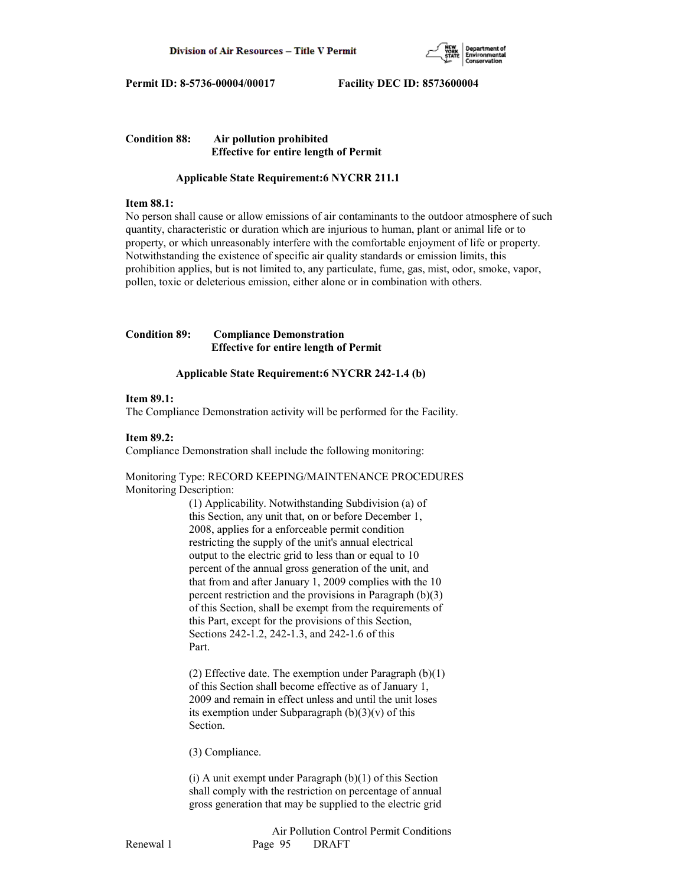

# **Condition 88: Air pollution prohibited Effective for entire length of Permit**

# **Applicable State Requirement:6 NYCRR 211.1**

## **Item 88.1:**

No person shall cause or allow emissions of air contaminants to the outdoor atmosphere of such quantity, characteristic or duration which are injurious to human, plant or animal life or to property, or which unreasonably interfere with the comfortable enjoyment of life or property. Notwithstanding the existence of specific air quality standards or emission limits, this prohibition applies, but is not limited to, any particulate, fume, gas, mist, odor, smoke, vapor, pollen, toxic or deleterious emission, either alone or in combination with others.

**Condition 89: Compliance Demonstration Effective for entire length of Permit**

# **Applicable State Requirement:6 NYCRR 242-1.4 (b)**

## **Item 89.1:**

The Compliance Demonstration activity will be performed for the Facility.

# **Item 89.2:**

Compliance Demonstration shall include the following monitoring:

Monitoring Type: RECORD KEEPING/MAINTENANCE PROCEDURES Monitoring Description:

> (1) Applicability. Notwithstanding Subdivision (a) of this Section, any unit that, on or before December 1, 2008, applies for a enforceable permit condition restricting the supply of the unit's annual electrical output to the electric grid to less than or equal to 10 percent of the annual gross generation of the unit, and that from and after January 1, 2009 complies with the 10 percent restriction and the provisions in Paragraph (b)(3) of this Section, shall be exempt from the requirements of this Part, except for the provisions of this Section, Sections 242-1.2, 242-1.3, and 242-1.6 of this Part.

> (2) Effective date. The exemption under Paragraph  $(b)(1)$  of this Section shall become effective as of January 1, 2009 and remain in effect unless and until the unit loses its exemption under Subparagraph  $(b)(3)(v)$  of this Section.

(3) Compliance.

 (i) A unit exempt under Paragraph (b)(1) of this Section shall comply with the restriction on percentage of annual gross generation that may be supplied to the electric grid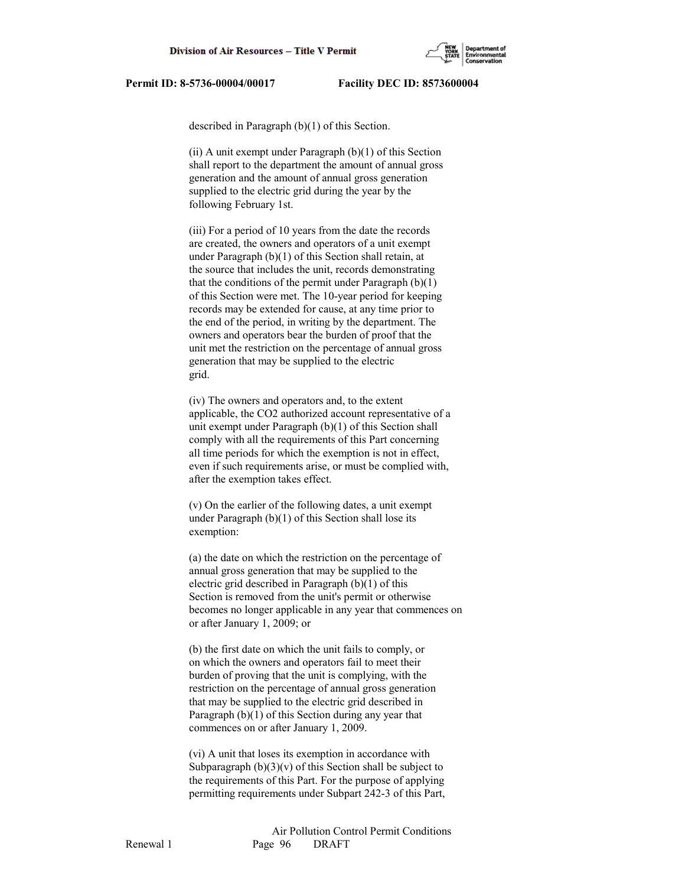

described in Paragraph (b)(1) of this Section.

(ii) A unit exempt under Paragraph  $(b)(1)$  of this Section shall report to the department the amount of annual gross generation and the amount of annual gross generation supplied to the electric grid during the year by the following February 1st.

 (iii) For a period of 10 years from the date the records are created, the owners and operators of a unit exempt under Paragraph (b)(1) of this Section shall retain, at the source that includes the unit, records demonstrating that the conditions of the permit under Paragraph  $(b)(1)$  of this Section were met. The 10-year period for keeping records may be extended for cause, at any time prior to the end of the period, in writing by the department. The owners and operators bear the burden of proof that the unit met the restriction on the percentage of annual gross generation that may be supplied to the electric grid.

 (iv) The owners and operators and, to the extent applicable, the CO2 authorized account representative of a unit exempt under Paragraph (b)(1) of this Section shall comply with all the requirements of this Part concerning all time periods for which the exemption is not in effect, even if such requirements arise, or must be complied with, after the exemption takes effect.

 (v) On the earlier of the following dates, a unit exempt under Paragraph (b)(1) of this Section shall lose its exemption:

 (a) the date on which the restriction on the percentage of annual gross generation that may be supplied to the electric grid described in Paragraph (b)(1) of this Section is removed from the unit's permit or otherwise becomes no longer applicable in any year that commences on or after January 1, 2009; or

 (b) the first date on which the unit fails to comply, or on which the owners and operators fail to meet their burden of proving that the unit is complying, with the restriction on the percentage of annual gross generation that may be supplied to the electric grid described in Paragraph (b)(1) of this Section during any year that commences on or after January 1, 2009.

 (vi) A unit that loses its exemption in accordance with Subparagraph  $(b)(3)(v)$  of this Section shall be subject to the requirements of this Part. For the purpose of applying permitting requirements under Subpart 242-3 of this Part,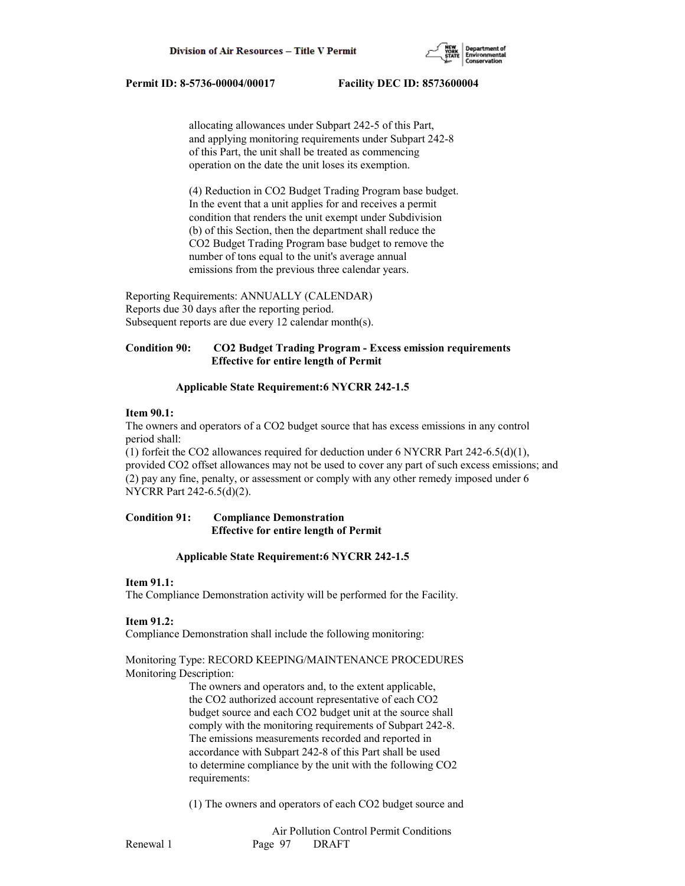

 allocating allowances under Subpart 242-5 of this Part, and applying monitoring requirements under Subpart 242-8 of this Part, the unit shall be treated as commencing operation on the date the unit loses its exemption.

 (4) Reduction in CO2 Budget Trading Program base budget. In the event that a unit applies for and receives a permit condition that renders the unit exempt under Subdivision (b) of this Section, then the department shall reduce the CO2 Budget Trading Program base budget to remove the number of tons equal to the unit's average annual emissions from the previous three calendar years.

Reporting Requirements: ANNUALLY (CALENDAR) Reports due 30 days after the reporting period. Subsequent reports are due every 12 calendar month(s).

# **Condition 90: CO2 Budget Trading Program - Excess emission requirements Effective for entire length of Permit**

# **Applicable State Requirement:6 NYCRR 242-1.5**

# **Item 90.1:**

The owners and operators of a CO2 budget source that has excess emissions in any control period shall:

(1) forfeit the CO2 allowances required for deduction under 6 NYCRR Part 242-6.5(d)(1), provided CO2 offset allowances may not be used to cover any part of such excess emissions; and (2) pay any fine, penalty, or assessment or comply with any other remedy imposed under 6 NYCRR Part 242-6.5(d)(2).

# **Condition 91: Compliance Demonstration Effective for entire length of Permit**

# **Applicable State Requirement:6 NYCRR 242-1.5**

# **Item 91.1:**

The Compliance Demonstration activity will be performed for the Facility.

# **Item 91.2:**

Compliance Demonstration shall include the following monitoring:

# Monitoring Type: RECORD KEEPING/MAINTENANCE PROCEDURES Monitoring Description:

 The owners and operators and, to the extent applicable, the CO2 authorized account representative of each CO2 budget source and each CO2 budget unit at the source shall comply with the monitoring requirements of Subpart 242-8. The emissions measurements recorded and reported in accordance with Subpart 242-8 of this Part shall be used to determine compliance by the unit with the following CO2 requirements:

(1) The owners and operators of each CO2 budget source and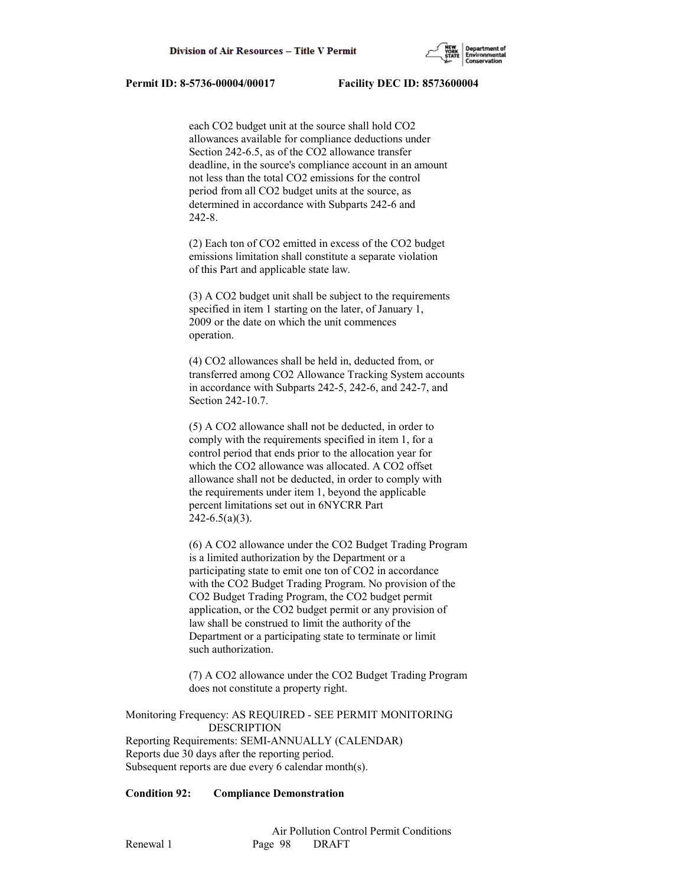

 each CO2 budget unit at the source shall hold CO2 allowances available for compliance deductions under Section 242-6.5, as of the CO2 allowance transfer deadline, in the source's compliance account in an amount not less than the total CO2 emissions for the control period from all CO2 budget units at the source, as determined in accordance with Subparts 242-6 and 242-8.

 (2) Each ton of CO2 emitted in excess of the CO2 budget emissions limitation shall constitute a separate violation of this Part and applicable state law.

 (3) A CO2 budget unit shall be subject to the requirements specified in item 1 starting on the later, of January 1, 2009 or the date on which the unit commences operation.

 (4) CO2 allowances shall be held in, deducted from, or transferred among CO2 Allowance Tracking System accounts in accordance with Subparts 242-5, 242-6, and 242-7, and Section 242-10.7.

 (5) A CO2 allowance shall not be deducted, in order to comply with the requirements specified in item 1, for a control period that ends prior to the allocation year for which the CO2 allowance was allocated. A CO2 offset allowance shall not be deducted, in order to comply with the requirements under item 1, beyond the applicable percent limitations set out in 6NYCRR Part  $242 - 6.5(a)(3)$ .

 (6) A CO2 allowance under the CO2 Budget Trading Program is a limited authorization by the Department or a participating state to emit one ton of CO2 in accordance with the CO2 Budget Trading Program. No provision of the CO2 Budget Trading Program, the CO2 budget permit application, or the CO2 budget permit or any provision of law shall be construed to limit the authority of the Department or a participating state to terminate or limit such authorization.

 (7) A CO2 allowance under the CO2 Budget Trading Program does not constitute a property right.

Monitoring Frequency: AS REQUIRED - SEE PERMIT MONITORING DESCRIPTION Reporting Requirements: SEMI-ANNUALLY (CALENDAR) Reports due 30 days after the reporting period. Subsequent reports are due every 6 calendar month(s).

### **Condition 92: Compliance Demonstration**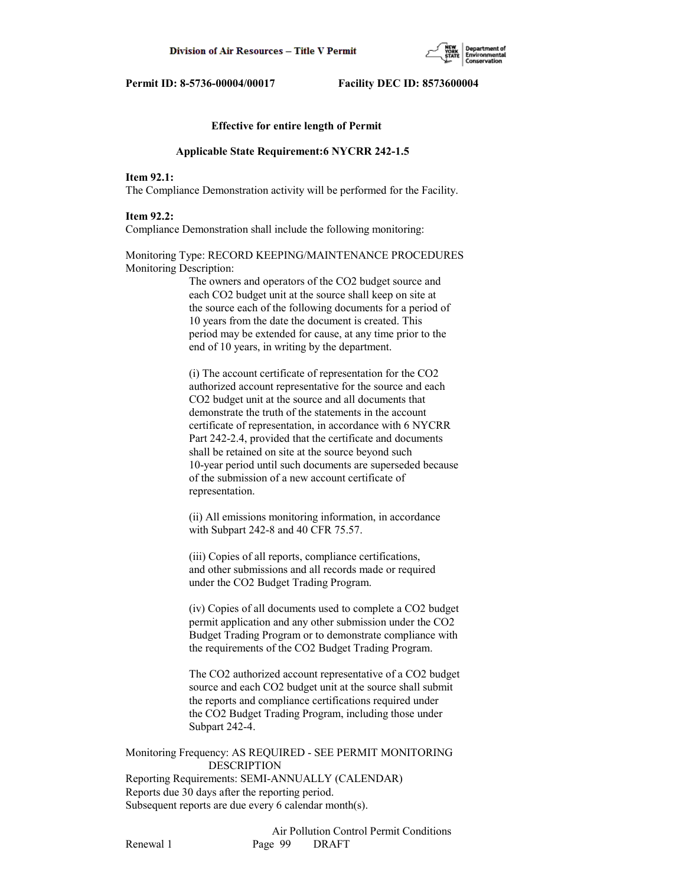

## **Effective for entire length of Permit**

#### **Applicable State Requirement:6 NYCRR 242-1.5**

# **Item 92.1:**

The Compliance Demonstration activity will be performed for the Facility.

### **Item 92.2:**

Compliance Demonstration shall include the following monitoring:

Monitoring Type: RECORD KEEPING/MAINTENANCE PROCEDURES Monitoring Description:

> The owners and operators of the CO2 budget source and each CO2 budget unit at the source shall keep on site at the source each of the following documents for a period of 10 years from the date the document is created. This period may be extended for cause, at any time prior to the end of 10 years, in writing by the department.

 (i) The account certificate of representation for the CO2 authorized account representative for the source and each CO2 budget unit at the source and all documents that demonstrate the truth of the statements in the account certificate of representation, in accordance with 6 NYCRR Part 242-2.4, provided that the certificate and documents shall be retained on site at the source beyond such 10-year period until such documents are superseded because of the submission of a new account certificate of representation.

 (ii) All emissions monitoring information, in accordance with Subpart 242-8 and 40 CFR 75.57.

 (iii) Copies of all reports, compliance certifications, and other submissions and all records made or required under the CO2 Budget Trading Program.

 (iv) Copies of all documents used to complete a CO2 budget permit application and any other submission under the CO2 Budget Trading Program or to demonstrate compliance with the requirements of the CO2 Budget Trading Program.

 The CO2 authorized account representative of a CO2 budget source and each CO2 budget unit at the source shall submit the reports and compliance certifications required under the CO2 Budget Trading Program, including those under Subpart 242-4.

Monitoring Frequency: AS REQUIRED - SEE PERMIT MONITORING DESCRIPTION

Reporting Requirements: SEMI-ANNUALLY (CALENDAR) Reports due 30 days after the reporting period. Subsequent reports are due every 6 calendar month(s).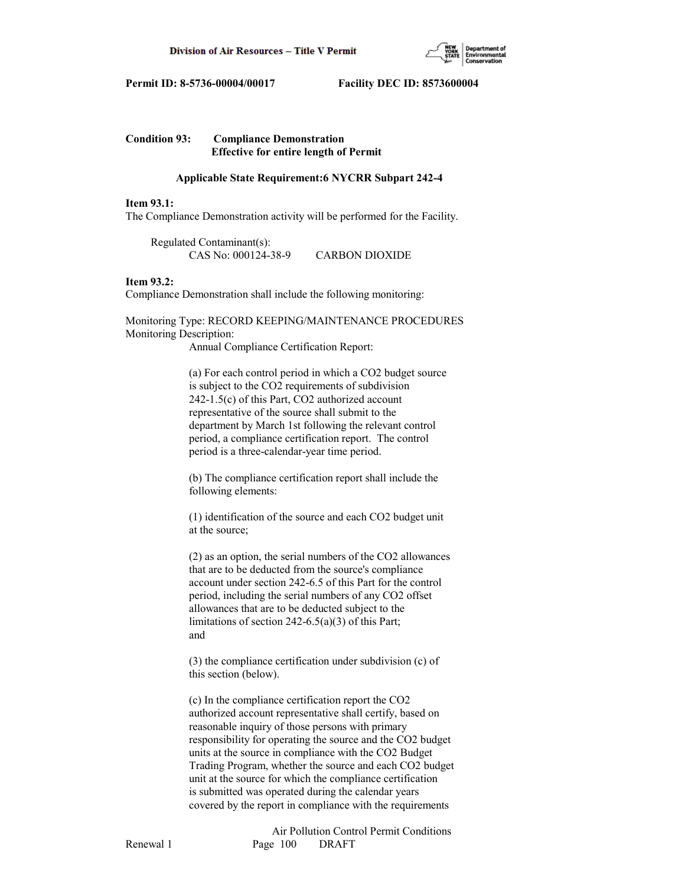

# **Condition 93: Compliance Demonstration Effective for entire length of Permit**

# **Applicable State Requirement:6 NYCRR Subpart 242-4**

## **Item 93.1:**

The Compliance Demonstration activity will be performed for the Facility.

 Regulated Contaminant(s): CAS No: 000124-38-9 CARBON DIOXIDE

# **Item 93.2:**

Compliance Demonstration shall include the following monitoring:

Monitoring Type: RECORD KEEPING/MAINTENANCE PROCEDURES Monitoring Description:

Annual Compliance Certification Report:

 (a) For each control period in which a CO2 budget source is subject to the CO2 requirements of subdivision 242-1.5(c) of this Part, CO2 authorized account representative of the source shall submit to the department by March 1st following the relevant control period, a compliance certification report. The control period is a three-calendar-year time period.

 (b) The compliance certification report shall include the following elements:

 (1) identification of the source and each CO2 budget unit at the source;

 (2) as an option, the serial numbers of the CO2 allowances that are to be deducted from the source's compliance account under section 242-6.5 of this Part for the control period, including the serial numbers of any CO2 offset allowances that are to be deducted subject to the limitations of section 242-6.5(a)(3) of this Part; and

 (3) the compliance certification under subdivision (c) of this section (below).

 (c) In the compliance certification report the CO2 authorized account representative shall certify, based on reasonable inquiry of those persons with primary responsibility for operating the source and the CO2 budget units at the source in compliance with the CO2 Budget Trading Program, whether the source and each CO2 budget unit at the source for which the compliance certification is submitted was operated during the calendar years covered by the report in compliance with the requirements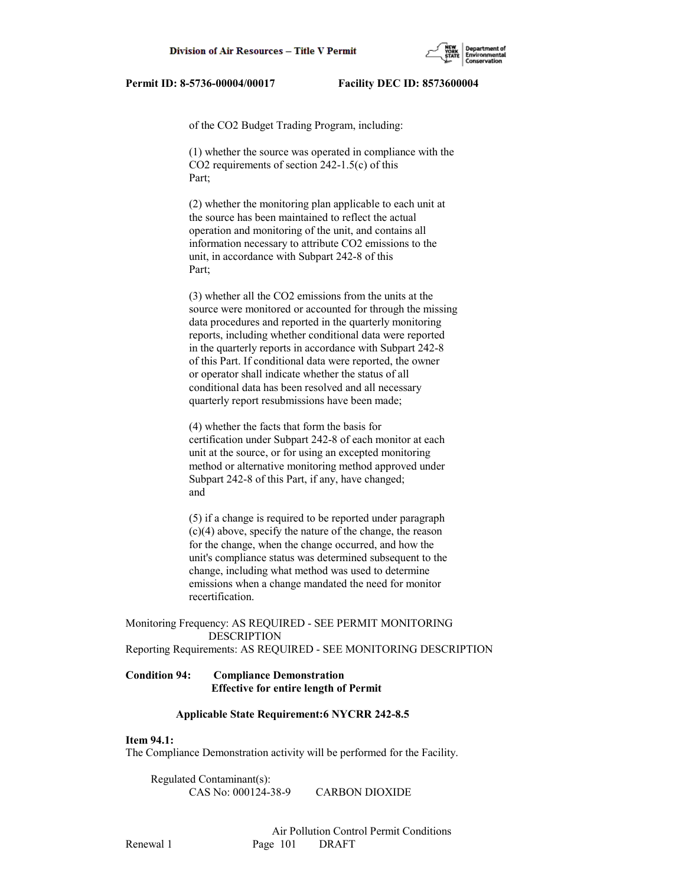

of the CO2 Budget Trading Program, including:

 (1) whether the source was operated in compliance with the CO2 requirements of section 242-1.5(c) of this Part;

 (2) whether the monitoring plan applicable to each unit at the source has been maintained to reflect the actual operation and monitoring of the unit, and contains all information necessary to attribute CO2 emissions to the unit, in accordance with Subpart 242-8 of this Part;

 (3) whether all the CO2 emissions from the units at the source were monitored or accounted for through the missing data procedures and reported in the quarterly monitoring reports, including whether conditional data were reported in the quarterly reports in accordance with Subpart 242-8 of this Part. If conditional data were reported, the owner or operator shall indicate whether the status of all conditional data has been resolved and all necessary quarterly report resubmissions have been made;

 (4) whether the facts that form the basis for certification under Subpart 242-8 of each monitor at each unit at the source, or for using an excepted monitoring method or alternative monitoring method approved under Subpart 242-8 of this Part, if any, have changed; and

 (5) if a change is required to be reported under paragraph (c)(4) above, specify the nature of the change, the reason for the change, when the change occurred, and how the unit's compliance status was determined subsequent to the change, including what method was used to determine emissions when a change mandated the need for monitor recertification.

Monitoring Frequency: AS REQUIRED - SEE PERMIT MONITORING DESCRIPTION Reporting Requirements: AS REQUIRED - SEE MONITORING DESCRIPTION

# **Condition 94: Compliance Demonstration Effective for entire length of Permit**

## **Applicable State Requirement:6 NYCRR 242-8.5**

# **Item 94.1:**

The Compliance Demonstration activity will be performed for the Facility.

 Regulated Contaminant(s): CAS No: 000124-38-9 CARBON DIOXIDE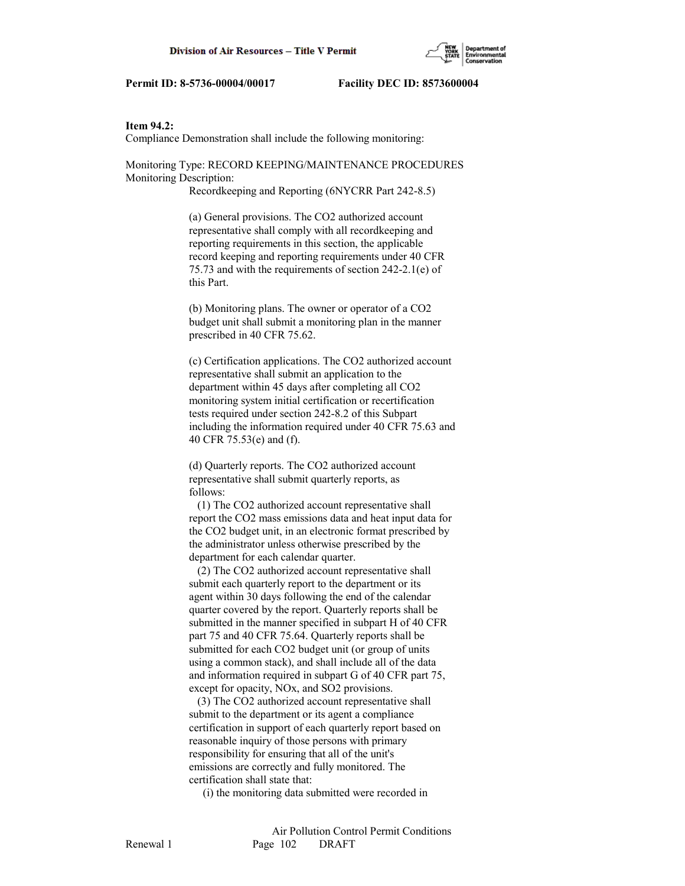## **Item 94.2:**

Compliance Demonstration shall include the following monitoring:

Monitoring Type: RECORD KEEPING/MAINTENANCE PROCEDURES Monitoring Description:

Recordkeeping and Reporting (6NYCRR Part 242-8.5)

 (a) General provisions. The CO2 authorized account representative shall comply with all recordkeeping and reporting requirements in this section, the applicable record keeping and reporting requirements under 40 CFR 75.73 and with the requirements of section 242-2.1(e) of this Part.

 (b) Monitoring plans. The owner or operator of a CO2 budget unit shall submit a monitoring plan in the manner prescribed in 40 CFR 75.62.

 (c) Certification applications. The CO2 authorized account representative shall submit an application to the department within 45 days after completing all CO2 monitoring system initial certification or recertification tests required under section 242-8.2 of this Subpart including the information required under 40 CFR 75.63 and 40 CFR 75.53(e) and (f).

 (d) Quarterly reports. The CO2 authorized account representative shall submit quarterly reports, as follows:

 (1) The CO2 authorized account representative shall report the CO2 mass emissions data and heat input data for the CO2 budget unit, in an electronic format prescribed by the administrator unless otherwise prescribed by the department for each calendar quarter.

 (2) The CO2 authorized account representative shall submit each quarterly report to the department or its agent within 30 days following the end of the calendar quarter covered by the report. Quarterly reports shall be submitted in the manner specified in subpart H of 40 CFR part 75 and 40 CFR 75.64. Quarterly reports shall be submitted for each CO2 budget unit (or group of units using a common stack), and shall include all of the data and information required in subpart G of 40 CFR part 75, except for opacity, NOx, and SO2 provisions.

 (3) The CO2 authorized account representative shall submit to the department or its agent a compliance certification in support of each quarterly report based on reasonable inquiry of those persons with primary responsibility for ensuring that all of the unit's emissions are correctly and fully monitored. The certification shall state that:

(i) the monitoring data submitted were recorded in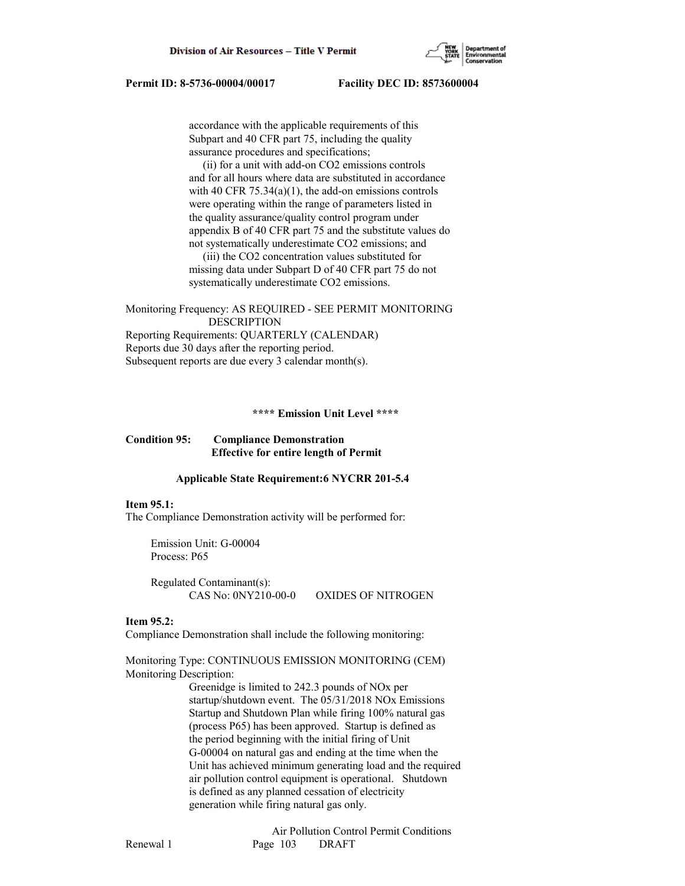accordance with the applicable requirements of this Subpart and 40 CFR part 75, including the quality assurance procedures and specifications;

 (ii) for a unit with add-on CO2 emissions controls and for all hours where data are substituted in accordance with 40 CFR  $75.34(a)(1)$ , the add-on emissions controls were operating within the range of parameters listed in the quality assurance/quality control program under appendix B of 40 CFR part 75 and the substitute values do not systematically underestimate CO2 emissions; and (iii) the CO2 concentration values substituted for missing data under Subpart D of 40 CFR part 75 do not systematically underestimate CO2 emissions.

Monitoring Frequency: AS REQUIRED - SEE PERMIT MONITORING DESCRIPTION Reporting Requirements: QUARTERLY (CALENDAR) Reports due 30 days after the reporting period. Subsequent reports are due every 3 calendar month(s).

 **\*\*\*\* Emission Unit Level \*\*\*\***

### **Condition 95: Compliance Demonstration Effective for entire length of Permit**

#### **Applicable State Requirement:6 NYCRR 201-5.4**

#### **Item 95.1:**

The Compliance Demonstration activity will be performed for:

 Emission Unit: G-00004 Process: P65

 Regulated Contaminant(s): CAS No: 0NY210-00-0 OXIDES OF NITROGEN

### **Item 95.2:**

Compliance Demonstration shall include the following monitoring:

Monitoring Type: CONTINUOUS EMISSION MONITORING (CEM) Monitoring Description:

> Greenidge is limited to 242.3 pounds of NOx per startup/shutdown event. The 05/31/2018 NOx Emissions Startup and Shutdown Plan while firing 100% natural gas (process P65) has been approved. Startup is defined as the period beginning with the initial firing of Unit G-00004 on natural gas and ending at the time when the Unit has achieved minimum generating load and the required air pollution control equipment is operational. Shutdown is defined as any planned cessation of electricity generation while firing natural gas only.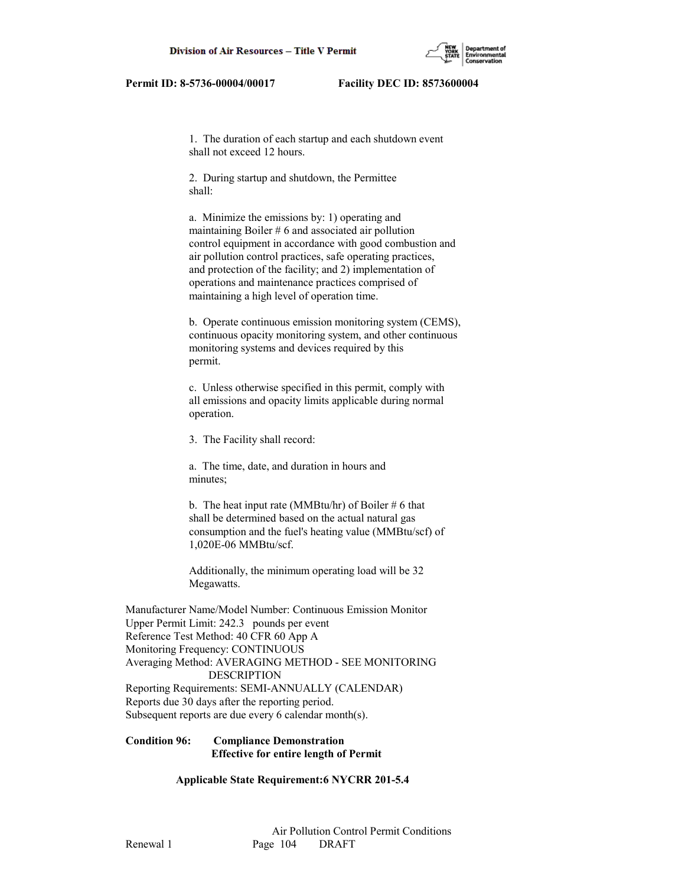

 1. The duration of each startup and each shutdown event shall not exceed 12 hours.

 2. During startup and shutdown, the Permittee shall:

 a. Minimize the emissions by: 1) operating and maintaining Boiler # 6 and associated air pollution control equipment in accordance with good combustion and air pollution control practices, safe operating practices, and protection of the facility; and 2) implementation of operations and maintenance practices comprised of maintaining a high level of operation time.

 b. Operate continuous emission monitoring system (CEMS), continuous opacity monitoring system, and other continuous monitoring systems and devices required by this permit.

 c. Unless otherwise specified in this permit, comply with all emissions and opacity limits applicable during normal operation.

3. The Facility shall record:

 a. The time, date, and duration in hours and minutes;

b. The heat input rate (MMBtu/hr) of Boiler  $#6$  that shall be determined based on the actual natural gas consumption and the fuel's heating value (MMBtu/scf) of 1,020E-06 MMBtu/scf.

 Additionally, the minimum operating load will be 32 Megawatts.

Manufacturer Name/Model Number: Continuous Emission Monitor Upper Permit Limit: 242.3 pounds per event Reference Test Method: 40 CFR 60 App A Monitoring Frequency: CONTINUOUS Averaging Method: AVERAGING METHOD - SEE MONITORING DESCRIPTION Reporting Requirements: SEMI-ANNUALLY (CALENDAR) Reports due 30 days after the reporting period. Subsequent reports are due every 6 calendar month(s).

# **Condition 96: Compliance Demonstration Effective for entire length of Permit**

 **Applicable State Requirement:6 NYCRR 201-5.4**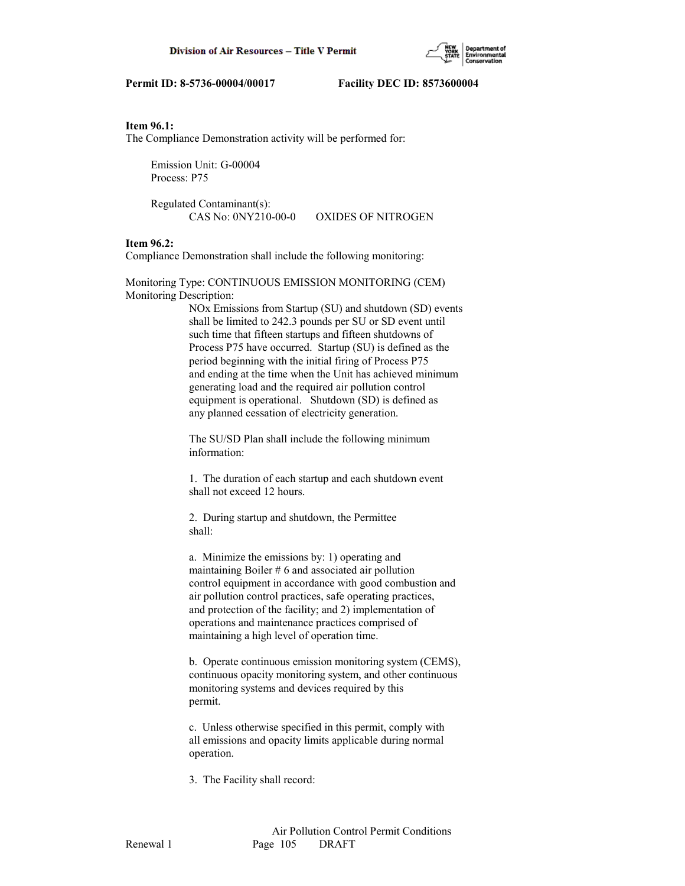

# **Item 96.1:**

The Compliance Demonstration activity will be performed for:

 Emission Unit: G-00004 Process: P75

 Regulated Contaminant(s): CAS No: 0NY210-00-0 OXIDES OF NITROGEN

# **Item 96.2:**

Compliance Demonstration shall include the following monitoring:

Monitoring Type: CONTINUOUS EMISSION MONITORING (CEM) Monitoring Description:

> NOx Emissions from Startup (SU) and shutdown (SD) events shall be limited to 242.3 pounds per SU or SD event until such time that fifteen startups and fifteen shutdowns of Process P75 have occurred. Startup (SU) is defined as the period beginning with the initial firing of Process P75 and ending at the time when the Unit has achieved minimum generating load and the required air pollution control equipment is operational. Shutdown (SD) is defined as any planned cessation of electricity generation.

 The SU/SD Plan shall include the following minimum information:

 1. The duration of each startup and each shutdown event shall not exceed 12 hours.

 2. During startup and shutdown, the Permittee shall:

 a. Minimize the emissions by: 1) operating and maintaining Boiler # 6 and associated air pollution control equipment in accordance with good combustion and air pollution control practices, safe operating practices, and protection of the facility; and 2) implementation of operations and maintenance practices comprised of maintaining a high level of operation time.

 b. Operate continuous emission monitoring system (CEMS), continuous opacity monitoring system, and other continuous monitoring systems and devices required by this permit.

 c. Unless otherwise specified in this permit, comply with all emissions and opacity limits applicable during normal operation.

3. The Facility shall record: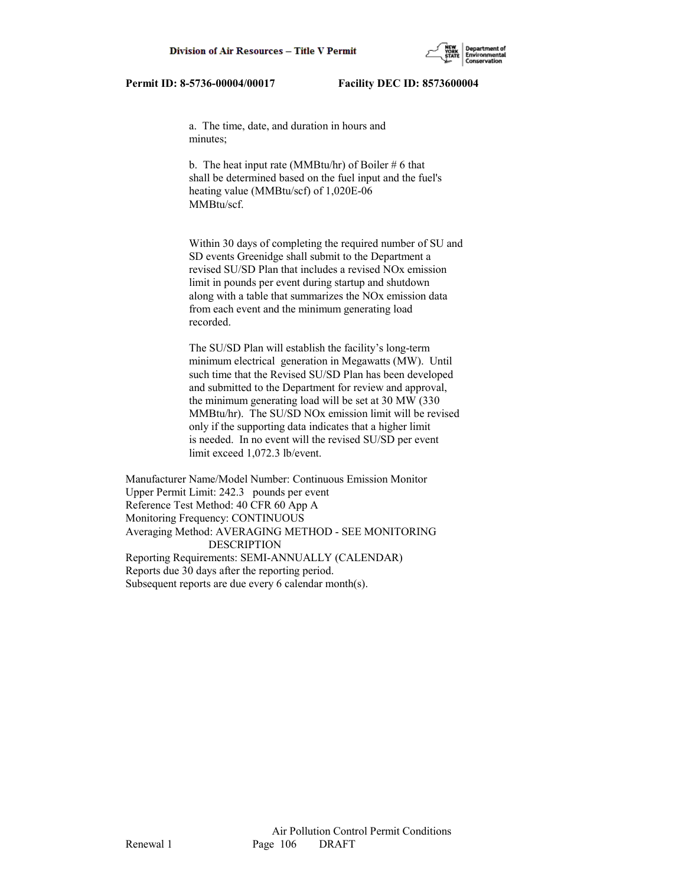

 a. The time, date, and duration in hours and minutes;

b. The heat input rate (MMBtu/hr) of Boiler  $# 6$  that shall be determined based on the fuel input and the fuel's heating value (MMBtu/scf) of 1,020E-06 MMBtu/scf.

 Within 30 days of completing the required number of SU and SD events Greenidge shall submit to the Department a revised SU/SD Plan that includes a revised NOx emission limit in pounds per event during startup and shutdown along with a table that summarizes the NOx emission data from each event and the minimum generating load recorded.

 The SU/SD Plan will establish the facility's long-term minimum electrical generation in Megawatts (MW). Until such time that the Revised SU/SD Plan has been developed and submitted to the Department for review and approval, the minimum generating load will be set at 30 MW (330 MMBtu/hr). The SU/SD NOx emission limit will be revised only if the supporting data indicates that a higher limit is needed. In no event will the revised SU/SD per event limit exceed 1,072.3 lb/event.

Manufacturer Name/Model Number: Continuous Emission Monitor Upper Permit Limit: 242.3 pounds per event Reference Test Method: 40 CFR 60 App A Monitoring Frequency: CONTINUOUS Averaging Method: AVERAGING METHOD - SEE MONITORING DESCRIPTION Reporting Requirements: SEMI-ANNUALLY (CALENDAR) Reports due 30 days after the reporting period. Subsequent reports are due every 6 calendar month(s).